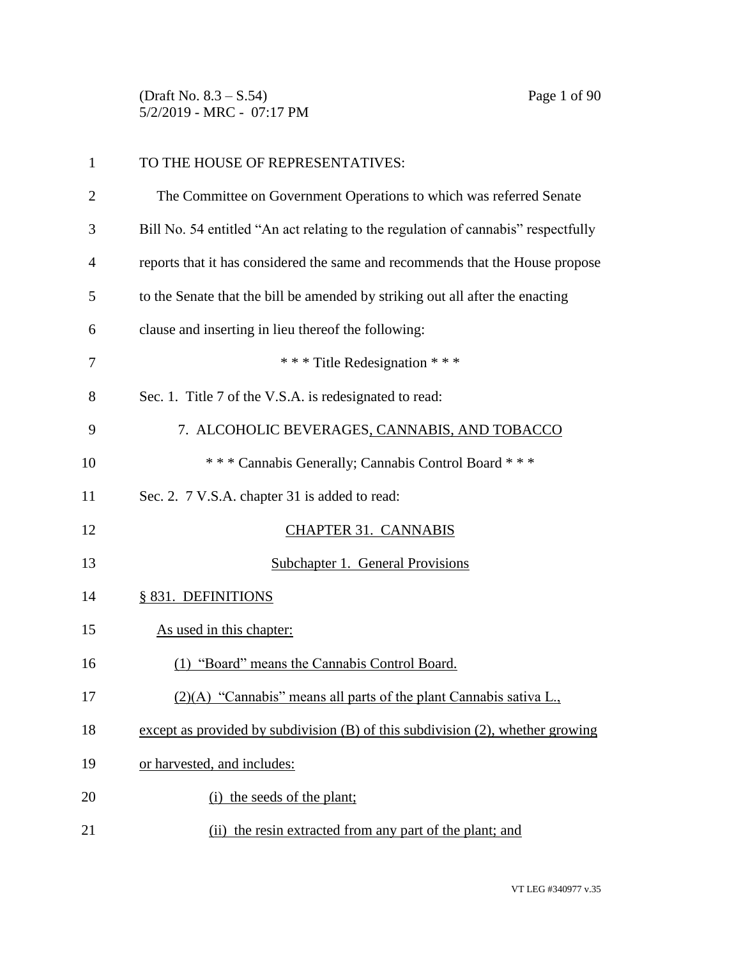(Draft No. 8.3 – S.54) Page 1 of 90 5/2/2019 - MRC - 07:17 PM

| 1              | TO THE HOUSE OF REPRESENTATIVES:                                                    |
|----------------|-------------------------------------------------------------------------------------|
| $\overline{2}$ | The Committee on Government Operations to which was referred Senate                 |
| 3              | Bill No. 54 entitled "An act relating to the regulation of cannabis" respectfully   |
| $\overline{4}$ | reports that it has considered the same and recommends that the House propose       |
| 5              | to the Senate that the bill be amended by striking out all after the enacting       |
| 6              | clause and inserting in lieu thereof the following:                                 |
| 7              | *** Title Redesignation ***                                                         |
| 8              | Sec. 1. Title 7 of the V.S.A. is redesignated to read:                              |
| 9              | 7. ALCOHOLIC BEVERAGES, CANNABIS, AND TOBACCO                                       |
| 10             | *** Cannabis Generally; Cannabis Control Board ***                                  |
| 11             | Sec. 2. 7 V.S.A. chapter 31 is added to read:                                       |
| 12             | <b>CHAPTER 31. CANNABIS</b>                                                         |
| 13             | Subchapter 1. General Provisions                                                    |
| 14             | § 831. DEFINITIONS                                                                  |
| 15             | As used in this chapter:                                                            |
| 16             | (1) "Board" means the Cannabis Control Board.                                       |
| 17             | (2)(A) "Cannabis" means all parts of the plant Cannabis sativa L.,                  |
| 18             | except as provided by subdivision $(B)$ of this subdivision $(2)$ , whether growing |
| 19             | or harvested, and includes:                                                         |
| 20             | (i) the seeds of the plant;                                                         |
| 21             | (ii) the resin extracted from any part of the plant; and                            |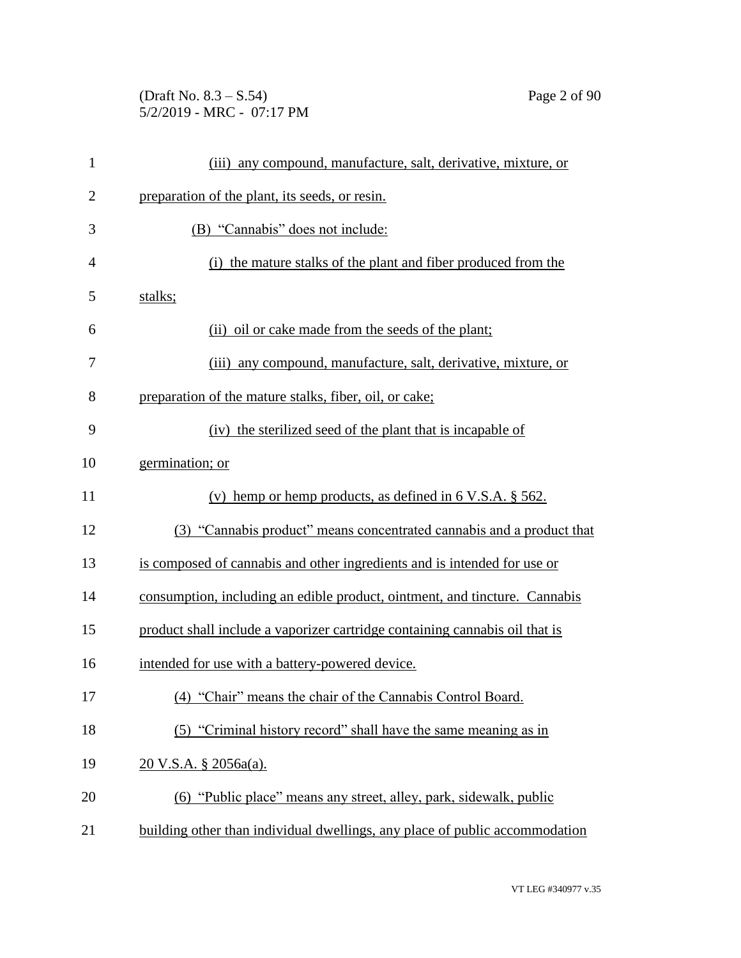(Draft No. 8.3 – S.54) Page 2 of 90 5/2/2019 - MRC - 07:17 PM

| $\mathbf{1}$   | (iii) any compound, manufacture, salt, derivative, mixture, or              |
|----------------|-----------------------------------------------------------------------------|
| $\overline{2}$ | preparation of the plant, its seeds, or resin.                              |
| 3              | (B) "Cannabis" does not include:                                            |
| 4              | (i) the mature stalks of the plant and fiber produced from the              |
| 5              | stalks;                                                                     |
| 6              | (ii) oil or cake made from the seeds of the plant;                          |
| 7              | (iii) any compound, manufacture, salt, derivative, mixture, or              |
| 8              | preparation of the mature stalks, fiber, oil, or cake;                      |
| 9              | (iv) the sterilized seed of the plant that is incapable of                  |
| 10             | germination; or                                                             |
| 11             | (v) hemp or hemp products, as defined in $6$ V.S.A. $\S$ 562.               |
| 12             | (3) "Cannabis product" means concentrated cannabis and a product that       |
| 13             | is composed of cannabis and other ingredients and is intended for use or    |
| 14             | consumption, including an edible product, ointment, and tincture. Cannabis  |
| 15             | product shall include a vaporizer cartridge containing cannabis oil that is |
| 16             | intended for use with a battery-powered device.                             |
| 17             | (4) "Chair" means the chair of the Cannabis Control Board.                  |
| 18             | (5) "Criminal history record" shall have the same meaning as in             |
| 19             | <u>20 V.S.A. § 2056a(a).</u>                                                |
| 20             | (6) "Public place" means any street, alley, park, sidewalk, public          |
| 21             | building other than individual dwellings, any place of public accommodation |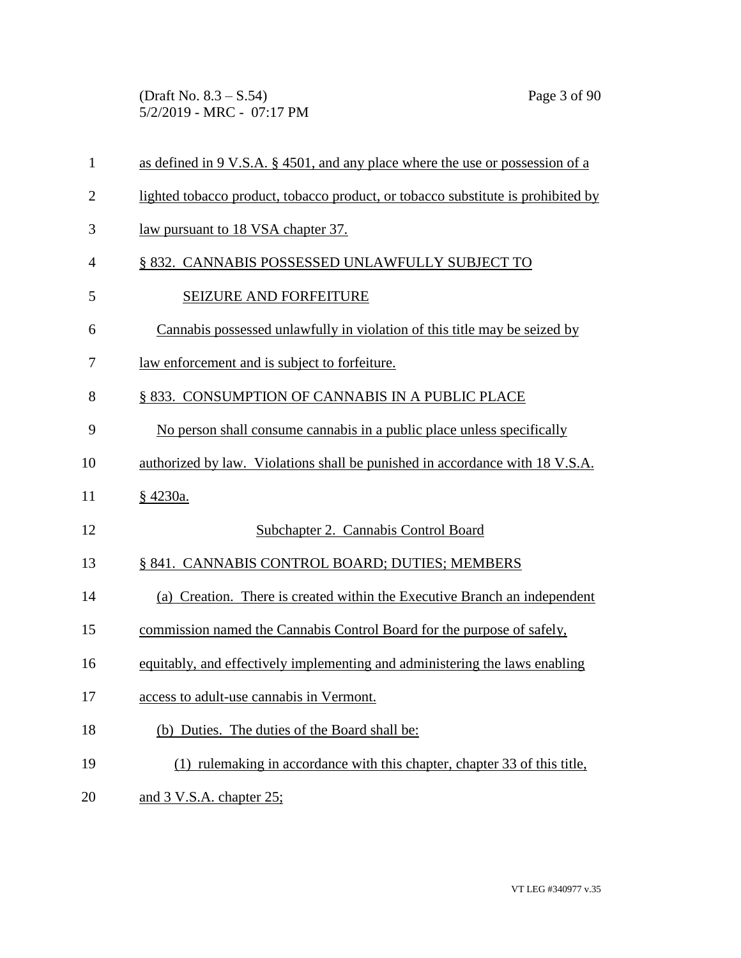(Draft No. 8.3 – S.54) Page 3 of 90 5/2/2019 - MRC - 07:17 PM

| $\mathbf{1}$   | as defined in 9 V.S.A. § 4501, and any place where the use or possession of a    |
|----------------|----------------------------------------------------------------------------------|
| $\overline{2}$ | lighted tobacco product, tobacco product, or tobacco substitute is prohibited by |
| 3              | law pursuant to 18 VSA chapter 37.                                               |
| 4              | § 832. CANNABIS POSSESSED UNLAWFULLY SUBJECT TO                                  |
| 5              | SEIZURE AND FORFEITURE                                                           |
| 6              | Cannabis possessed unlawfully in violation of this title may be seized by        |
| 7              | law enforcement and is subject to forfeiture.                                    |
| 8              | § 833. CONSUMPTION OF CANNABIS IN A PUBLIC PLACE                                 |
| 9              | No person shall consume cannabis in a public place unless specifically           |
| 10             | authorized by law. Violations shall be punished in accordance with 18 V.S.A.     |
| 11             | § 4230a.                                                                         |
| 12             | Subchapter 2. Cannabis Control Board                                             |
| 13             | § 841. CANNABIS CONTROL BOARD; DUTIES; MEMBERS                                   |
| 14             | (a) Creation. There is created within the Executive Branch an independent        |
| 15             | commission named the Cannabis Control Board for the purpose of safely,           |
| 16             | equitably, and effectively implementing and administering the laws enabling      |
| 17             | access to adult-use cannabis in Vermont.                                         |
| 18             | (b) Duties. The duties of the Board shall be:                                    |
| 19             | (1) rulemaking in accordance with this chapter, chapter 33 of this title,        |
| 20             | and 3 V.S.A. chapter 25;                                                         |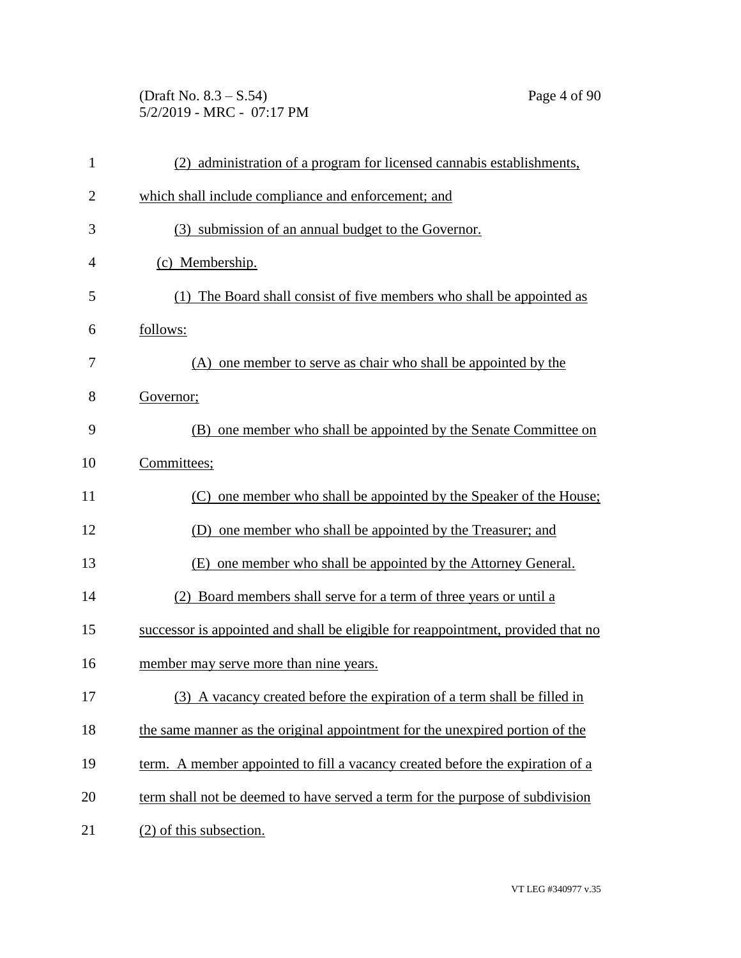(Draft No. 8.3 – S.54) Page 4 of 90 5/2/2019 - MRC - 07:17 PM

| $\mathbf{1}$   | (2) administration of a program for licensed cannabis establishments,            |
|----------------|----------------------------------------------------------------------------------|
| $\overline{2}$ | which shall include compliance and enforcement; and                              |
| 3              | (3) submission of an annual budget to the Governor.                              |
| $\overline{4}$ | (c) Membership.                                                                  |
| 5              | (1) The Board shall consist of five members who shall be appointed as            |
| 6              | follows:                                                                         |
| 7              | (A) one member to serve as chair who shall be appointed by the                   |
| 8              | Governor;                                                                        |
| 9              | one member who shall be appointed by the Senate Committee on<br>(B)              |
| 10             | Committees;                                                                      |
| 11             | (C) one member who shall be appointed by the Speaker of the House;               |
| 12             | (D) one member who shall be appointed by the Treasurer; and                      |
| 13             | one member who shall be appointed by the Attorney General.<br>(E)                |
| 14             | (2) Board members shall serve for a term of three years or until a               |
| 15             | successor is appointed and shall be eligible for reappointment, provided that no |
| 16             | member may serve more than nine years.                                           |
| 17             | (3) A vacancy created before the expiration of a term shall be filled in         |
| 18             | the same manner as the original appointment for the unexpired portion of the     |
| 19             | term. A member appointed to fill a vacancy created before the expiration of a    |
| 20             | term shall not be deemed to have served a term for the purpose of subdivision    |
| 21             | (2) of this subsection.                                                          |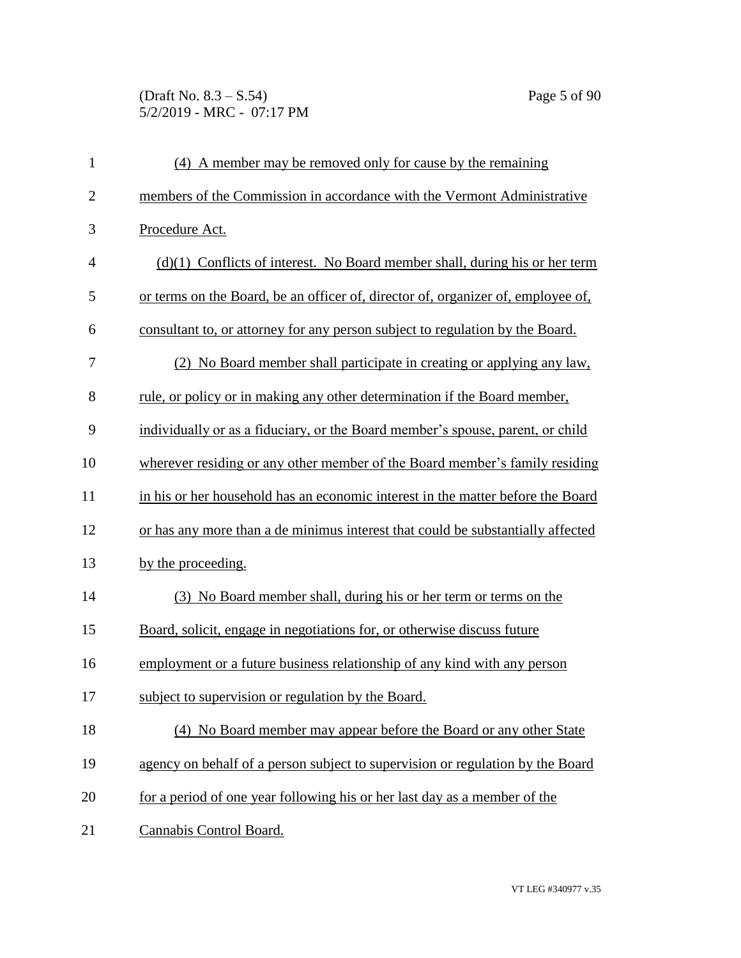(Draft No. 8.3 – S.54) Page 5 of 90 5/2/2019 - MRC - 07:17 PM

| $\mathbf{1}$   | (4) A member may be removed only for cause by the remaining                      |
|----------------|----------------------------------------------------------------------------------|
| $\overline{2}$ | members of the Commission in accordance with the Vermont Administrative          |
| 3              | Procedure Act.                                                                   |
| $\overline{4}$ | $(d)(1)$ Conflicts of interest. No Board member shall, during his or her term    |
| 5              | or terms on the Board, be an officer of, director of, organizer of, employee of, |
| 6              | consultant to, or attorney for any person subject to regulation by the Board.    |
| 7              | (2) No Board member shall participate in creating or applying any law,           |
| 8              | rule, or policy or in making any other determination if the Board member,        |
| 9              | individually or as a fiduciary, or the Board member's spouse, parent, or child   |
| 10             | wherever residing or any other member of the Board member's family residing      |
| 11             | in his or her household has an economic interest in the matter before the Board  |
| 12             | or has any more than a de minimus interest that could be substantially affected  |
| 13             | by the proceeding.                                                               |
| 14             | (3) No Board member shall, during his or her term or terms on the                |
| 15             | Board, solicit, engage in negotiations for, or otherwise discuss future          |
| 16             | employment or a future business relationship of any kind with any person         |
| 17             | subject to supervision or regulation by the Board.                               |
| 18             | (4) No Board member may appear before the Board or any other State               |
| 19             | agency on behalf of a person subject to supervision or regulation by the Board   |
| 20             | for a period of one year following his or her last day as a member of the        |
| 21             | Cannabis Control Board.                                                          |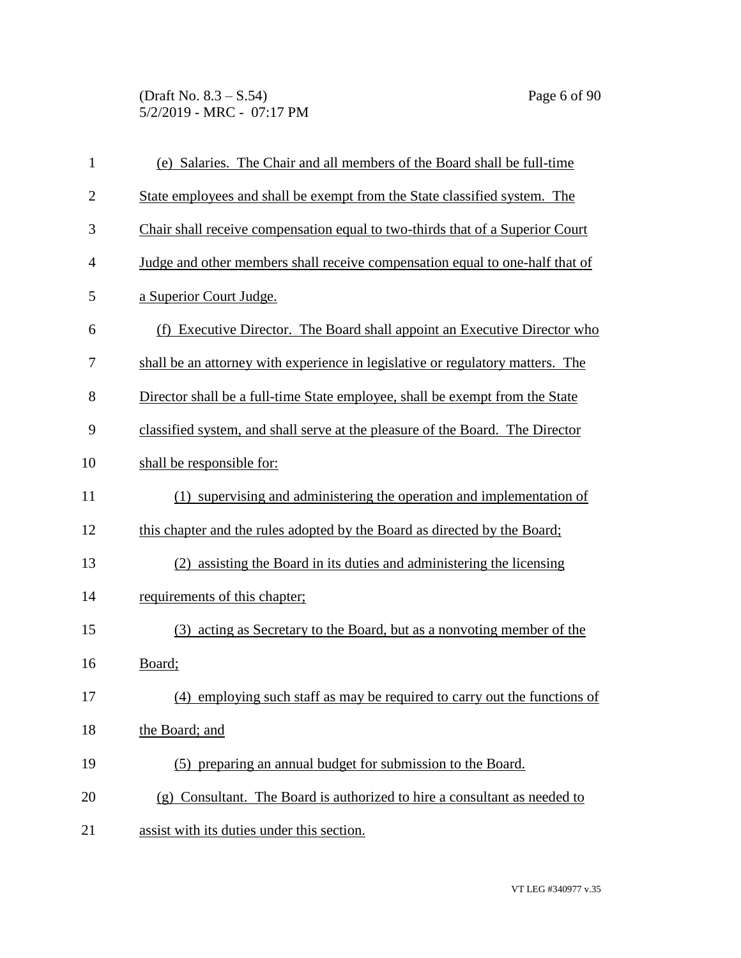(Draft No. 8.3 – S.54) Page 6 of 90 5/2/2019 - MRC - 07:17 PM

| $\mathbf{1}$   | (e) Salaries. The Chair and all members of the Board shall be full-time        |
|----------------|--------------------------------------------------------------------------------|
| $\mathbf{2}$   | State employees and shall be exempt from the State classified system. The      |
| 3              | Chair shall receive compensation equal to two-thirds that of a Superior Court  |
| $\overline{4}$ | Judge and other members shall receive compensation equal to one-half that of   |
| 5              | a Superior Court Judge.                                                        |
| 6              | (f) Executive Director. The Board shall appoint an Executive Director who      |
| 7              | shall be an attorney with experience in legislative or regulatory matters. The |
| 8              | Director shall be a full-time State employee, shall be exempt from the State   |
| 9              | classified system, and shall serve at the pleasure of the Board. The Director  |
| 10             | shall be responsible for:                                                      |
| 11             | (1) supervising and administering the operation and implementation of          |
| 12             | this chapter and the rules adopted by the Board as directed by the Board;      |
| 13             | (2) assisting the Board in its duties and administering the licensing          |
| 14             | requirements of this chapter;                                                  |
| 15             | acting as Secretary to the Board, but as a nonvoting member of the<br>(3)      |
| 16             | Board;                                                                         |
| 17             | (4) employing such staff as may be required to carry out the functions of      |
| 18             | the Board; and                                                                 |
| 19             | (5) preparing an annual budget for submission to the Board.                    |
| 20             | (g) Consultant. The Board is authorized to hire a consultant as needed to      |
| 21             | assist with its duties under this section.                                     |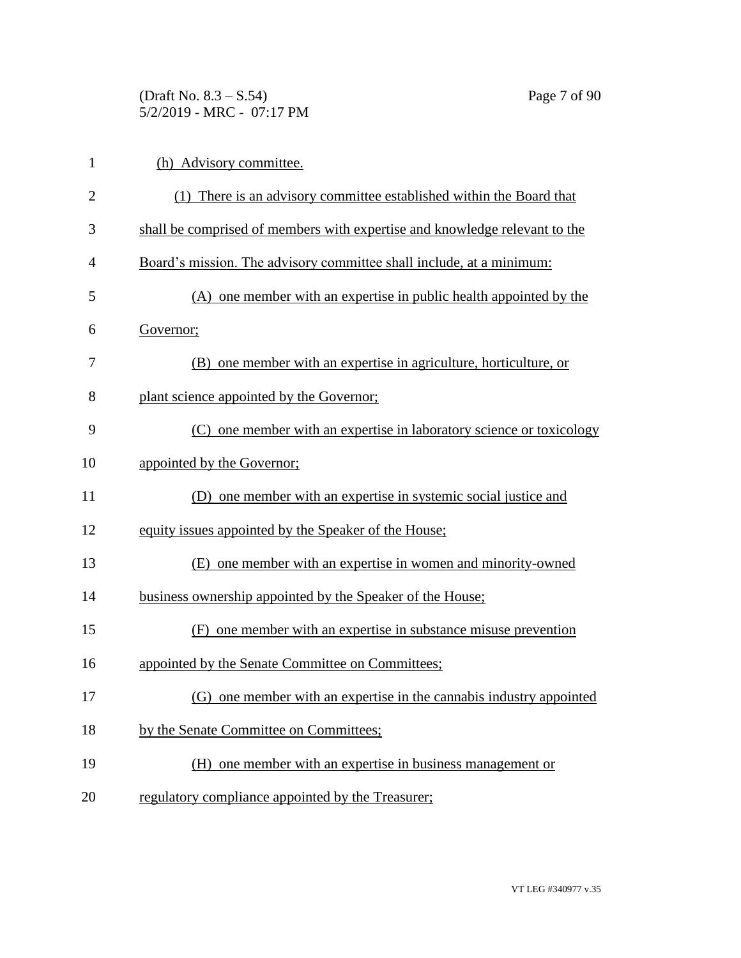(Draft No. 8.3 – S.54) Page 7 of 90 5/2/2019 - MRC - 07:17 PM

| $\mathbf{1}$   | (h) Advisory committee.                                                    |
|----------------|----------------------------------------------------------------------------|
| $\overline{2}$ | (1) There is an advisory committee established within the Board that       |
| 3              | shall be comprised of members with expertise and knowledge relevant to the |
| $\overline{4}$ | Board's mission. The advisory committee shall include, at a minimum:       |
| 5              | (A) one member with an expertise in public health appointed by the         |
| 6              | Governor;                                                                  |
| 7              | (B) one member with an expertise in agriculture, horticulture, or          |
| 8              | plant science appointed by the Governor;                                   |
| 9              | (C) one member with an expertise in laboratory science or toxicology       |
| 10             | appointed by the Governor;                                                 |
| 11             | (D) one member with an expertise in systemic social justice and            |
| 12             | equity issues appointed by the Speaker of the House;                       |
| 13             | (E) one member with an expertise in women and minority-owned               |
| 14             | business ownership appointed by the Speaker of the House;                  |
| 15             | (F) one member with an expertise in substance misuse prevention            |
| 16             | appointed by the Senate Committee on Committees;                           |
| 17             | (G) one member with an expertise in the cannabis industry appointed        |
| 18             | by the Senate Committee on Committees;                                     |
| 19             | (H) one member with an expertise in business management or                 |
| 20             | regulatory compliance appointed by the Treasurer;                          |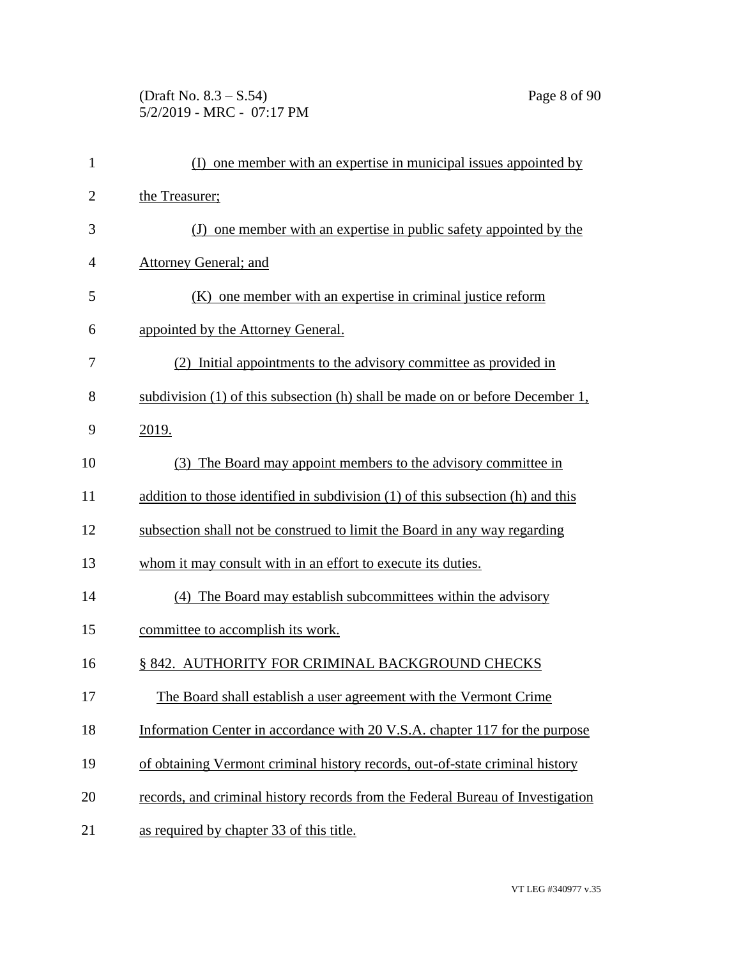## (Draft No. 8.3 – S.54) Page 8 of 90 5/2/2019 - MRC - 07:17 PM

| $\mathbf{1}$   | (I) one member with an expertise in municipal issues appointed by               |
|----------------|---------------------------------------------------------------------------------|
| $\overline{c}$ | the Treasurer;                                                                  |
| 3              | (J) one member with an expertise in public safety appointed by the              |
| 4              | <b>Attorney General; and</b>                                                    |
| 5              | (K) one member with an expertise in criminal justice reform                     |
| 6              | appointed by the Attorney General.                                              |
| 7              | (2) Initial appointments to the advisory committee as provided in               |
| 8              | subdivision (1) of this subsection (h) shall be made on or before December 1,   |
| 9              | 2019.                                                                           |
| 10             | The Board may appoint members to the advisory committee in<br>(3)               |
| 11             | addition to those identified in subdivision (1) of this subsection (h) and this |
| 12             | subsection shall not be construed to limit the Board in any way regarding       |
| 13             | whom it may consult with in an effort to execute its duties.                    |
| 14             | (4) The Board may establish subcommittees within the advisory                   |
| 15             | committee to accomplish its work.                                               |
| 16             | § 842. AUTHORITY FOR CRIMINAL BACKGROUND CHECKS                                 |
| 17             | The Board shall establish a user agreement with the Vermont Crime               |
| 18             | Information Center in accordance with 20 V.S.A. chapter 117 for the purpose     |
| 19             | of obtaining Vermont criminal history records, out-of-state criminal history    |
| 20             | records, and criminal history records from the Federal Bureau of Investigation  |
| 21             | as required by chapter 33 of this title.                                        |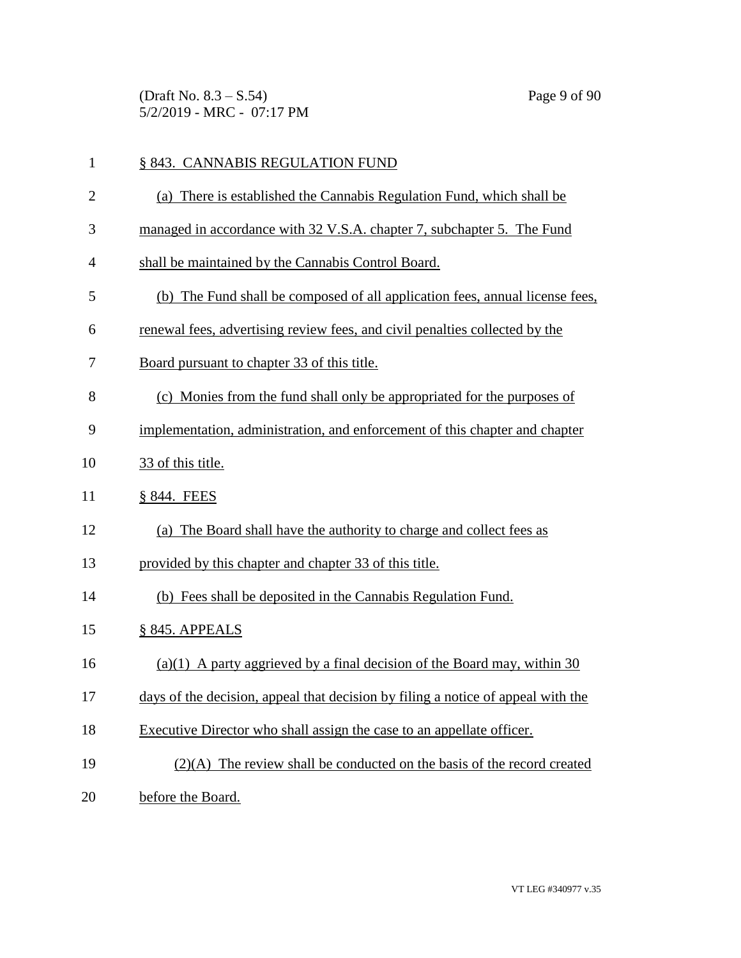(Draft No. 8.3 – S.54) Page 9 of 90 5/2/2019 - MRC - 07:17 PM

| $\mathbf{1}$   | § 843. CANNABIS REGULATION FUND                                                  |
|----------------|----------------------------------------------------------------------------------|
| $\overline{2}$ | (a) There is established the Cannabis Regulation Fund, which shall be            |
| 3              | managed in accordance with 32 V.S.A. chapter 7, subchapter 5. The Fund           |
| 4              | shall be maintained by the Cannabis Control Board.                               |
| 5              | (b) The Fund shall be composed of all application fees, annual license fees,     |
| 6              | renewal fees, advertising review fees, and civil penalties collected by the      |
| 7              | Board pursuant to chapter 33 of this title.                                      |
| 8              | (c) Monies from the fund shall only be appropriated for the purposes of          |
| 9              | implementation, administration, and enforcement of this chapter and chapter      |
| 10             | 33 of this title.                                                                |
| 11             | § 844. FEES                                                                      |
| 12             | (a) The Board shall have the authority to charge and collect fees as             |
| 13             | provided by this chapter and chapter 33 of this title.                           |
| 14             | (b) Fees shall be deposited in the Cannabis Regulation Fund.                     |
| 15             | § 845. APPEALS                                                                   |
| 16             | $(a)(1)$ A party aggrieved by a final decision of the Board may, within 30       |
| 17             | days of the decision, appeal that decision by filing a notice of appeal with the |
| 18             | Executive Director who shall assign the case to an appellate officer.            |
| 19             | $(2)(A)$ The review shall be conducted on the basis of the record created        |
| 20             | before the Board.                                                                |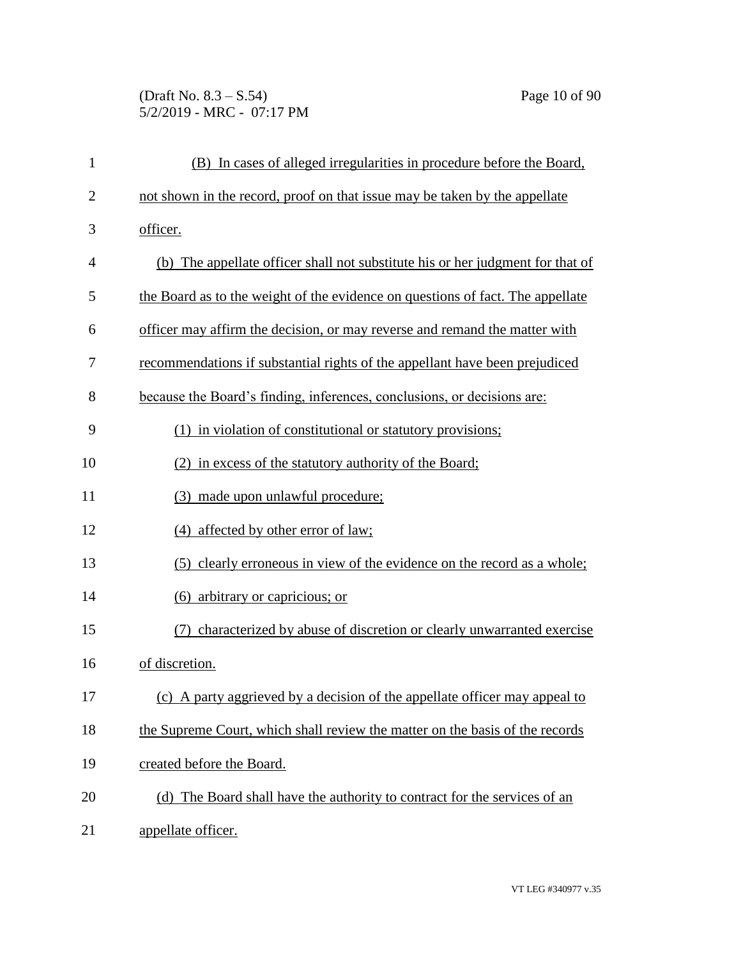(Draft No. 8.3 – S.54) Page 10 of 90 5/2/2019 - MRC - 07:17 PM

| $\mathbf{1}$   | (B) In cases of alleged irregularities in procedure before the Board,          |
|----------------|--------------------------------------------------------------------------------|
| $\overline{2}$ | not shown in the record, proof on that issue may be taken by the appellate     |
| 3              | officer.                                                                       |
| 4              | (b) The appellate officer shall not substitute his or her judgment for that of |
| 5              | the Board as to the weight of the evidence on questions of fact. The appellate |
| 6              | officer may affirm the decision, or may reverse and remand the matter with     |
| 7              | recommendations if substantial rights of the appellant have been prejudiced    |
| 8              | because the Board's finding, inferences, conclusions, or decisions are:        |
| 9              | (1) in violation of constitutional or statutory provisions;                    |
| 10             | (2) in excess of the statutory authority of the Board;                         |
| 11             | (3) made upon unlawful procedure;                                              |
| 12             | (4) affected by other error of law;                                            |
| 13             | (5) clearly erroneous in view of the evidence on the record as a whole;        |
| 14             | (6) arbitrary or capricious; or                                                |
| 15             | characterized by abuse of discretion or clearly unwarranted exercise           |
| 16             | of discretion.                                                                 |
| 17             | A party aggrieved by a decision of the appellate officer may appeal to<br>(c)  |
| 18             | the Supreme Court, which shall review the matter on the basis of the records   |
| 19             | created before the Board.                                                      |
| 20             | (d) The Board shall have the authority to contract for the services of an      |
| 21             | appellate officer.                                                             |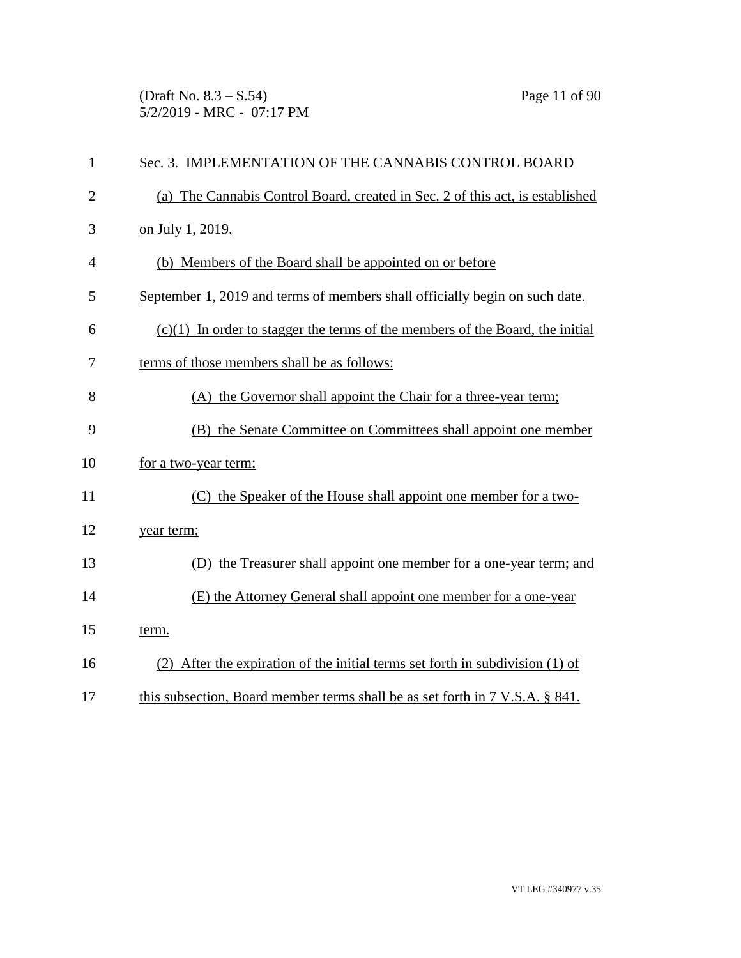(Draft No. 8.3 – S.54) Page 11 of 90 5/2/2019 - MRC - 07:17 PM

| $\mathbf{1}$   | Sec. 3. IMPLEMENTATION OF THE CANNABIS CONTROL BOARD                            |
|----------------|---------------------------------------------------------------------------------|
| $\overline{2}$ | (a) The Cannabis Control Board, created in Sec. 2 of this act, is established   |
| 3              | on July 1, 2019.                                                                |
| 4              | (b) Members of the Board shall be appointed on or before                        |
| 5              | September 1, 2019 and terms of members shall officially begin on such date.     |
| 6              | $(c)(1)$ In order to stagger the terms of the members of the Board, the initial |
| 7              | terms of those members shall be as follows:                                     |
| 8              | (A) the Governor shall appoint the Chair for a three-year term;                 |
| 9              | (B) the Senate Committee on Committees shall appoint one member                 |
| 10             | for a two-year term;                                                            |
| 11             | (C) the Speaker of the House shall appoint one member for a two-                |
| 12             | year term;                                                                      |
| 13             | (D) the Treasurer shall appoint one member for a one-year term; and             |
| 14             | (E) the Attorney General shall appoint one member for a one-year                |
| 15             | term.                                                                           |
| 16             | (2) After the expiration of the initial terms set forth in subdivision (1) of   |
| 17             | this subsection, Board member terms shall be as set forth in 7 V.S.A. § 841.    |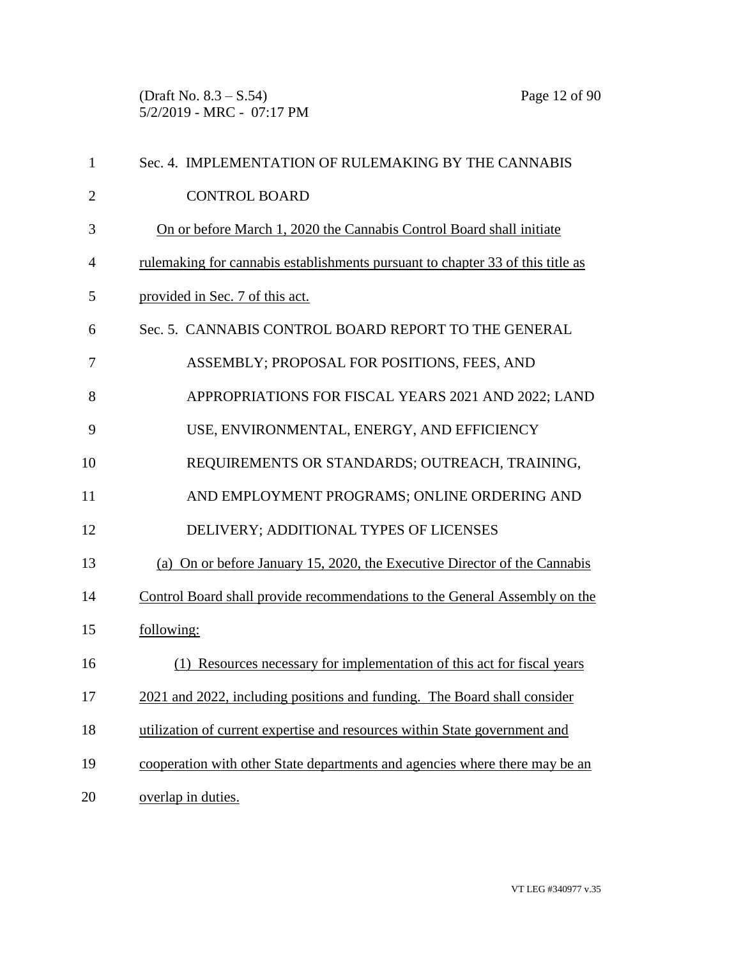(Draft No. 8.3 – S.54) Page 12 of 90 5/2/2019 - MRC - 07:17 PM

| $\mathbf{1}$   | Sec. 4. IMPLEMENTATION OF RULEMAKING BY THE CANNABIS                           |
|----------------|--------------------------------------------------------------------------------|
| $\overline{2}$ | <b>CONTROL BOARD</b>                                                           |
| 3              | On or before March 1, 2020 the Cannabis Control Board shall initiate           |
| 4              | rulemaking for cannabis establishments pursuant to chapter 33 of this title as |
| 5              | provided in Sec. 7 of this act.                                                |
| 6              | Sec. 5. CANNABIS CONTROL BOARD REPORT TO THE GENERAL                           |
| 7              | ASSEMBLY; PROPOSAL FOR POSITIONS, FEES, AND                                    |
| 8              | APPROPRIATIONS FOR FISCAL YEARS 2021 AND 2022; LAND                            |
| 9              | USE, ENVIRONMENTAL, ENERGY, AND EFFICIENCY                                     |
| 10             | REQUIREMENTS OR STANDARDS; OUTREACH, TRAINING,                                 |
| 11             | AND EMPLOYMENT PROGRAMS; ONLINE ORDERING AND                                   |
| 12             | DELIVERY; ADDITIONAL TYPES OF LICENSES                                         |
| 13             | (a) On or before January 15, 2020, the Executive Director of the Cannabis      |
| 14             | Control Board shall provide recommendations to the General Assembly on the     |
| 15             | following:                                                                     |
| 16             | Resources necessary for implementation of this act for fiscal years            |
| 17             | 2021 and 2022, including positions and funding. The Board shall consider       |
| 18             | utilization of current expertise and resources within State government and     |
| 19             | cooperation with other State departments and agencies where there may be an    |
| 20             | overlap in duties.                                                             |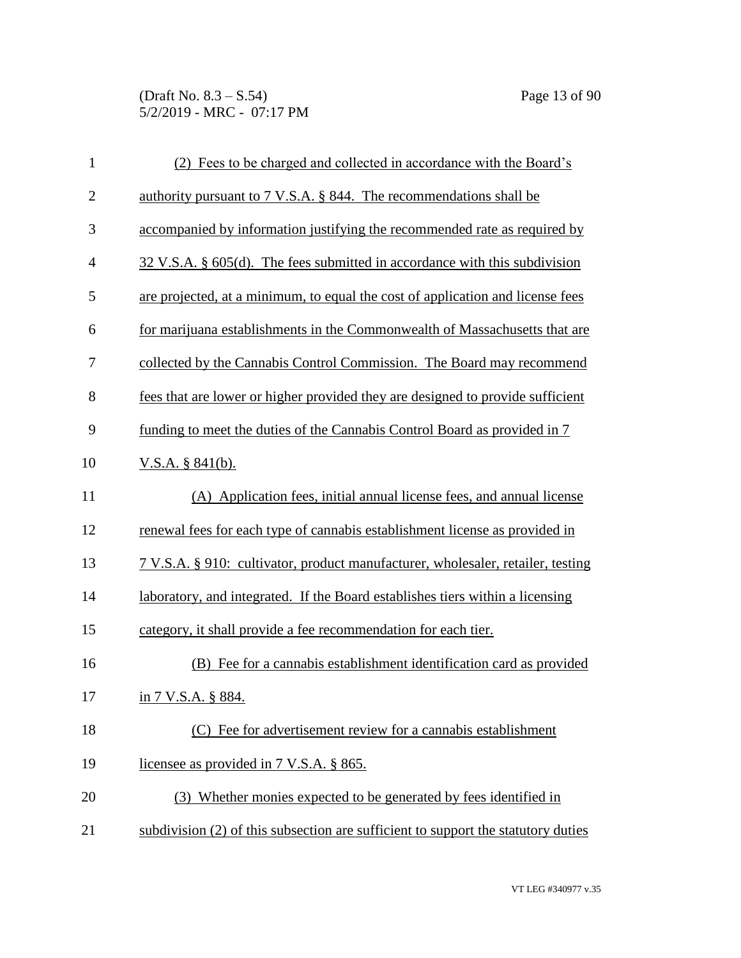(Draft No. 8.3 – S.54) Page 13 of 90 5/2/2019 - MRC - 07:17 PM

| $\mathbf{1}$   | (2) Fees to be charged and collected in accordance with the Board's               |
|----------------|-----------------------------------------------------------------------------------|
| $\overline{2}$ | authority pursuant to 7 V.S.A. § 844. The recommendations shall be                |
| 3              | accompanied by information justifying the recommended rate as required by         |
| $\overline{4}$ | $32$ V.S.A. § 605(d). The fees submitted in accordance with this subdivision      |
| 5              | are projected, at a minimum, to equal the cost of application and license fees    |
| 6              | for marijuana establishments in the Commonwealth of Massachusetts that are        |
| 7              | collected by the Cannabis Control Commission. The Board may recommend             |
| 8              | fees that are lower or higher provided they are designed to provide sufficient    |
| 9              | funding to meet the duties of the Cannabis Control Board as provided in 7         |
| 10             | V.S.A. $§ 841(b)$ .                                                               |
| 11             | (A) Application fees, initial annual license fees, and annual license             |
| 12             | renewal fees for each type of cannabis establishment license as provided in       |
| 13             | 7 V.S.A. § 910: cultivator, product manufacturer, wholesaler, retailer, testing   |
| 14             | laboratory, and integrated. If the Board establishes tiers within a licensing     |
| 15             | category, it shall provide a fee recommendation for each tier.                    |
| 16             | (B) Fee for a cannabis establishment identification card as provided              |
| 17             | in 7 V.S.A. § 884.                                                                |
| 18             | (C) Fee for advertisement review for a cannabis establishment                     |
| 19             | licensee as provided in 7 V.S.A. § 865.                                           |
| 20             | (3) Whether monies expected to be generated by fees identified in                 |
| 21             | subdivision (2) of this subsection are sufficient to support the statutory duties |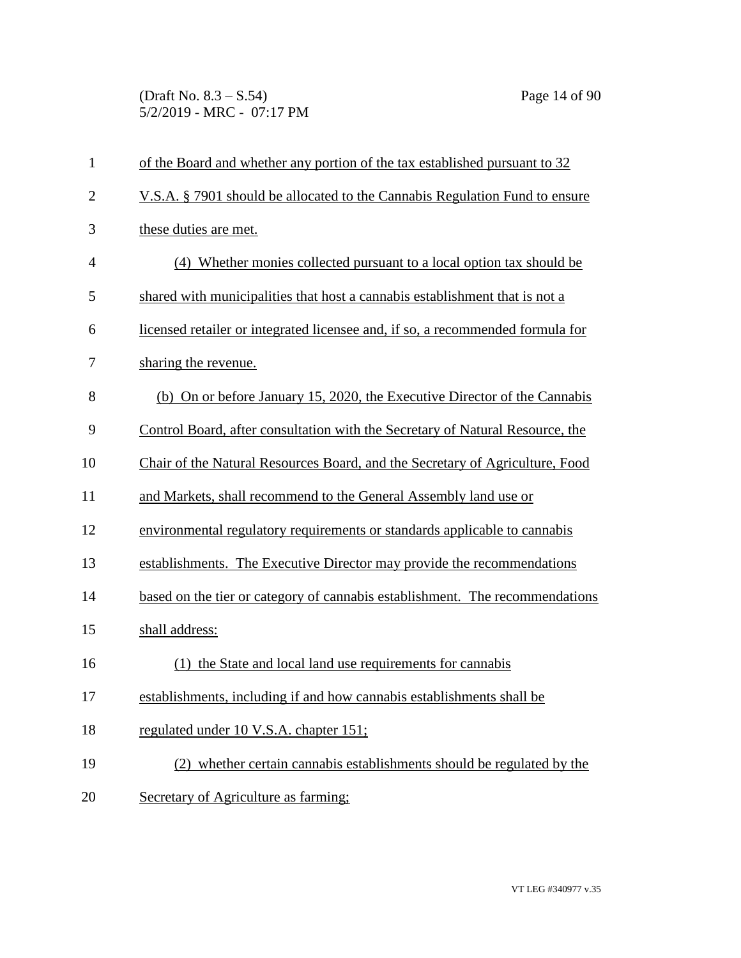(Draft No. 8.3 – S.54) Page 14 of 90 5/2/2019 - MRC - 07:17 PM

| $\mathbf{1}$   | of the Board and whether any portion of the tax established pursuant to 32     |
|----------------|--------------------------------------------------------------------------------|
| $\overline{2}$ | V.S.A. § 7901 should be allocated to the Cannabis Regulation Fund to ensure    |
| 3              | these duties are met.                                                          |
| $\overline{4}$ | (4) Whether monies collected pursuant to a local option tax should be          |
| 5              | shared with municipalities that host a cannabis establishment that is not a    |
| 6              | licensed retailer or integrated licensee and, if so, a recommended formula for |
| 7              | sharing the revenue.                                                           |
| 8              | (b) On or before January 15, 2020, the Executive Director of the Cannabis      |
| 9              | Control Board, after consultation with the Secretary of Natural Resource, the  |
| 10             | Chair of the Natural Resources Board, and the Secretary of Agriculture, Food   |
| 11             | and Markets, shall recommend to the General Assembly land use or               |
| 12             | environmental regulatory requirements or standards applicable to cannabis      |
| 13             | establishments. The Executive Director may provide the recommendations         |
| 14             | based on the tier or category of cannabis establishment. The recommendations   |
| 15             | shall address:                                                                 |
| 16             | (1) the State and local land use requirements for cannabis                     |
| 17             | establishments, including if and how cannabis establishments shall be          |
| 18             | regulated under 10 V.S.A. chapter 151;                                         |
| 19             | (2) whether certain cannabis establishments should be regulated by the         |
| 20             | Secretary of Agriculture as farming:                                           |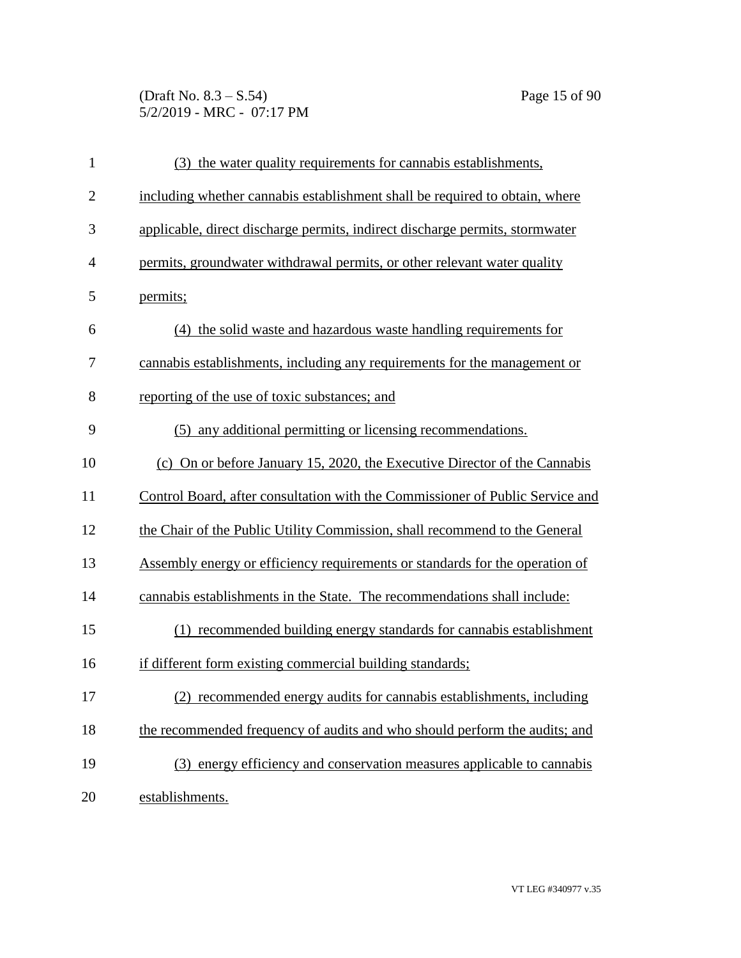(Draft No. 8.3 – S.54) Page 15 of 90 5/2/2019 - MRC - 07:17 PM

| $\mathbf{1}$   | (3) the water quality requirements for cannabis establishments,               |
|----------------|-------------------------------------------------------------------------------|
| $\overline{c}$ | including whether cannabis establishment shall be required to obtain, where   |
| 3              | applicable, direct discharge permits, indirect discharge permits, stormwater  |
| 4              | permits, groundwater withdrawal permits, or other relevant water quality      |
| 5              | permits;                                                                      |
| 6              | (4) the solid waste and hazardous waste handling requirements for             |
| 7              | cannabis establishments, including any requirements for the management or     |
| 8              | reporting of the use of toxic substances; and                                 |
| 9              | (5) any additional permitting or licensing recommendations.                   |
| 10             | (c) On or before January 15, 2020, the Executive Director of the Cannabis     |
| 11             | Control Board, after consultation with the Commissioner of Public Service and |
| 12             | the Chair of the Public Utility Commission, shall recommend to the General    |
| 13             | Assembly energy or efficiency requirements or standards for the operation of  |
| 14             | cannabis establishments in the State. The recommendations shall include:      |
| 15             | (1) recommended building energy standards for cannabis establishment          |
| 16             | if different form existing commercial building standards;                     |
| 17             | (2) recommended energy audits for cannabis establishments, including          |
| 18             | the recommended frequency of audits and who should perform the audits; and    |
| 19             | (3) energy efficiency and conservation measures applicable to cannabis        |
| 20             | establishments.                                                               |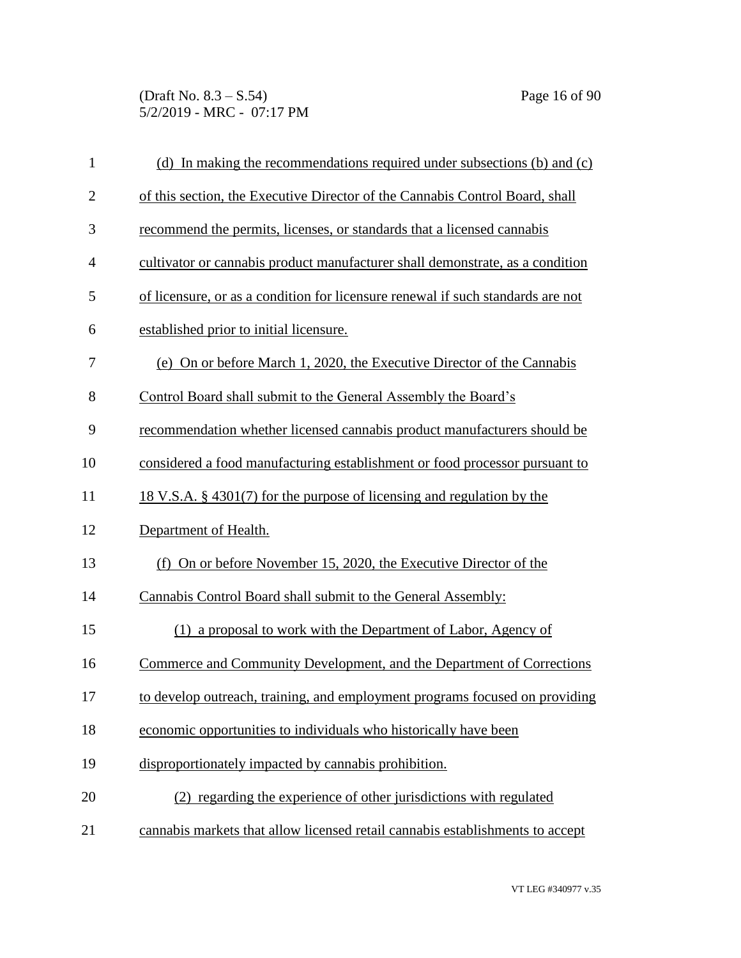(Draft No. 8.3 – S.54) Page 16 of 90 5/2/2019 - MRC - 07:17 PM

| $\mathbf{1}$   | (d) In making the recommendations required under subsections (b) and (c)        |
|----------------|---------------------------------------------------------------------------------|
| $\overline{c}$ | of this section, the Executive Director of the Cannabis Control Board, shall    |
| 3              | recommend the permits, licenses, or standards that a licensed cannabis          |
| $\overline{4}$ | cultivator or cannabis product manufacturer shall demonstrate, as a condition   |
| 5              | of licensure, or as a condition for licensure renewal if such standards are not |
| 6              | established prior to initial licensure.                                         |
| 7              | (e) On or before March 1, 2020, the Executive Director of the Cannabis          |
| 8              | Control Board shall submit to the General Assembly the Board's                  |
| 9              | recommendation whether licensed cannabis product manufacturers should be        |
| 10             | considered a food manufacturing establishment or food processor pursuant to     |
| 11             | 18 V.S.A. § 4301(7) for the purpose of licensing and regulation by the          |
| 12             | Department of Health.                                                           |
| 13             | (f) On or before November 15, 2020, the Executive Director of the               |
| 14             | Cannabis Control Board shall submit to the General Assembly:                    |
| 15             | (1) a proposal to work with the Department of Labor, Agency of                  |
| 16             | Commerce and Community Development, and the Department of Corrections           |
| 17             | to develop outreach, training, and employment programs focused on providing     |
| 18             | economic opportunities to individuals who historically have been                |
| 19             | disproportionately impacted by cannabis prohibition.                            |
| 20             | (2) regarding the experience of other jurisdictions with regulated              |
| 21             | cannabis markets that allow licensed retail cannabis establishments to accept   |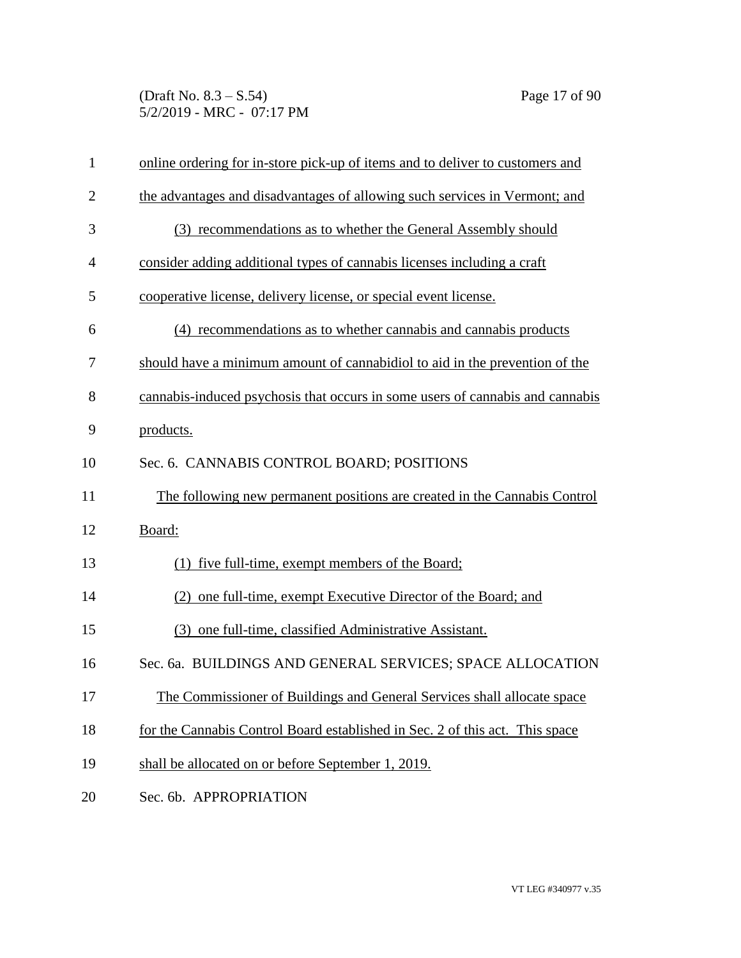(Draft No. 8.3 – S.54) Page 17 of 90 5/2/2019 - MRC - 07:17 PM

| $\mathbf{1}$   | online ordering for in-store pick-up of items and to deliver to customers and |
|----------------|-------------------------------------------------------------------------------|
| $\overline{2}$ | the advantages and disadvantages of allowing such services in Vermont; and    |
| 3              | (3) recommendations as to whether the General Assembly should                 |
| 4              | consider adding additional types of cannabis licenses including a craft       |
| 5              | cooperative license, delivery license, or special event license.              |
| 6              | (4) recommendations as to whether cannabis and cannabis products              |
| 7              | should have a minimum amount of cannabidiol to aid in the prevention of the   |
| 8              | cannabis-induced psychosis that occurs in some users of cannabis and cannabis |
| 9              | products.                                                                     |
| 10             | Sec. 6. CANNABIS CONTROL BOARD; POSITIONS                                     |
| 11             | The following new permanent positions are created in the Cannabis Control     |
| 12             | Board:                                                                        |
| 13             | (1) five full-time, exempt members of the Board;                              |
| 14             | (2) one full-time, exempt Executive Director of the Board; and                |
| 15             | (3) one full-time, classified Administrative Assistant.                       |
| 16             | Sec. 6a. BUILDINGS AND GENERAL SERVICES; SPACE ALLOCATION                     |
| 17             | The Commissioner of Buildings and General Services shall allocate space       |
| 18             | for the Cannabis Control Board established in Sec. 2 of this act. This space  |
| 19             | shall be allocated on or before September 1, 2019.                            |
| 20             | Sec. 6b. APPROPRIATION                                                        |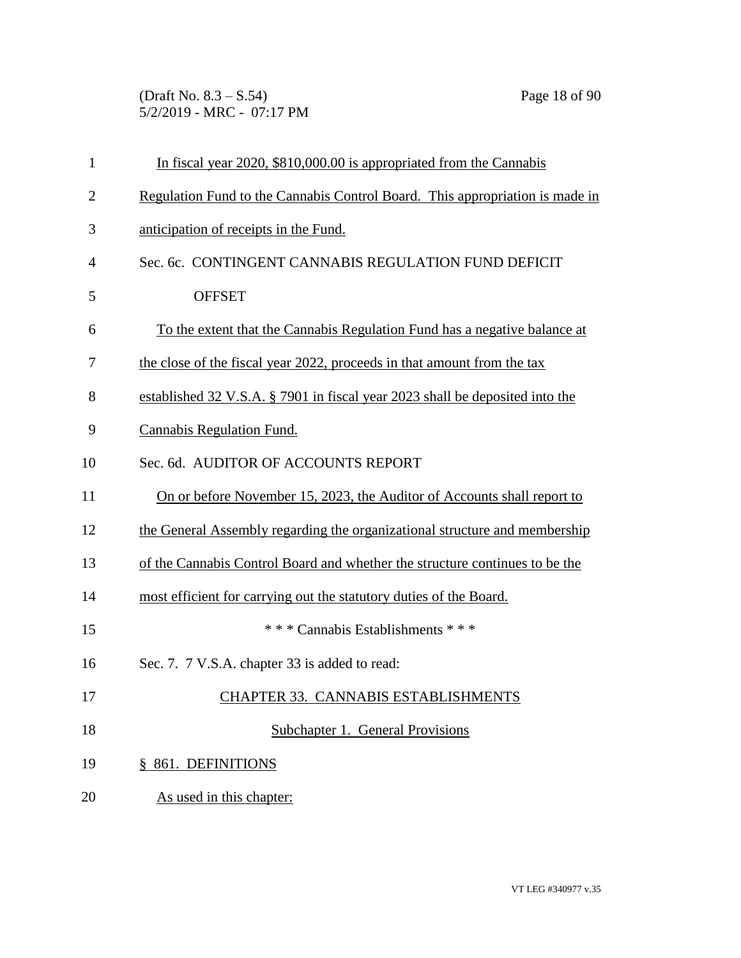(Draft No. 8.3 – S.54) Page 18 of 90 5/2/2019 - MRC - 07:17 PM

| $\mathbf{1}$   | In fiscal year 2020, \$810,000.00 is appropriated from the Cannabis          |
|----------------|------------------------------------------------------------------------------|
| $\overline{2}$ | Regulation Fund to the Cannabis Control Board. This appropriation is made in |
| 3              | anticipation of receipts in the Fund.                                        |
| $\overline{4}$ | Sec. 6c. CONTINGENT CANNABIS REGULATION FUND DEFICIT                         |
| 5              | <b>OFFSET</b>                                                                |
| 6              | To the extent that the Cannabis Regulation Fund has a negative balance at    |
| 7              | the close of the fiscal year 2022, proceeds in that amount from the tax      |
| 8              | established 32 V.S.A. § 7901 in fiscal year 2023 shall be deposited into the |
| 9              | <b>Cannabis Regulation Fund.</b>                                             |
| 10             | Sec. 6d. AUDITOR OF ACCOUNTS REPORT                                          |
| 11             | On or before November 15, 2023, the Auditor of Accounts shall report to      |
| 12             | the General Assembly regarding the organizational structure and membership   |
| 13             | of the Cannabis Control Board and whether the structure continues to be the  |
| 14             | most efficient for carrying out the statutory duties of the Board.           |
| 15             | * * * Cannabis Establishments * * *                                          |
| 16             | Sec. 7. 7 V.S.A. chapter 33 is added to read:                                |
| 17             | <b>CHAPTER 33. CANNABIS ESTABLISHMENTS</b>                                   |
| 18             | Subchapter 1. General Provisions                                             |
| 19             | § 861. DEFINITIONS                                                           |
| 20             | As used in this chapter:                                                     |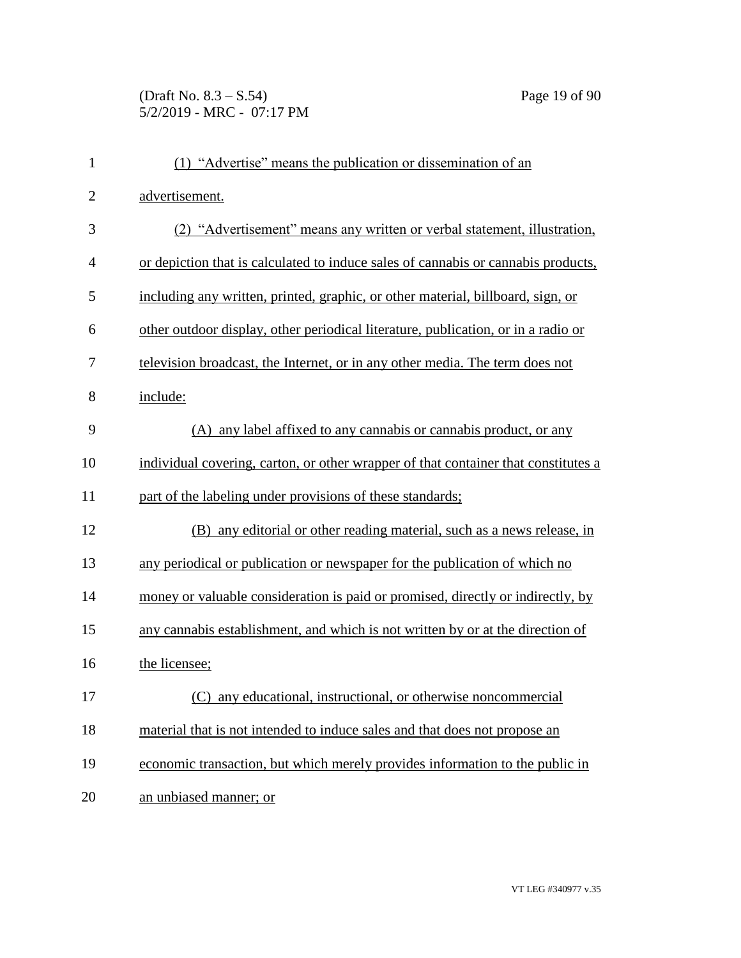## (Draft No. 8.3 – S.54) Page 19 of 90 5/2/2019 - MRC - 07:17 PM

| $\mathbf{1}$   | (1) "Advertise" means the publication or dissemination of an                       |
|----------------|------------------------------------------------------------------------------------|
| $\overline{2}$ | advertisement.                                                                     |
| 3              | (2) "Advertisement" means any written or verbal statement, illustration,           |
| $\overline{4}$ | or depiction that is calculated to induce sales of cannabis or cannabis products,  |
| 5              | including any written, printed, graphic, or other material, billboard, sign, or    |
| 6              | other outdoor display, other periodical literature, publication, or in a radio or  |
| 7              | television broadcast, the Internet, or in any other media. The term does not       |
| 8              | include:                                                                           |
| 9              | (A) any label affixed to any cannabis or cannabis product, or any                  |
| 10             | individual covering, carton, or other wrapper of that container that constitutes a |
| 11             | part of the labeling under provisions of these standards;                          |
| 12             | (B) any editorial or other reading material, such as a news release, in            |
| 13             | any periodical or publication or newspaper for the publication of which no         |
| 14             | money or valuable consideration is paid or promised, directly or indirectly, by    |
| 15             | any cannabis establishment, and which is not written by or at the direction of     |
| 16             | the licensee;                                                                      |
| 17             | (C) any educational, instructional, or otherwise noncommercial                     |
| 18             | material that is not intended to induce sales and that does not propose an         |
| 19             | economic transaction, but which merely provides information to the public in       |
| 20             | an unbiased manner; or                                                             |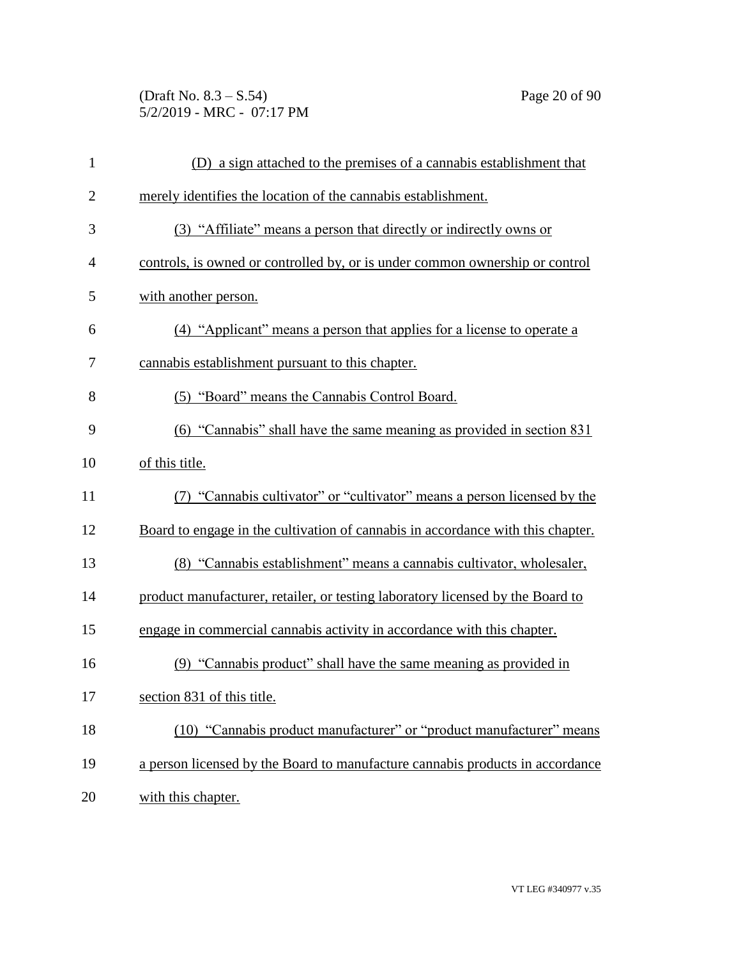(Draft No. 8.3 – S.54) Page 20 of 90 5/2/2019 - MRC - 07:17 PM

| $\mathbf{1}$   | (D) a sign attached to the premises of a cannabis establishment that            |
|----------------|---------------------------------------------------------------------------------|
| $\overline{2}$ | merely identifies the location of the cannabis establishment.                   |
| 3              | (3) "Affiliate" means a person that directly or indirectly owns or              |
| 4              | controls, is owned or controlled by, or is under common ownership or control    |
| 5              | with another person.                                                            |
| 6              | (4) "Applicant" means a person that applies for a license to operate a          |
| 7              | cannabis establishment pursuant to this chapter.                                |
| 8              | (5) "Board" means the Cannabis Control Board.                                   |
| 9              | (6) "Cannabis" shall have the same meaning as provided in section 831           |
| 10             | of this title.                                                                  |
| 11             | "Cannabis cultivator" or "cultivator" means a person licensed by the            |
| 12             | Board to engage in the cultivation of cannabis in accordance with this chapter. |
| 13             | (8) "Cannabis establishment" means a cannabis cultivator, wholesaler,           |
| 14             | product manufacturer, retailer, or testing laboratory licensed by the Board to  |
| 15             | engage in commercial cannabis activity in accordance with this chapter.         |
| 16             | (9) "Cannabis product" shall have the same meaning as provided in               |
| 17             | section 831 of this title.                                                      |
| 18             | (10) "Cannabis product manufacturer" or "product manufacturer" means            |
| 19             | a person licensed by the Board to manufacture cannabis products in accordance   |
| 20             | with this chapter.                                                              |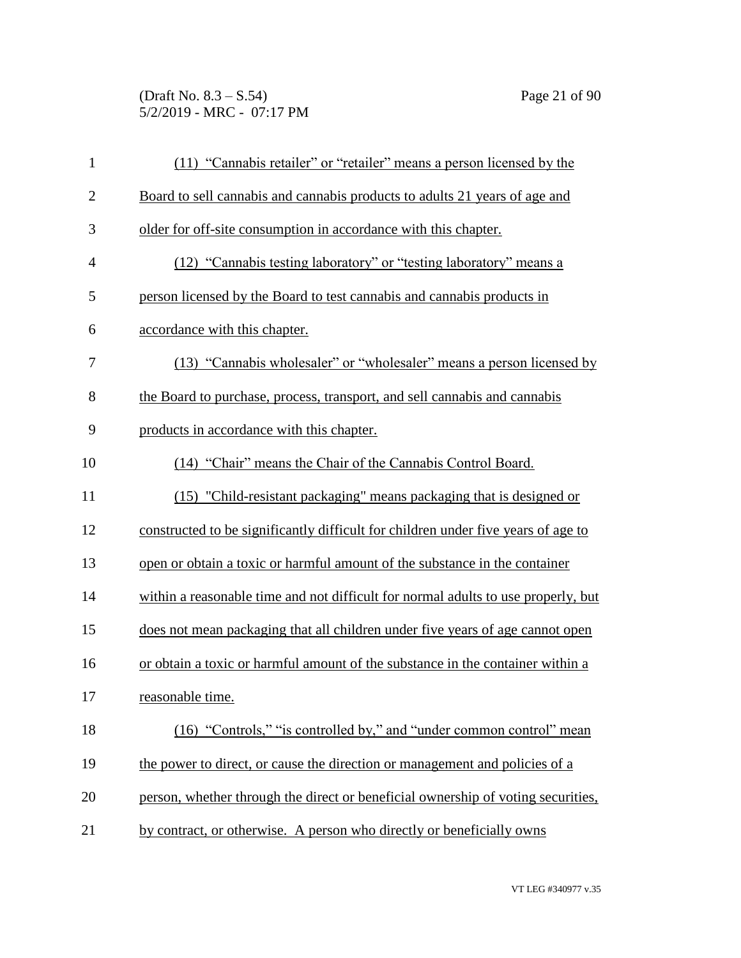(Draft No. 8.3 – S.54) Page 21 of 90 5/2/2019 - MRC - 07:17 PM

| $\mathbf{1}$   | (11) "Cannabis retailer" or "retailer" means a person licensed by the             |
|----------------|-----------------------------------------------------------------------------------|
| $\overline{2}$ | Board to sell cannabis and cannabis products to adults 21 years of age and        |
| 3              | older for off-site consumption in accordance with this chapter.                   |
| $\overline{4}$ | (12) "Cannabis testing laboratory" or "testing laboratory" means a                |
| 5              | person licensed by the Board to test cannabis and cannabis products in            |
| 6              | accordance with this chapter.                                                     |
| 7              | (13) "Cannabis wholesaler" or "wholesaler" means a person licensed by             |
| 8              | the Board to purchase, process, transport, and sell cannabis and cannabis         |
| 9              | products in accordance with this chapter.                                         |
| 10             | (14) "Chair" means the Chair of the Cannabis Control Board.                       |
| 11             | (15) "Child-resistant packaging" means packaging that is designed or              |
| 12             | constructed to be significantly difficult for children under five years of age to |
| 13             | open or obtain a toxic or harmful amount of the substance in the container        |
| 14             | within a reasonable time and not difficult for normal adults to use properly, but |
| 15             | does not mean packaging that all children under five years of age cannot open     |
| 16             | or obtain a toxic or harmful amount of the substance in the container within a    |
| 17             | reasonable time.                                                                  |
| 18             | (16) "Controls," "is controlled by," and "under common control" mean              |
| 19             | the power to direct, or cause the direction or management and policies of a       |
| 20             | person, whether through the direct or beneficial ownership of voting securities,  |
| 21             | by contract, or otherwise. A person who directly or beneficially owns             |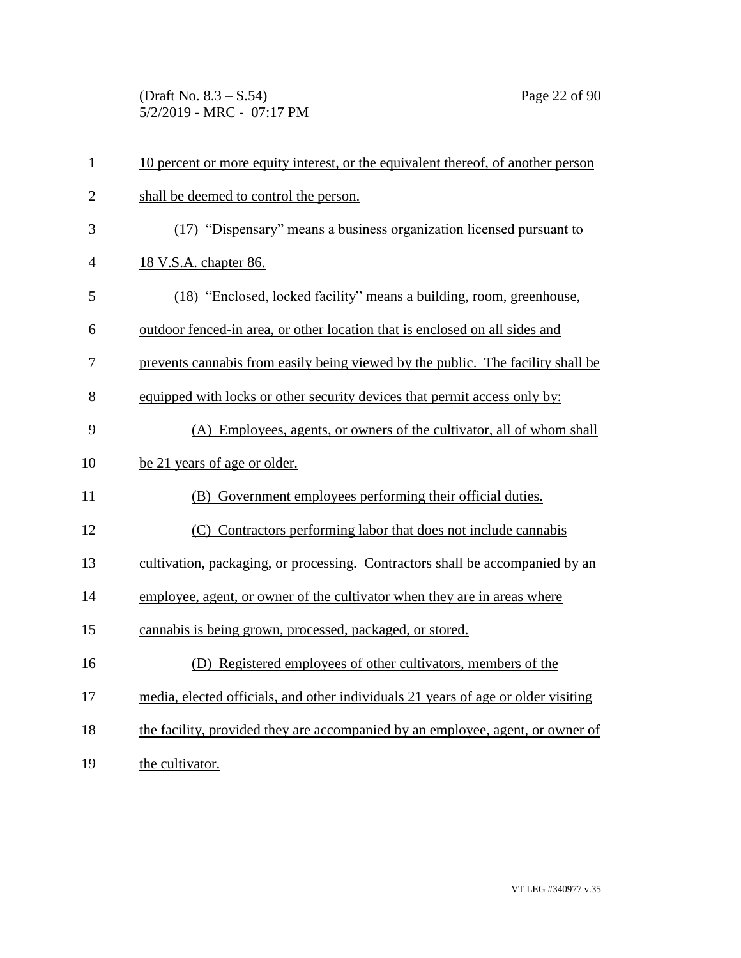(Draft No. 8.3 – S.54) Page 22 of 90 5/2/2019 - MRC - 07:17 PM

| $\mathbf{1}$   | 10 percent or more equity interest, or the equivalent thereof, of another person  |
|----------------|-----------------------------------------------------------------------------------|
| $\overline{2}$ | shall be deemed to control the person.                                            |
| 3              | (17) "Dispensary" means a business organization licensed pursuant to              |
| $\overline{4}$ | 18 V.S.A. chapter 86.                                                             |
| 5              | (18) "Enclosed, locked facility" means a building, room, greenhouse,              |
| 6              | outdoor fenced-in area, or other location that is enclosed on all sides and       |
| 7              | prevents cannabis from easily being viewed by the public. The facility shall be   |
| 8              | equipped with locks or other security devices that permit access only by:         |
| 9              | (A) Employees, agents, or owners of the cultivator, all of whom shall             |
| 10             | be 21 years of age or older.                                                      |
| 11             | (B) Government employees performing their official duties.                        |
| 12             | (C) Contractors performing labor that does not include cannabis                   |
| 13             | cultivation, packaging, or processing. Contractors shall be accompanied by an     |
| 14             | employee, agent, or owner of the cultivator when they are in areas where          |
| 15             | cannabis is being grown, processed, packaged, or stored.                          |
| 16             | (D) Registered employees of other cultivators, members of the                     |
| 17             | media, elected officials, and other individuals 21 years of age or older visiting |
| 18             | the facility, provided they are accompanied by an employee, agent, or owner of    |
| 19             | the cultivator.                                                                   |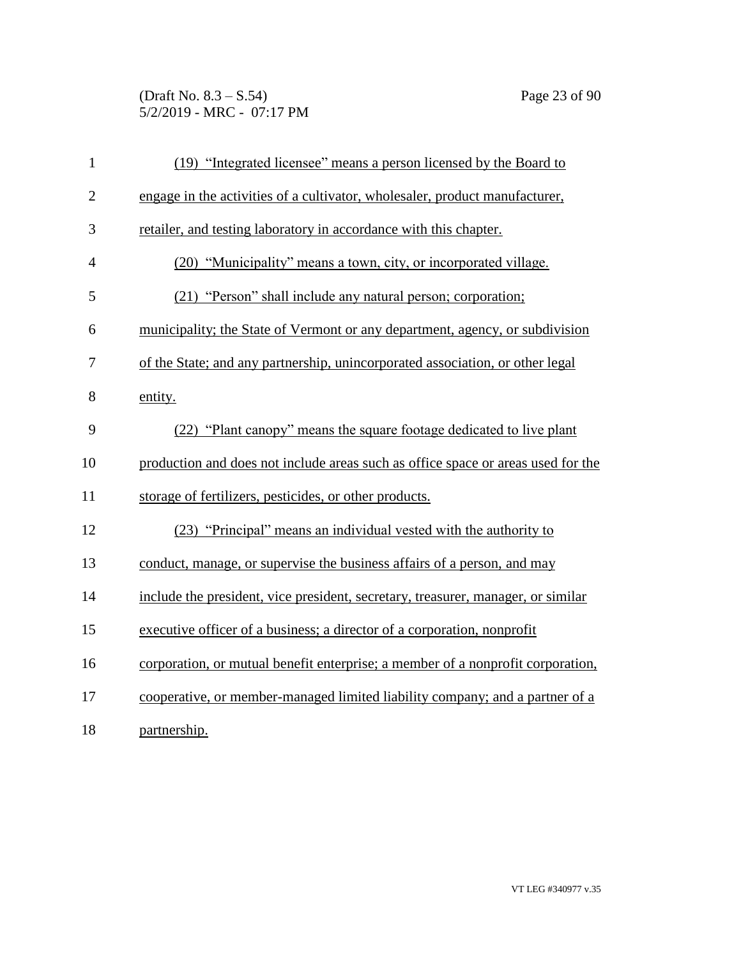(Draft No. 8.3 – S.54) Page 23 of 90 5/2/2019 - MRC - 07:17 PM

| $\mathbf{1}$   | (19) "Integrated licensee" means a person licensed by the Board to               |
|----------------|----------------------------------------------------------------------------------|
| $\overline{2}$ | engage in the activities of a cultivator, wholesaler, product manufacturer,      |
| 3              | retailer, and testing laboratory in accordance with this chapter.                |
| $\overline{4}$ | (20) "Municipality" means a town, city, or incorporated village.                 |
| 5              | (21) "Person" shall include any natural person; corporation;                     |
| 6              | municipality; the State of Vermont or any department, agency, or subdivision     |
| 7              | of the State; and any partnership, unincorporated association, or other legal    |
| 8              | entity.                                                                          |
| 9              | (22) "Plant canopy" means the square footage dedicated to live plant             |
| 10             | production and does not include areas such as office space or areas used for the |
| 11             | storage of fertilizers, pesticides, or other products.                           |
| 12             | (23) "Principal" means an individual vested with the authority to                |
| 13             | conduct, manage, or supervise the business affairs of a person, and may          |
| 14             | include the president, vice president, secretary, treasurer, manager, or similar |
| 15             | executive officer of a business; a director of a corporation, nonprofit          |
| 16             | corporation, or mutual benefit enterprise; a member of a nonprofit corporation,  |
| 17             | cooperative, or member-managed limited liability company; and a partner of a     |
| 18             | partnership.                                                                     |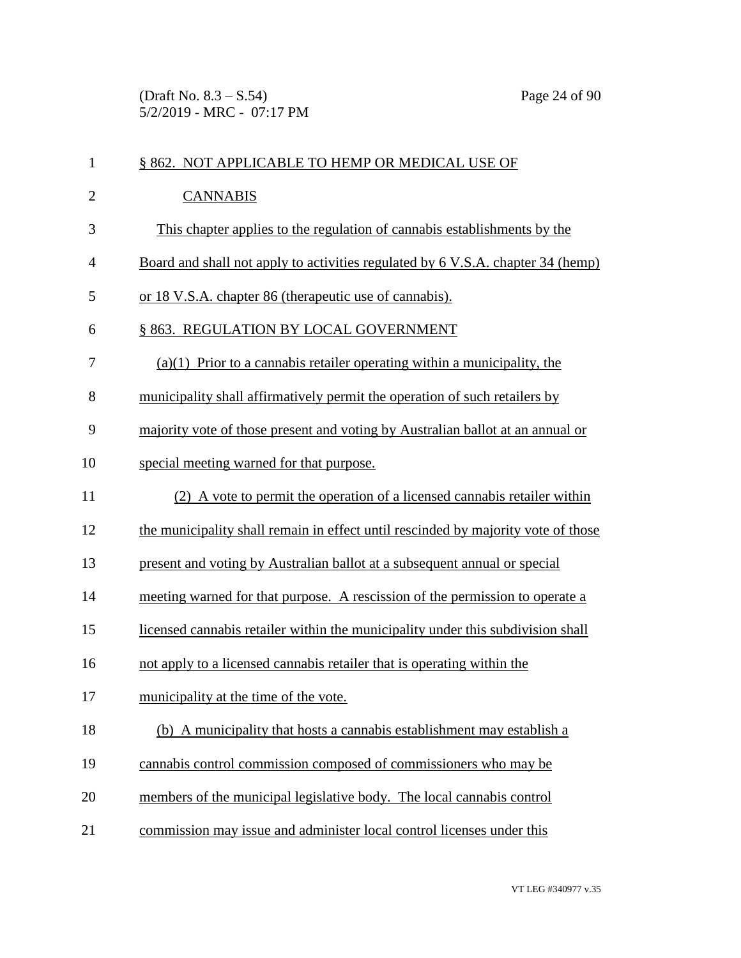(Draft No. 8.3 – S.54) Page 24 of 90 5/2/2019 - MRC - 07:17 PM

| $\mathbf{1}$   | § 862. NOT APPLICABLE TO HEMP OR MEDICAL USE OF                                   |
|----------------|-----------------------------------------------------------------------------------|
| $\overline{2}$ | <b>CANNABIS</b>                                                                   |
| 3              | This chapter applies to the regulation of cannabis establishments by the          |
| 4              | Board and shall not apply to activities regulated by 6 V.S.A. chapter 34 (hemp)   |
| 5              | or 18 V.S.A. chapter 86 (therapeutic use of cannabis).                            |
| 6              | § 863. REGULATION BY LOCAL GOVERNMENT                                             |
| 7              | $(a)(1)$ Prior to a cannabis retailer operating within a municipality, the        |
| 8              | municipality shall affirmatively permit the operation of such retailers by        |
| 9              | majority vote of those present and voting by Australian ballot at an annual or    |
| 10             | special meeting warned for that purpose.                                          |
| 11             | (2) A vote to permit the operation of a licensed cannabis retailer within         |
| 12             | the municipality shall remain in effect until rescinded by majority vote of those |
| 13             | present and voting by Australian ballot at a subsequent annual or special         |
| 14             | meeting warned for that purpose. A rescission of the permission to operate a      |
| 15             | licensed cannabis retailer within the municipality under this subdivision shall   |
| 16             | not apply to a licensed cannabis retailer that is operating within the            |
| 17             | municipality at the time of the vote.                                             |
| 18             | (b) A municipality that hosts a cannabis establishment may establish a            |
| 19             | cannabis control commission composed of commissioners who may be                  |
| 20             | members of the municipal legislative body. The local cannabis control             |
| 21             | commission may issue and administer local control licenses under this             |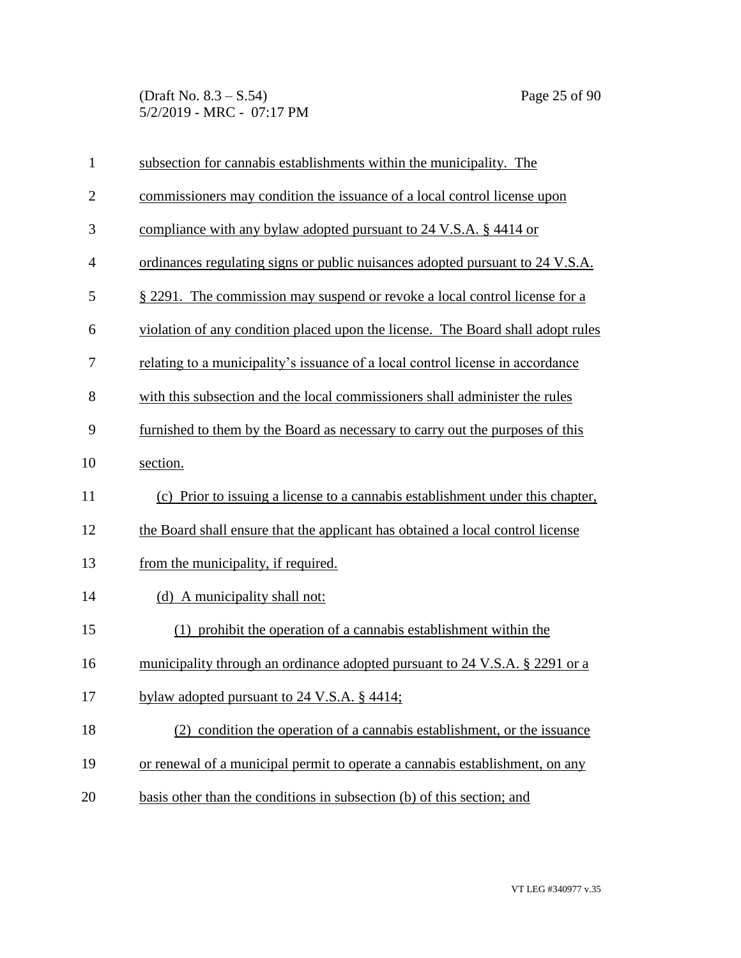(Draft No. 8.3 – S.54) Page 25 of 90 5/2/2019 - MRC - 07:17 PM

| $\mathbf{1}$   | subsection for cannabis establishments within the municipality. The             |
|----------------|---------------------------------------------------------------------------------|
| $\overline{2}$ | commissioners may condition the issuance of a local control license upon        |
| 3              | compliance with any bylaw adopted pursuant to 24 V.S.A. § 4414 or               |
| $\overline{4}$ | ordinances regulating signs or public nuisances adopted pursuant to 24 V.S.A.   |
| 5              | § 2291. The commission may suspend or revoke a local control license for a      |
| 6              | violation of any condition placed upon the license. The Board shall adopt rules |
| 7              | relating to a municipality's issuance of a local control license in accordance  |
| 8              | with this subsection and the local commissioners shall administer the rules     |
| 9              | furnished to them by the Board as necessary to carry out the purposes of this   |
| 10             | section.                                                                        |
| 11             | (c) Prior to issuing a license to a cannabis establishment under this chapter,  |
| 12             | the Board shall ensure that the applicant has obtained a local control license  |
| 13             | from the municipality, if required.                                             |
| 14             | (d) A municipality shall not:                                                   |
| 15             | (1) prohibit the operation of a cannabis establishment within the               |
| 16             | municipality through an ordinance adopted pursuant to 24 V.S.A. § 2291 or a     |
| 17             | bylaw adopted pursuant to $24$ V.S.A. § 4414;                                   |
| 18             | (2) condition the operation of a cannabis establishment, or the issuance        |
| 19             | or renewal of a municipal permit to operate a cannabis establishment, on any    |
| 20             | basis other than the conditions in subsection (b) of this section; and          |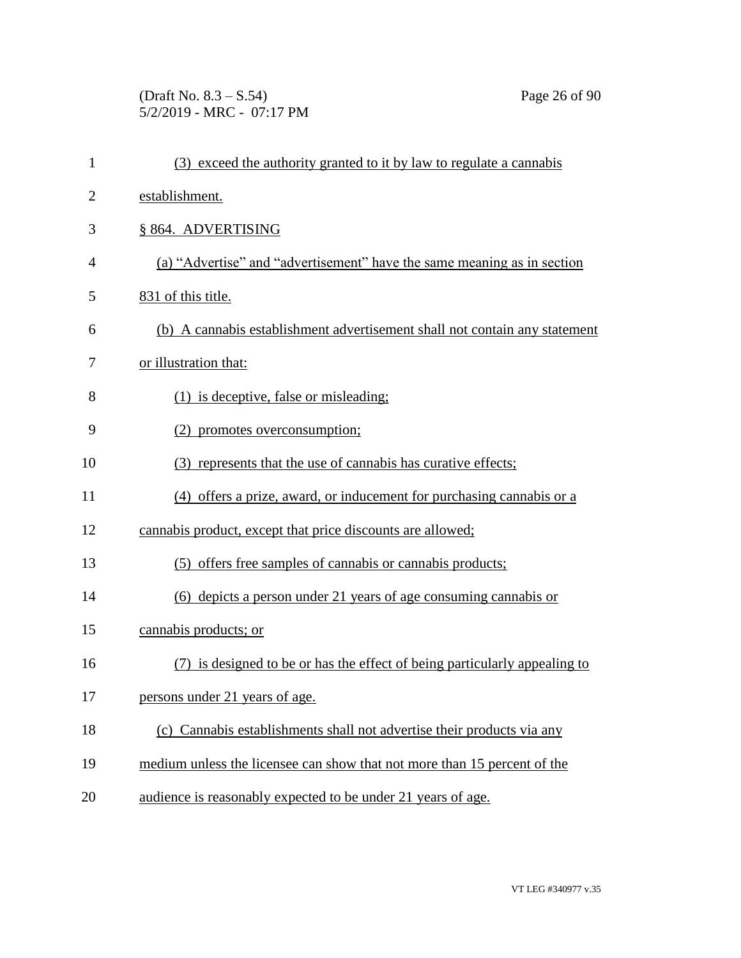(Draft No. 8.3 – S.54) Page 26 of 90 5/2/2019 - MRC - 07:17 PM

| $\mathbf{1}$   | (3) exceed the authority granted to it by law to regulate a cannabis       |
|----------------|----------------------------------------------------------------------------|
| $\overline{2}$ | establishment.                                                             |
| 3              | § 864. ADVERTISING                                                         |
| $\overline{4}$ | (a) "Advertise" and "advertisement" have the same meaning as in section    |
| 5              | 831 of this title.                                                         |
| 6              | (b) A cannabis establishment advertisement shall not contain any statement |
| 7              | or illustration that:                                                      |
| 8              | (1) is deceptive, false or misleading;                                     |
| 9              | (2) promotes overconsumption;                                              |
| 10             | (3) represents that the use of cannabis has curative effects;              |
| 11             | (4) offers a prize, award, or inducement for purchasing cannabis or a      |
| 12             | cannabis product, except that price discounts are allowed;                 |
| 13             | (5) offers free samples of cannabis or cannabis products;                  |
| 14             | (6) depicts a person under 21 years of age consuming cannabis or           |
| 15             | cannabis products; or                                                      |
| 16             | (7) is designed to be or has the effect of being particularly appealing to |
| 17             | persons under 21 years of age.                                             |
| 18             | (c) Cannabis establishments shall not advertise their products via any     |
| 19             | medium unless the licensee can show that not more than 15 percent of the   |
| 20             | audience is reasonably expected to be under 21 years of age.               |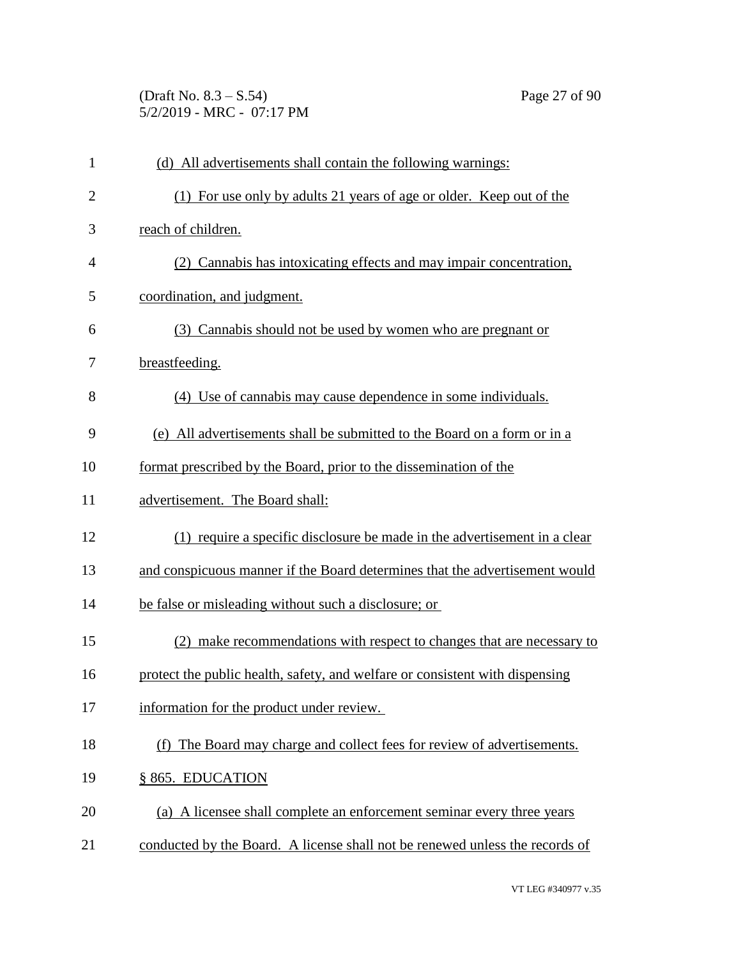(Draft No. 8.3 – S.54) Page 27 of 90 5/2/2019 - MRC - 07:17 PM

| $\mathbf{1}$   | (d) All advertisements shall contain the following warnings:                 |
|----------------|------------------------------------------------------------------------------|
| $\overline{2}$ | (1) For use only by adults 21 years of age or older. Keep out of the         |
| 3              | reach of children.                                                           |
| $\overline{4}$ | (2) Cannabis has intoxicating effects and may impair concentration,          |
| 5              | coordination, and judgment.                                                  |
| 6              | (3) Cannabis should not be used by women who are pregnant or                 |
| 7              | breastfeeding.                                                               |
| 8              | (4) Use of cannabis may cause dependence in some individuals.                |
| 9              | (e) All advertisements shall be submitted to the Board on a form or in a     |
| 10             | format prescribed by the Board, prior to the dissemination of the            |
| 11             | advertisement. The Board shall:                                              |
| 12             | (1) require a specific disclosure be made in the advertisement in a clear    |
| 13             | and conspicuous manner if the Board determines that the advertisement would  |
| 14             | be false or misleading without such a disclosure; or                         |
| 15             | (2) make recommendations with respect to changes that are necessary to       |
| 16             | protect the public health, safety, and welfare or consistent with dispensing |
| 17             | information for the product under review.                                    |
| 18             | (f) The Board may charge and collect fees for review of advertisements.      |
| 19             | § 865. EDUCATION                                                             |
| 20             | (a) A licensee shall complete an enforcement seminar every three years       |
| 21             | conducted by the Board. A license shall not be renewed unless the records of |
|                |                                                                              |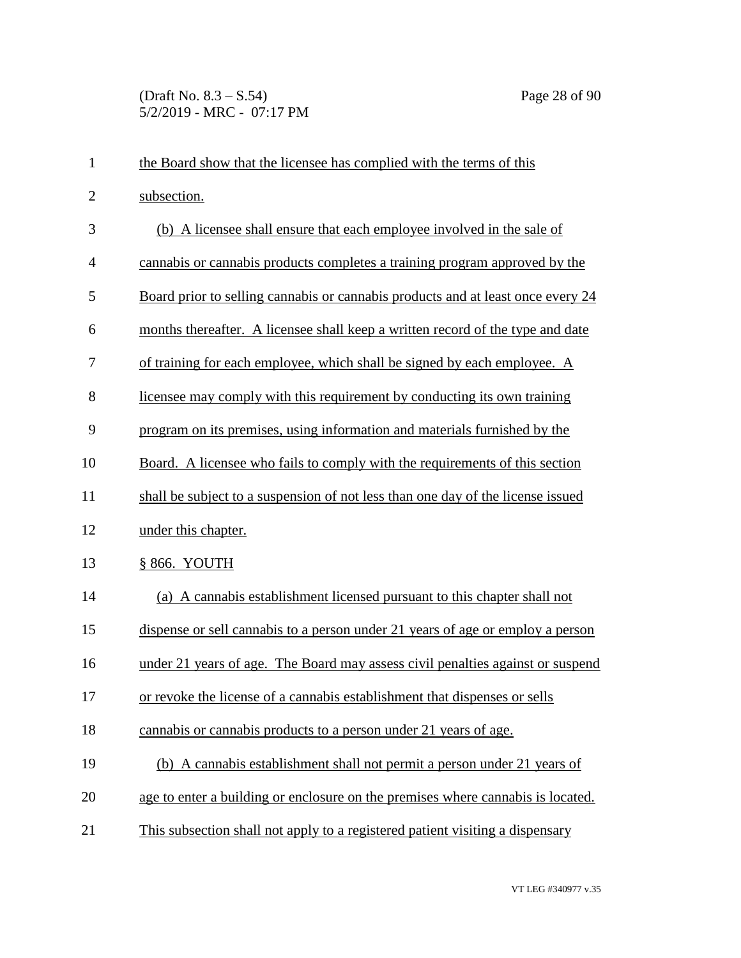| $\mathbf{1}$   | the Board show that the licensee has complied with the terms of this            |
|----------------|---------------------------------------------------------------------------------|
| $\overline{2}$ | subsection.                                                                     |
| 3              | (b) A licensee shall ensure that each employee involved in the sale of          |
| $\overline{4}$ | cannabis or cannabis products completes a training program approved by the      |
| 5              | Board prior to selling cannabis or cannabis products and at least once every 24 |
| 6              | months thereafter. A licensee shall keep a written record of the type and date  |
| 7              | of training for each employee, which shall be signed by each employee. A        |
| 8              | licensee may comply with this requirement by conducting its own training        |
| 9              | program on its premises, using information and materials furnished by the       |
| 10             | Board. A licensee who fails to comply with the requirements of this section     |
| 11             | shall be subject to a suspension of not less than one day of the license issued |
| 12             | under this chapter.                                                             |
| 13             | § 866. YOUTH                                                                    |
| 14             | (a) A cannabis establishment licensed pursuant to this chapter shall not        |
| 15             | dispense or sell cannabis to a person under 21 years of age or employ a person  |
| 16             | under 21 years of age. The Board may assess civil penalties against or suspend  |
| 17             | or revoke the license of a cannabis establishment that dispenses or sells       |
| 18             | cannabis or cannabis products to a person under 21 years of age.                |
| 19             | (b) A cannabis establishment shall not permit a person under 21 years of        |
| 20             | age to enter a building or enclosure on the premises where cannabis is located. |
| 21             | This subsection shall not apply to a registered patient visiting a dispensary   |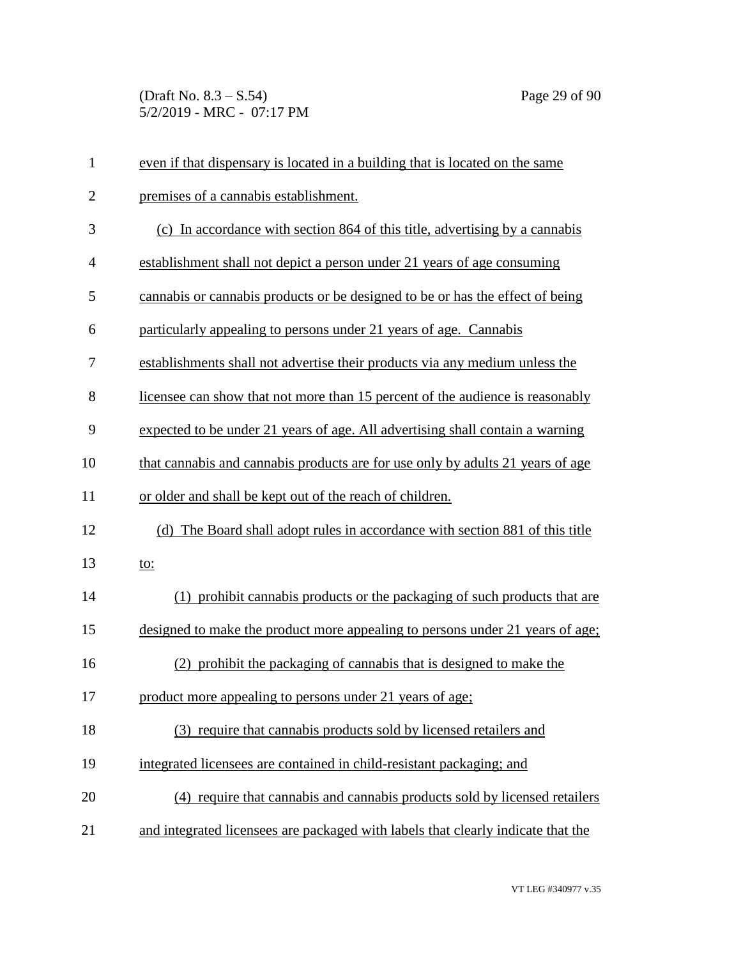(Draft No. 8.3 – S.54) Page 29 of 90 5/2/2019 - MRC - 07:17 PM

| $\mathbf{1}$   | even if that dispensary is located in a building that is located on the same     |
|----------------|----------------------------------------------------------------------------------|
| $\overline{2}$ | premises of a cannabis establishment.                                            |
| 3              | (c) In accordance with section 864 of this title, advertising by a cannabis      |
| $\overline{4}$ | establishment shall not depict a person under 21 years of age consuming          |
| 5              | cannabis or cannabis products or be designed to be or has the effect of being    |
| 6              | particularly appealing to persons under 21 years of age. Cannabis                |
| 7              | establishments shall not advertise their products via any medium unless the      |
| 8              | licensee can show that not more than 15 percent of the audience is reasonably    |
| 9              | expected to be under 21 years of age. All advertising shall contain a warning    |
| 10             | that cannabis and cannabis products are for use only by adults 21 years of age   |
| 11             | or older and shall be kept out of the reach of children.                         |
| 12             | (d) The Board shall adopt rules in accordance with section 881 of this title     |
| 13             | <u>to:</u>                                                                       |
| 14             | (1) prohibit cannabis products or the packaging of such products that are        |
| 15             | designed to make the product more appealing to persons under 21 years of age;    |
| 16             | (2) prohibit the packaging of cannabis that is designed to make the              |
| 17             | product more appealing to persons under 21 years of age;                         |
| 18             | (3) require that cannabis products sold by licensed retailers and                |
| 19             | integrated licensees are contained in child-resistant packaging; and             |
| 20             | (4) require that cannabis and cannabis products sold by licensed retailers       |
| 21             | and integrated licensees are packaged with labels that clearly indicate that the |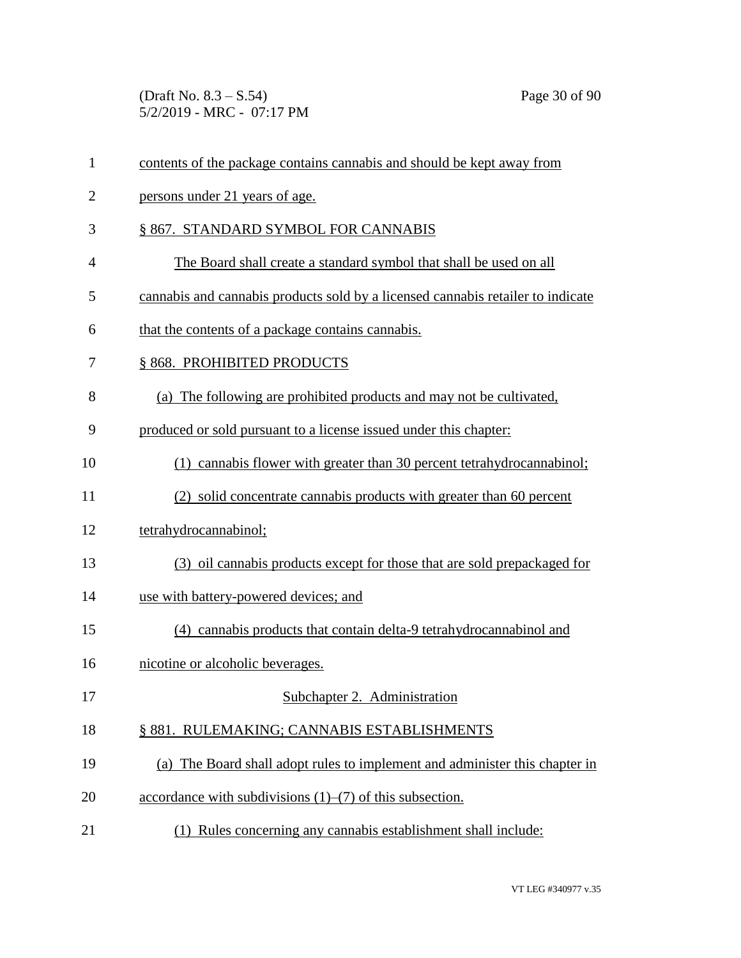(Draft No. 8.3 – S.54) Page 30 of 90 5/2/2019 - MRC - 07:17 PM

| $\mathbf{1}$   | contents of the package contains cannabis and should be kept away from          |
|----------------|---------------------------------------------------------------------------------|
| $\overline{2}$ | persons under 21 years of age.                                                  |
| 3              | § 867. STANDARD SYMBOL FOR CANNABIS                                             |
| $\overline{4}$ | The Board shall create a standard symbol that shall be used on all              |
| 5              | cannabis and cannabis products sold by a licensed cannabis retailer to indicate |
| 6              | that the contents of a package contains cannabis.                               |
| 7              | §868. PROHIBITED PRODUCTS                                                       |
| 8              | (a) The following are prohibited products and may not be cultivated,            |
| 9              | produced or sold pursuant to a license issued under this chapter:               |
| 10             | (1) cannabis flower with greater than 30 percent tetrahydrocannabinol;          |
| 11             | (2) solid concentrate cannabis products with greater than 60 percent            |
| 12             | tetrahydrocannabinol;                                                           |
| 13             | (3) oil cannabis products except for those that are sold prepackaged for        |
| 14             | use with battery-powered devices; and                                           |
| 15             | (4) cannabis products that contain delta-9 tetrahydrocannabinol and             |
| 16             | nicotine or alcoholic beverages.                                                |
| 17             | Subchapter 2. Administration                                                    |
| 18             | § 881. RULEMAKING; CANNABIS ESTABLISHMENTS                                      |
| 19             | (a) The Board shall adopt rules to implement and administer this chapter in     |
| 20             | accordance with subdivisions $(1)$ – $(7)$ of this subsection.                  |
| 21             | (1) Rules concerning any cannabis establishment shall include:                  |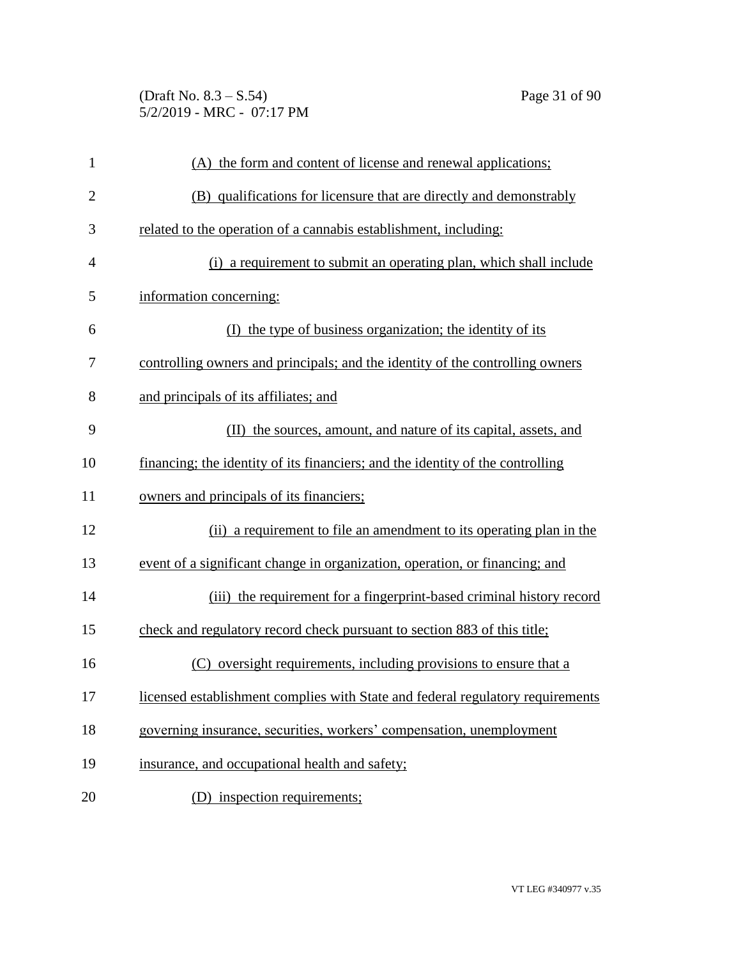(Draft No. 8.3 – S.54) Page 31 of 90 5/2/2019 - MRC - 07:17 PM

| $\mathbf{1}$   | (A) the form and content of license and renewal applications;                  |
|----------------|--------------------------------------------------------------------------------|
| $\overline{2}$ | (B) qualifications for licensure that are directly and demonstrably            |
| 3              | related to the operation of a cannabis establishment, including:               |
| $\overline{4}$ | (i) a requirement to submit an operating plan, which shall include             |
| 5              | information concerning:                                                        |
| 6              | (I) the type of business organization; the identity of its                     |
| 7              | controlling owners and principals; and the identity of the controlling owners  |
| 8              | and principals of its affiliates; and                                          |
| 9              | (II) the sources, amount, and nature of its capital, assets, and               |
| 10             | financing; the identity of its financiers; and the identity of the controlling |
| 11             | owners and principals of its financiers;                                       |
| 12             | (ii) a requirement to file an amendment to its operating plan in the           |
| 13             | event of a significant change in organization, operation, or financing; and    |
| 14             | (iii) the requirement for a fingerprint-based criminal history record          |
| 15             | check and regulatory record check pursuant to section 883 of this title;       |
| 16             | (C) oversight requirements, including provisions to ensure that a              |
| 17             | licensed establishment complies with State and federal regulatory requirements |
| 18             | governing insurance, securities, workers' compensation, unemployment           |
| 19             | insurance, and occupational health and safety;                                 |
| 20             | (D) inspection requirements;                                                   |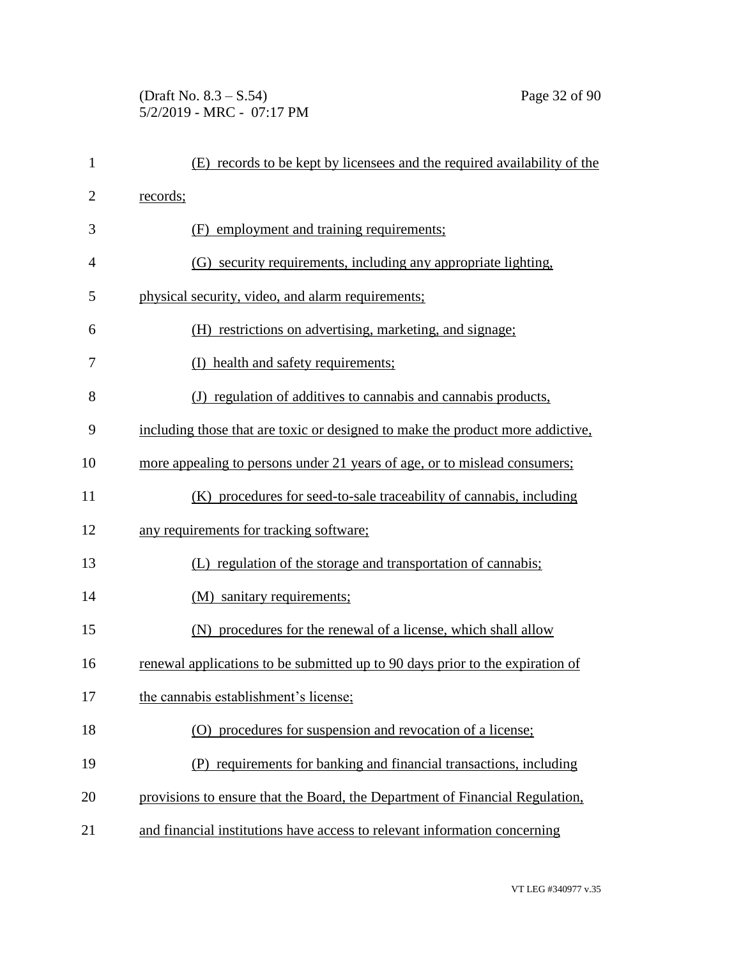(Draft No. 8.3 – S.54) Page 32 of 90 5/2/2019 - MRC - 07:17 PM

| $\mathbf{1}$   | (E) records to be kept by licensees and the required availability of the       |
|----------------|--------------------------------------------------------------------------------|
| $\overline{2}$ | records;                                                                       |
| 3              | (F) employment and training requirements;                                      |
| 4              | (G) security requirements, including any appropriate lighting.                 |
| 5              | physical security, video, and alarm requirements;                              |
| 6              | (H) restrictions on advertising, marketing, and signage;                       |
| 7              | (I) health and safety requirements;                                            |
| 8              | (J) regulation of additives to cannabis and cannabis products,                 |
| 9              | including those that are toxic or designed to make the product more addictive, |
| 10             | more appealing to persons under 21 years of age, or to mislead consumers;      |
| 11             | (K) procedures for seed-to-sale traceability of cannabis, including            |
| 12             | any requirements for tracking software;                                        |
| 13             | (L) regulation of the storage and transportation of cannabis;                  |
| 14             | (M) sanitary requirements;                                                     |
| 15             | (N) procedures for the renewal of a license, which shall allow                 |
| 16             | renewal applications to be submitted up to 90 days prior to the expiration of  |
| 17             | the cannabis establishment's license;                                          |
| 18             | (O) procedures for suspension and revocation of a license;                     |
| 19             | (P) requirements for banking and financial transactions, including             |
| 20             | provisions to ensure that the Board, the Department of Financial Regulation,   |
| 21             | and financial institutions have access to relevant information concerning      |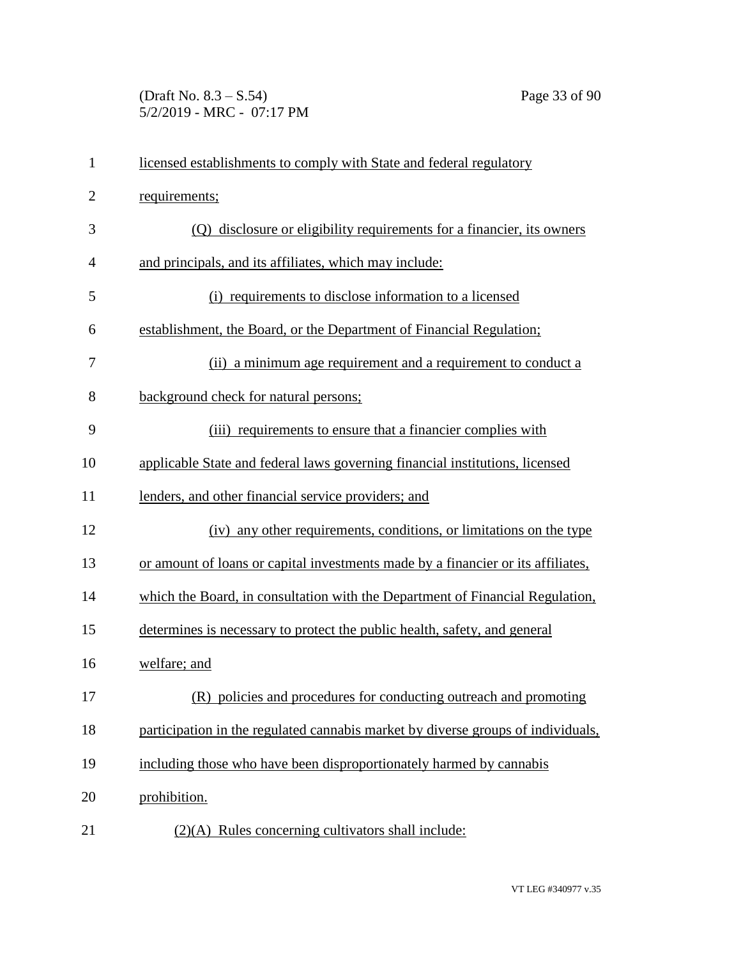(Draft No. 8.3 – S.54) Page 33 of 90 5/2/2019 - MRC - 07:17 PM

| $\mathbf{1}$   | licensed establishments to comply with State and federal regulatory              |
|----------------|----------------------------------------------------------------------------------|
| $\overline{2}$ | requirements;                                                                    |
| 3              | (Q) disclosure or eligibility requirements for a financier, its owners           |
| 4              | and principals, and its affiliates, which may include:                           |
| 5              | (i) requirements to disclose information to a licensed                           |
| 6              | establishment, the Board, or the Department of Financial Regulation;             |
| 7              | (ii) a minimum age requirement and a requirement to conduct a                    |
| 8              | background check for natural persons;                                            |
| 9              | (iii) requirements to ensure that a financier complies with                      |
| 10             | applicable State and federal laws governing financial institutions, licensed     |
| 11             | lenders, and other financial service providers; and                              |
| 12             | (iv) any other requirements, conditions, or limitations on the type              |
| 13             | or amount of loans or capital investments made by a financier or its affiliates, |
| 14             | which the Board, in consultation with the Department of Financial Regulation,    |
| 15             | determines is necessary to protect the public health, safety, and general        |
| 16             | welfare; and                                                                     |
| 17             | (R) policies and procedures for conducting outreach and promoting                |
| 18             | participation in the regulated cannabis market by diverse groups of individuals, |
| 19             | including those who have been disproportionately harmed by cannabis              |
| 20             | prohibition.                                                                     |
| 21             | $(2)(A)$ Rules concerning cultivators shall include:                             |
|                |                                                                                  |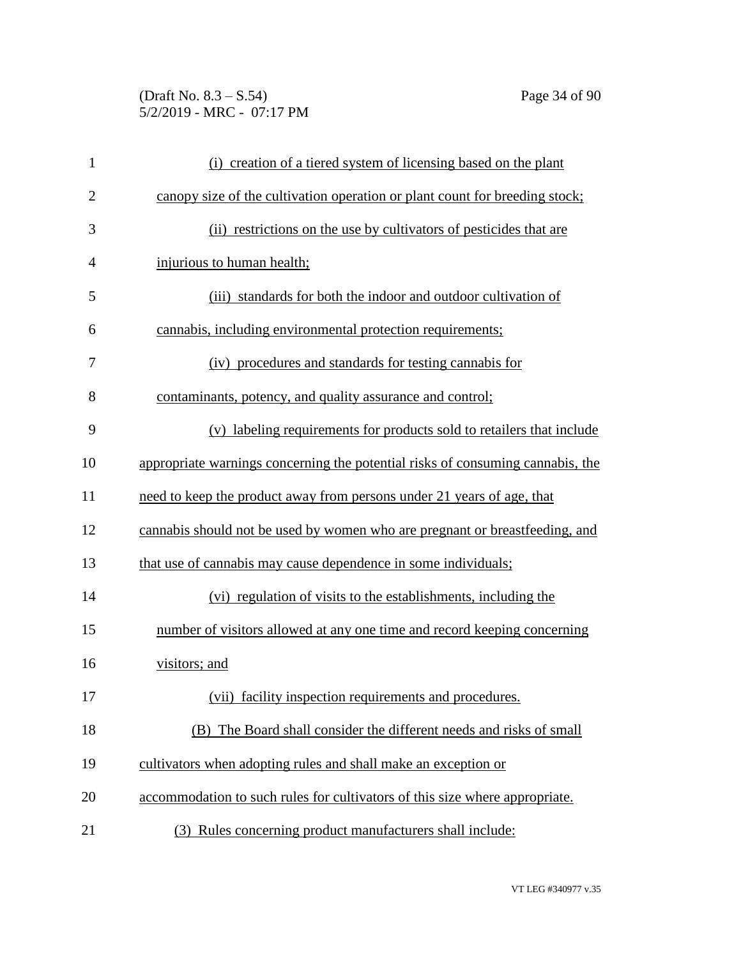## (Draft No. 8.3 – S.54) Page 34 of 90 5/2/2019 - MRC - 07:17 PM

| $\mathbf{1}$   | (i) creation of a tiered system of licensing based on the plant                |
|----------------|--------------------------------------------------------------------------------|
| $\overline{2}$ | canopy size of the cultivation operation or plant count for breeding stock;    |
| 3              | (ii) restrictions on the use by cultivators of pesticides that are             |
| 4              | injurious to human health;                                                     |
| 5              | (iii) standards for both the indoor and outdoor cultivation of                 |
| 6              | cannabis, including environmental protection requirements;                     |
| 7              | (iv) procedures and standards for testing cannabis for                         |
| 8              | contaminants, potency, and quality assurance and control;                      |
| 9              | (v) labeling requirements for products sold to retailers that include          |
| 10             | appropriate warnings concerning the potential risks of consuming cannabis, the |
| 11             | need to keep the product away from persons under 21 years of age, that         |
| 12             | cannabis should not be used by women who are pregnant or breastfeeding, and    |
| 13             | that use of cannabis may cause dependence in some individuals;                 |
| 14             | (vi) regulation of visits to the establishments, including the                 |
| 15             | number of visitors allowed at any one time and record keeping concerning       |
| 16             | visitors; and                                                                  |
| 17             | (vii) facility inspection requirements and procedures.                         |
| 18             | The Board shall consider the different needs and risks of small<br>(B)         |
| 19             | cultivators when adopting rules and shall make an exception or                 |
| 20             | accommodation to such rules for cultivators of this size where appropriate.    |
| 21             | (3) Rules concerning product manufacturers shall include:                      |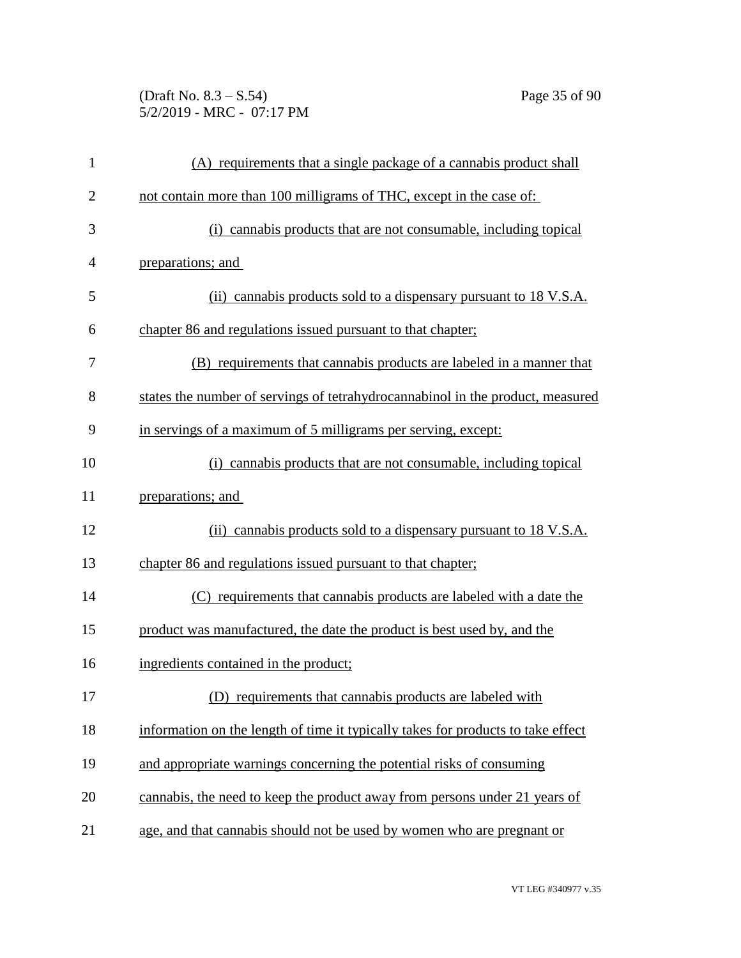(Draft No. 8.3 – S.54) Page 35 of 90 5/2/2019 - MRC - 07:17 PM

| $\mathbf{1}$   | (A) requirements that a single package of a cannabis product shall               |
|----------------|----------------------------------------------------------------------------------|
| $\overline{2}$ | not contain more than 100 milligrams of THC, except in the case of:              |
| 3              | (i) cannabis products that are not consumable, including topical                 |
| $\overline{4}$ | preparations; and                                                                |
| 5              | (ii) cannabis products sold to a dispensary pursuant to 18 V.S.A.                |
| 6              | chapter 86 and regulations issued pursuant to that chapter;                      |
| 7              | (B) requirements that cannabis products are labeled in a manner that             |
| 8              | states the number of servings of tetrahydrocannabinol in the product, measured   |
| 9              | in servings of a maximum of 5 milligrams per serving, except:                    |
| 10             | (i) cannabis products that are not consumable, including topical                 |
| 11             | preparations; and                                                                |
| 12             | (ii) cannabis products sold to a dispensary pursuant to 18 V.S.A.                |
| 13             | chapter 86 and regulations issued pursuant to that chapter;                      |
| 14             | (C) requirements that cannabis products are labeled with a date the              |
| 15             | product was manufactured, the date the product is best used by, and the          |
| 16             | ingredients contained in the product;                                            |
| 17             | (D) requirements that cannabis products are labeled with                         |
| 18             | information on the length of time it typically takes for products to take effect |
| 19             | and appropriate warnings concerning the potential risks of consuming             |
| 20             | cannabis, the need to keep the product away from persons under 21 years of       |
| 21             | age, and that cannabis should not be used by women who are pregnant or           |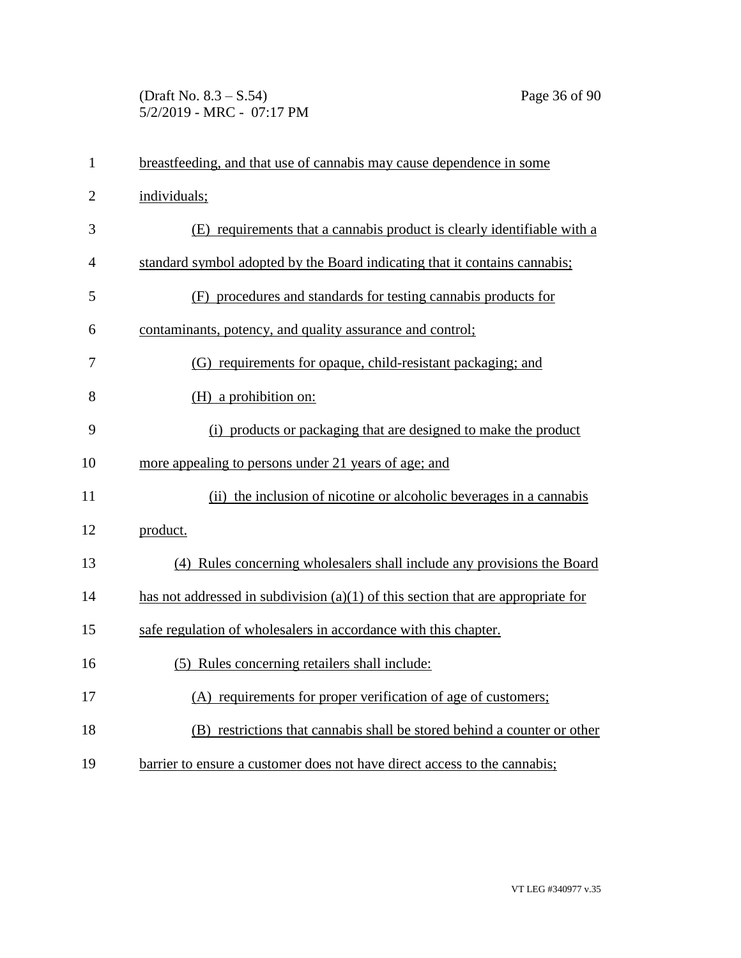## (Draft No. 8.3 – S.54) Page 36 of 90 5/2/2019 - MRC - 07:17 PM

| $\mathbf{1}$   | breastfeeding, and that use of cannabis may cause dependence in some               |
|----------------|------------------------------------------------------------------------------------|
| $\overline{2}$ | individuals;                                                                       |
| 3              | (E) requirements that a cannabis product is clearly identifiable with a            |
| $\overline{4}$ | standard symbol adopted by the Board indicating that it contains cannabis;         |
| 5              | (F) procedures and standards for testing cannabis products for                     |
| 6              | contaminants, potency, and quality assurance and control;                          |
| 7              | (G) requirements for opaque, child-resistant packaging; and                        |
| 8              | (H) a prohibition on:                                                              |
| 9              | (i) products or packaging that are designed to make the product                    |
| 10             | more appealing to persons under 21 years of age; and                               |
| 11             | (ii) the inclusion of nicotine or alcoholic beverages in a cannabis                |
| 12             | product.                                                                           |
| 13             | (4) Rules concerning wholesalers shall include any provisions the Board            |
| 14             | has not addressed in subdivision $(a)(1)$ of this section that are appropriate for |
| 15             | safe regulation of wholesalers in accordance with this chapter.                    |
| 16             | (5) Rules concerning retailers shall include:                                      |
| 17             | (A) requirements for proper verification of age of customers;                      |
| 18             | (B) restrictions that cannabis shall be stored behind a counter or other           |
| 19             | barrier to ensure a customer does not have direct access to the cannabis;          |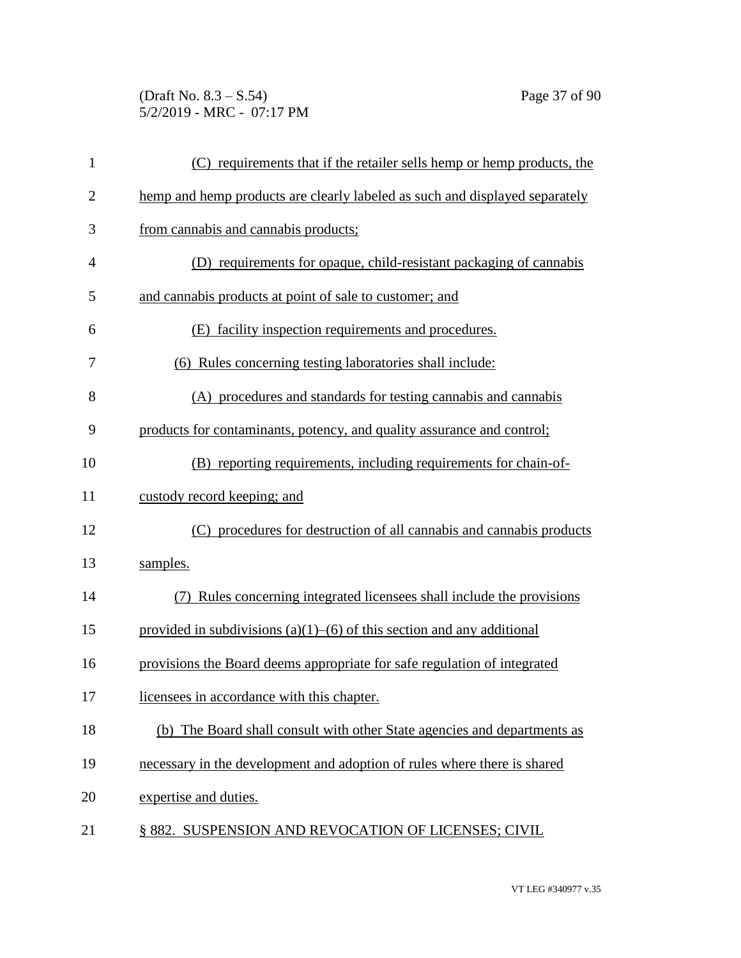(Draft No. 8.3 – S.54) Page 37 of 90 5/2/2019 - MRC - 07:17 PM

| $\mathbf{1}$   | (C) requirements that if the retailer sells hemp or hemp products, the      |
|----------------|-----------------------------------------------------------------------------|
| $\overline{2}$ | hemp and hemp products are clearly labeled as such and displayed separately |
| 3              | from cannabis and cannabis products;                                        |
| 4              | (D) requirements for opaque, child-resistant packaging of cannabis          |
| 5              | and cannabis products at point of sale to customer; and                     |
| 6              | (E) facility inspection requirements and procedures.                        |
| 7              | (6) Rules concerning testing laboratories shall include:                    |
| 8              | (A) procedures and standards for testing cannabis and cannabis              |
| 9              | products for contaminants, potency, and quality assurance and control;      |
| 10             | (B) reporting requirements, including requirements for chain-of-            |
| 11             | custody record keeping; and                                                 |
| 12             | (C) procedures for destruction of all cannabis and cannabis products        |
| 13             | samples.                                                                    |
| 14             | Rules concerning integrated licensees shall include the provisions          |
| 15             | provided in subdivisions (a)(1)–(6) of this section and any additional      |
| 16             | provisions the Board deems appropriate for safe regulation of integrated    |
| 17             | licensees in accordance with this chapter.                                  |
| 18             | (b) The Board shall consult with other State agencies and departments as    |
| 19             | necessary in the development and adoption of rules where there is shared    |
| 20             | expertise and duties.                                                       |
| 21             | § 882. SUSPENSION AND REVOCATION OF LICENSES; CIVIL                         |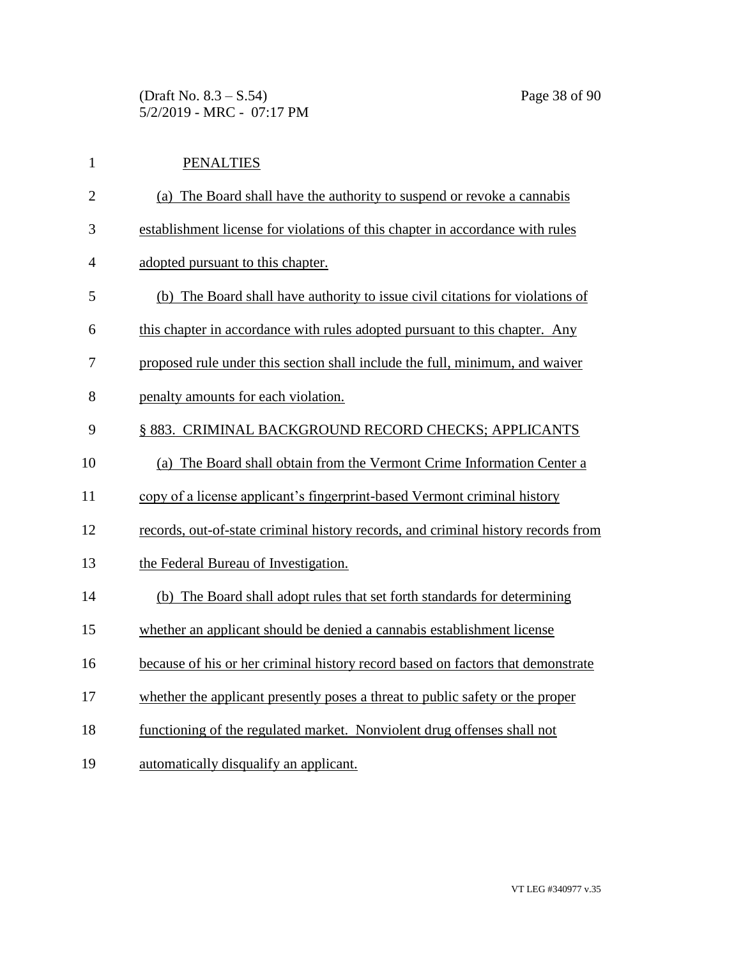(Draft No. 8.3 – S.54) Page 38 of 90 5/2/2019 - MRC - 07:17 PM

| $\mathbf{1}$   | <b>PENALTIES</b>                                                                  |
|----------------|-----------------------------------------------------------------------------------|
| $\overline{2}$ | (a) The Board shall have the authority to suspend or revoke a cannabis            |
| 3              | establishment license for violations of this chapter in accordance with rules     |
| $\overline{4}$ | adopted pursuant to this chapter.                                                 |
| 5              | (b) The Board shall have authority to issue civil citations for violations of     |
| 6              | this chapter in accordance with rules adopted pursuant to this chapter. Any       |
| 7              | proposed rule under this section shall include the full, minimum, and waiver      |
| 8              | penalty amounts for each violation.                                               |
| 9              | § 883. CRIMINAL BACKGROUND RECORD CHECKS; APPLICANTS                              |
| 10             | (a) The Board shall obtain from the Vermont Crime Information Center a            |
| 11             | copy of a license applicant's fingerprint-based Vermont criminal history          |
| 12             | records, out-of-state criminal history records, and criminal history records from |
| 13             | the Federal Bureau of Investigation.                                              |
| 14             | (b) The Board shall adopt rules that set forth standards for determining          |
| 15             | whether an applicant should be denied a cannabis establishment license            |
| 16             | because of his or her criminal history record based on factors that demonstrate   |
| 17             | whether the applicant presently poses a threat to public safety or the proper     |
| 18             | functioning of the regulated market. Nonviolent drug offenses shall not           |
| 19             | automatically disqualify an applicant.                                            |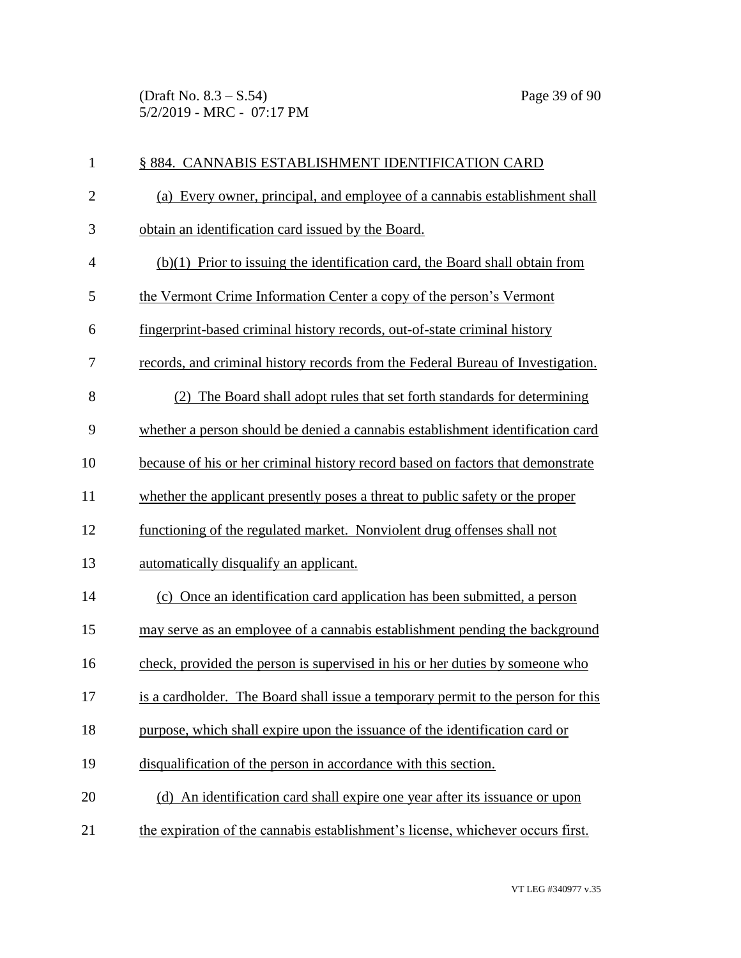(Draft No. 8.3 – S.54) Page 39 of 90 5/2/2019 - MRC - 07:17 PM

| $\mathbf{1}$   | § 884. CANNABIS ESTABLISHMENT IDENTIFICATION CARD                                |
|----------------|----------------------------------------------------------------------------------|
| $\overline{2}$ | (a) Every owner, principal, and employee of a cannabis establishment shall       |
| $\mathfrak{Z}$ | obtain an identification card issued by the Board.                               |
| $\overline{4}$ | $(b)(1)$ Prior to issuing the identification card, the Board shall obtain from   |
| 5              | the Vermont Crime Information Center a copy of the person's Vermont              |
| 6              | fingerprint-based criminal history records, out-of-state criminal history        |
| 7              | records, and criminal history records from the Federal Bureau of Investigation.  |
| 8              | The Board shall adopt rules that set forth standards for determining<br>(2)      |
| 9              | whether a person should be denied a cannabis establishment identification card   |
| 10             | because of his or her criminal history record based on factors that demonstrate  |
| 11             | whether the applicant presently poses a threat to public safety or the proper    |
| 12             | functioning of the regulated market. Nonviolent drug offenses shall not          |
| 13             | automatically disqualify an applicant.                                           |
| 14             | (c) Once an identification card application has been submitted, a person         |
| 15             | may serve as an employee of a cannabis establishment pending the background      |
| 16             | check, provided the person is supervised in his or her duties by someone who     |
| 17             | is a cardholder. The Board shall issue a temporary permit to the person for this |
| 18             | purpose, which shall expire upon the issuance of the identification card or      |
| 19             | disqualification of the person in accordance with this section.                  |
| 20             | (d) An identification card shall expire one year after its issuance or upon      |
| 21             | the expiration of the cannabis establishment's license, whichever occurs first.  |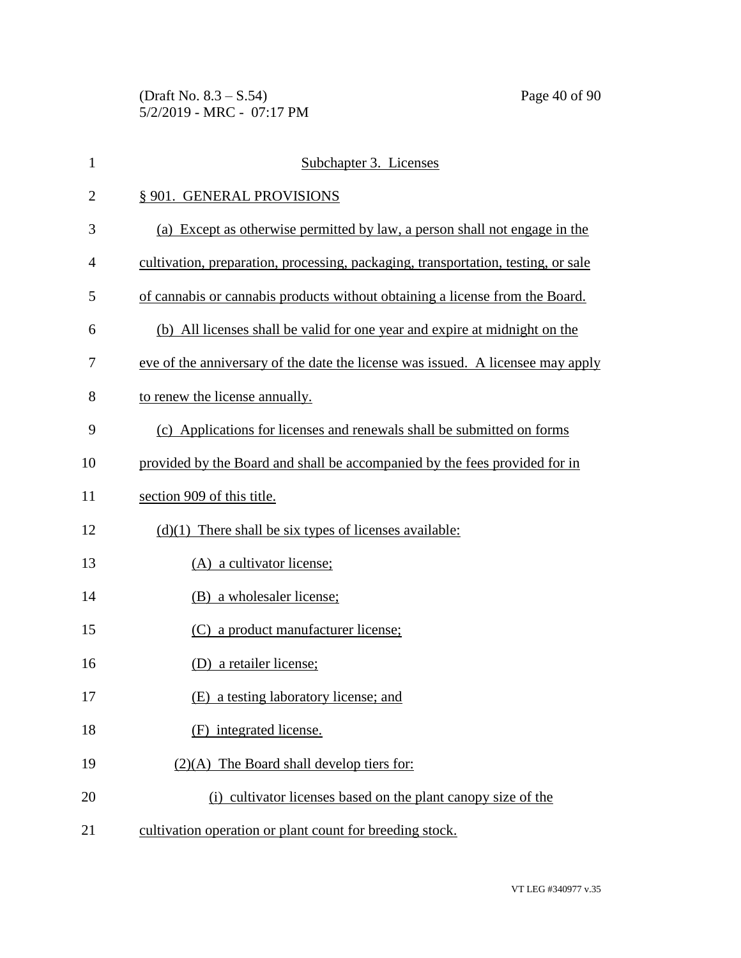(Draft No. 8.3 – S.54) Page 40 of 90 5/2/2019 - MRC - 07:17 PM

| $\mathbf{1}$   | Subchapter 3. Licenses                                                            |
|----------------|-----------------------------------------------------------------------------------|
| $\overline{2}$ | § 901. GENERAL PROVISIONS                                                         |
| 3              | (a) Except as otherwise permitted by law, a person shall not engage in the        |
| $\overline{4}$ | cultivation, preparation, processing, packaging, transportation, testing, or sale |
| 5              | of cannabis or cannabis products without obtaining a license from the Board.      |
| 6              | (b) All licenses shall be valid for one year and expire at midnight on the        |
| 7              | eve of the anniversary of the date the license was issued. A licensee may apply   |
| 8              | to renew the license annually.                                                    |
| 9              | (c) Applications for licenses and renewals shall be submitted on forms            |
| 10             | provided by the Board and shall be accompanied by the fees provided for in        |
| 11             | section 909 of this title.                                                        |
| 12             | $(d)(1)$ There shall be six types of licenses available:                          |
| 13             | (A) a cultivator license;                                                         |
| 14             | (B) a wholesaler license;                                                         |
| 15             | (C) a product manufacturer license;                                               |
| 16             | (D) a retailer license;                                                           |
| 17             | (E) a testing laboratory license; and                                             |
| 18             | (F) integrated license.                                                           |
| 19             | $(2)(A)$ The Board shall develop tiers for:                                       |
| 20             | (i) cultivator licenses based on the plant canopy size of the                     |
| 21             | cultivation operation or plant count for breeding stock.                          |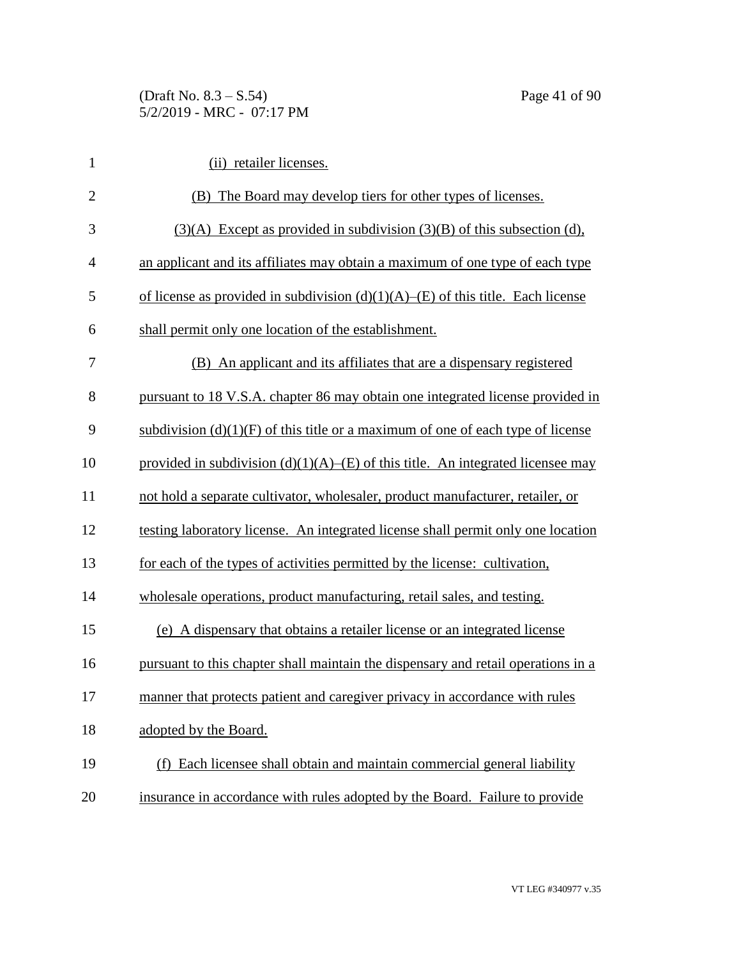| $\mathbf{1}$   | (ii) retailer licenses.                                                               |
|----------------|---------------------------------------------------------------------------------------|
| $\overline{2}$ | (B) The Board may develop tiers for other types of licenses.                          |
| 3              | $(3)(A)$ Except as provided in subdivision $(3)(B)$ of this subsection (d),           |
| $\overline{4}$ | an applicant and its affiliates may obtain a maximum of one type of each type         |
| 5              | of license as provided in subdivision $(d)(1)(A)$ – $(E)$ of this title. Each license |
| 6              | shall permit only one location of the establishment.                                  |
| 7              | (B) An applicant and its affiliates that are a dispensary registered                  |
| 8              | pursuant to 18 V.S.A. chapter 86 may obtain one integrated license provided in        |
| 9              | subdivision $(d)(1)(F)$ of this title or a maximum of one of each type of license     |
| 10             | provided in subdivision $(d)(1)(A)$ – $(E)$ of this title. An integrated licensee may |
| 11             | not hold a separate cultivator, wholesaler, product manufacturer, retailer, or        |
| 12             | testing laboratory license. An integrated license shall permit only one location      |
| 13             | for each of the types of activities permitted by the license: cultivation,            |
| 14             | wholesale operations, product manufacturing, retail sales, and testing.               |
| 15             | (e) A dispensary that obtains a retailer license or an integrated license             |
| 16             | pursuant to this chapter shall maintain the dispensary and retail operations in a     |
| 17             | manner that protects patient and caregiver privacy in accordance with rules           |
| 18             | adopted by the Board.                                                                 |
| 19             | (f) Each licensee shall obtain and maintain commercial general liability              |
| 20             | insurance in accordance with rules adopted by the Board. Failure to provide           |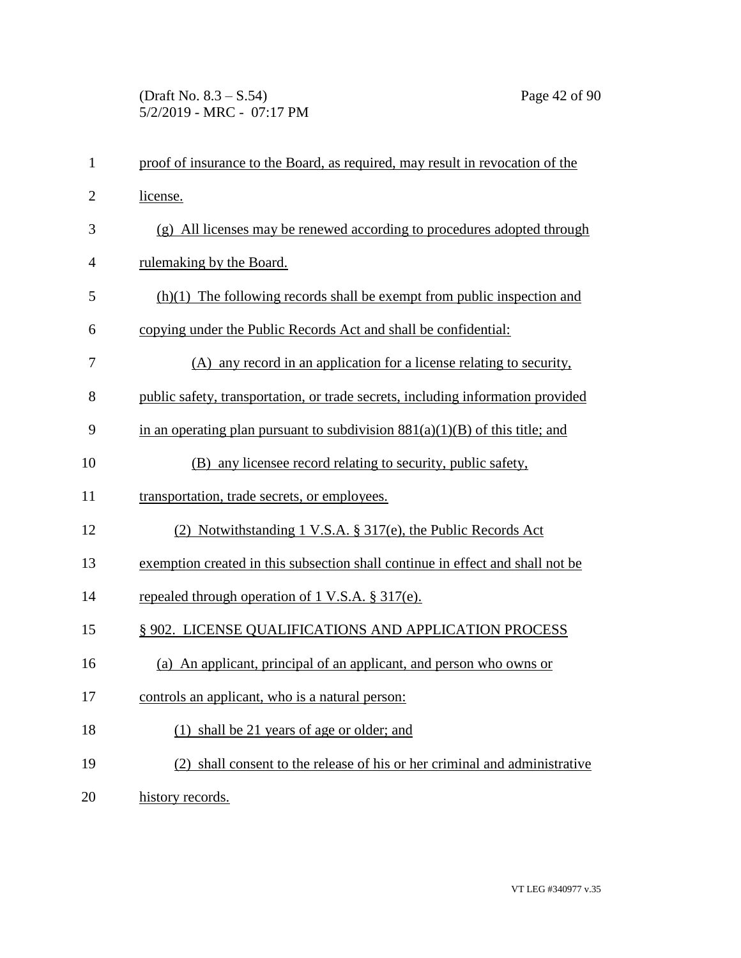| $\mathbf{1}$   | proof of insurance to the Board, as required, may result in revocation of the   |
|----------------|---------------------------------------------------------------------------------|
| $\overline{2}$ | license.                                                                        |
| 3              | (g) All licenses may be renewed according to procedures adopted through         |
| $\overline{4}$ | rulemaking by the Board.                                                        |
| 5              | $(h)(1)$ The following records shall be exempt from public inspection and       |
| 6              | copying under the Public Records Act and shall be confidential:                 |
| 7              | (A) any record in an application for a license relating to security,            |
| 8              | public safety, transportation, or trade secrets, including information provided |
| 9              | in an operating plan pursuant to subdivision $881(a)(1)(B)$ of this title; and  |
| 10             | (B) any licensee record relating to security, public safety,                    |
| 11             | transportation, trade secrets, or employees.                                    |
| 12             | (2) Notwithstanding 1 V.S.A. § 317(e), the Public Records Act                   |
| 13             | exemption created in this subsection shall continue in effect and shall not be  |
| 14             | repealed through operation of 1 V.S.A. § 317(e).                                |
| 15             | § 902. LICENSE QUALIFICATIONS AND APPLICATION PROCESS                           |
| 16             | (a) An applicant, principal of an applicant, and person who owns or             |
| 17             | controls an applicant, who is a natural person:                                 |
| 18             | (1) shall be 21 years of age or older; and                                      |
| 19             | (2) shall consent to the release of his or her criminal and administrative      |
| 20             | history records.                                                                |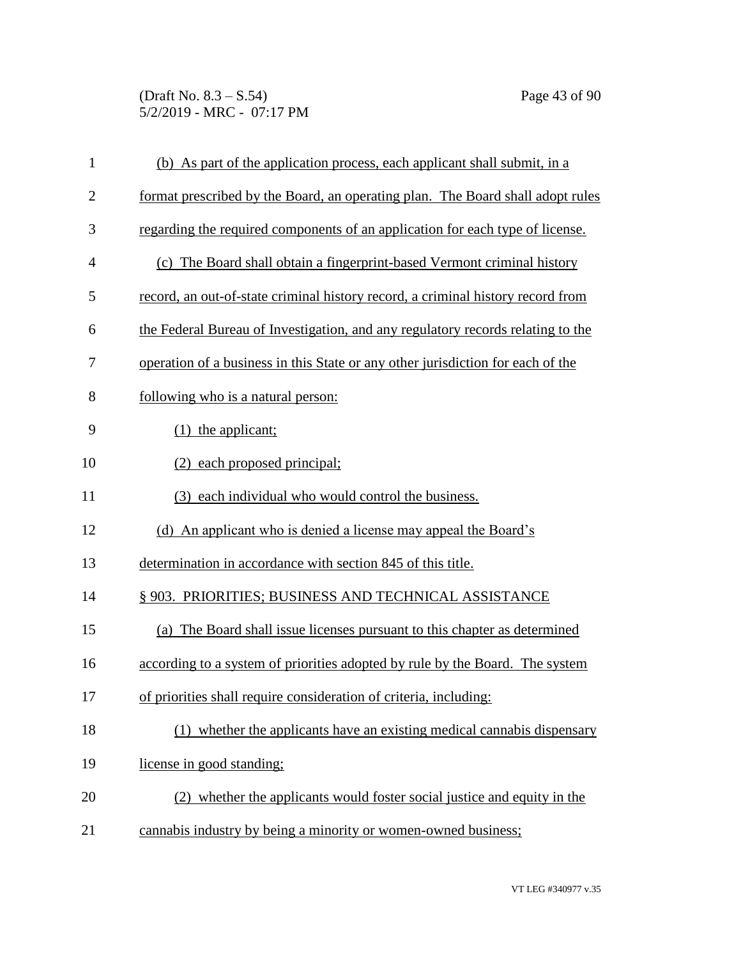(Draft No. 8.3 – S.54) Page 43 of 90 5/2/2019 - MRC - 07:17 PM

| $\mathbf{1}$   | (b) As part of the application process, each applicant shall submit, in a       |
|----------------|---------------------------------------------------------------------------------|
| $\overline{2}$ | format prescribed by the Board, an operating plan. The Board shall adopt rules  |
| 3              | regarding the required components of an application for each type of license.   |
| $\overline{4}$ | (c) The Board shall obtain a fingerprint-based Vermont criminal history         |
| 5              | record, an out-of-state criminal history record, a criminal history record from |
| 6              | the Federal Bureau of Investigation, and any regulatory records relating to the |
| 7              | operation of a business in this State or any other jurisdiction for each of the |
| 8              | following who is a natural person:                                              |
| 9              | $(1)$ the applicant;                                                            |
| 10             | each proposed principal;<br>(2)                                                 |
| 11             | (3) each individual who would control the business.                             |
| 12             | (d) An applicant who is denied a license may appeal the Board's                 |
| 13             | determination in accordance with section 845 of this title.                     |
| 14             | § 903. PRIORITIES; BUSINESS AND TECHNICAL ASSISTANCE                            |
| 15             | (a) The Board shall issue licenses pursuant to this chapter as determined       |
| 16             | according to a system of priorities adopted by rule by the Board. The system    |
| 17             | of priorities shall require consideration of criteria, including:               |
| 18             | (1) whether the applicants have an existing medical cannabis dispensary         |
| 19             | license in good standing;                                                       |
| 20             | (2) whether the applicants would foster social justice and equity in the        |
| 21             | cannabis industry by being a minority or women-owned business;                  |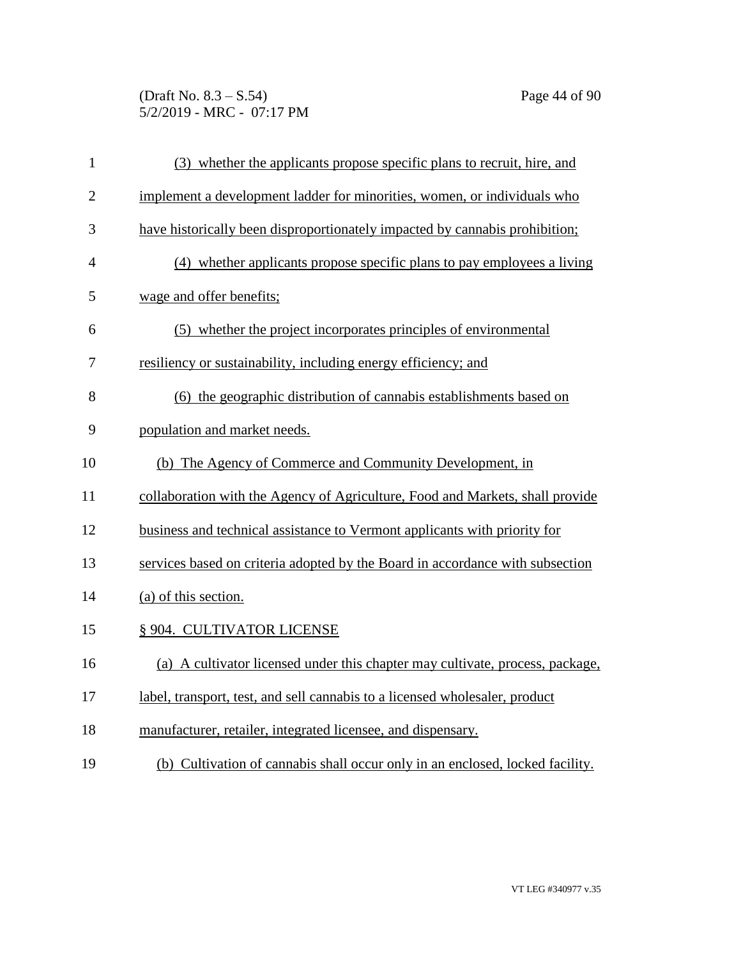(Draft No. 8.3 – S.54) Page 44 of 90 5/2/2019 - MRC - 07:17 PM

| $\mathbf{1}$   | (3) whether the applicants propose specific plans to recruit, hire, and       |
|----------------|-------------------------------------------------------------------------------|
| $\overline{2}$ | implement a development ladder for minorities, women, or individuals who      |
| 3              | have historically been disproportionately impacted by cannabis prohibition;   |
| $\overline{4}$ | (4) whether applicants propose specific plans to pay employees a living       |
| 5              | wage and offer benefits;                                                      |
| 6              | (5) whether the project incorporates principles of environmental              |
| 7              | resiliency or sustainability, including energy efficiency; and                |
| 8              | (6) the geographic distribution of cannabis establishments based on           |
| 9              | population and market needs.                                                  |
| 10             | (b) The Agency of Commerce and Community Development, in                      |
| 11             | collaboration with the Agency of Agriculture, Food and Markets, shall provide |
| 12             | business and technical assistance to Vermont applicants with priority for     |
| 13             | services based on criteria adopted by the Board in accordance with subsection |
| 14             | (a) of this section.                                                          |
| 15             | § 904. CULTIVATOR LICENSE                                                     |
| 16             | (a) A cultivator licensed under this chapter may cultivate, process, package, |
| 17             | label, transport, test, and sell cannabis to a licensed wholesaler, product   |
| 18             | manufacturer, retailer, integrated licensee, and dispensary.                  |
| 19             | (b) Cultivation of cannabis shall occur only in an enclosed, locked facility. |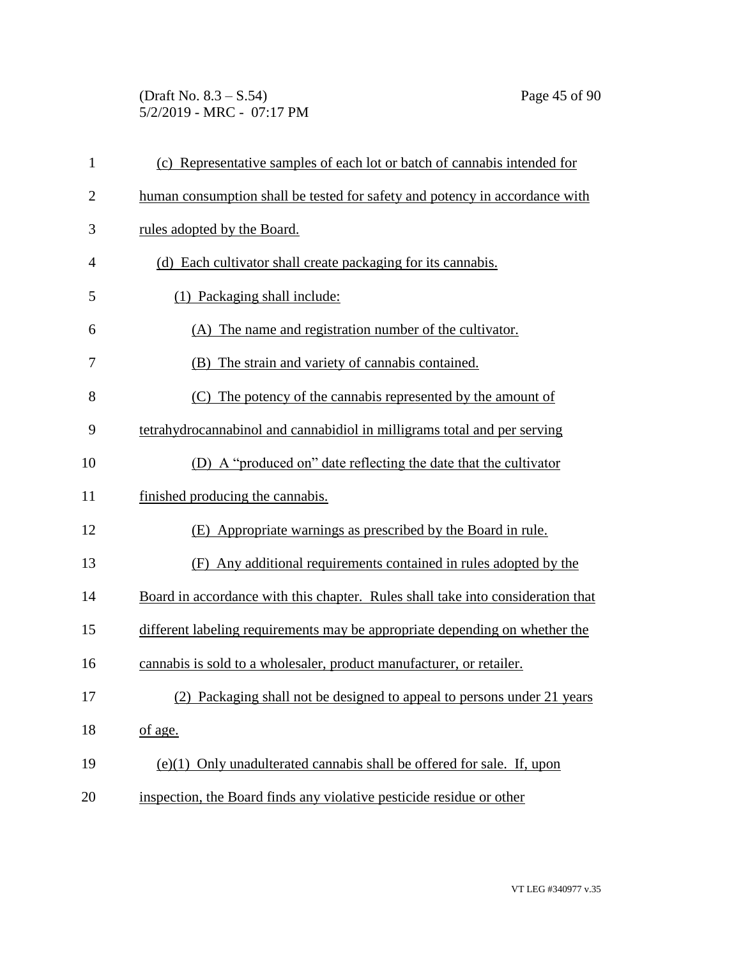(Draft No. 8.3 – S.54) Page 45 of 90 5/2/2019 - MRC - 07:17 PM

| $\mathbf{1}$   | (c) Representative samples of each lot or batch of cannabis intended for        |
|----------------|---------------------------------------------------------------------------------|
| $\overline{c}$ | human consumption shall be tested for safety and potency in accordance with     |
| 3              | rules adopted by the Board.                                                     |
| $\overline{4}$ | (d) Each cultivator shall create packaging for its cannabis.                    |
| 5              | (1) Packaging shall include:                                                    |
| 6              | (A) The name and registration number of the cultivator.                         |
| 7              | (B) The strain and variety of cannabis contained.                               |
| 8              | (C) The potency of the cannabis represented by the amount of                    |
| 9              | tetrahydrocannabinol and cannabidiol in milligrams total and per serving        |
| 10             | (D) A "produced on" date reflecting the date that the cultivator                |
| 11             | finished producing the cannabis.                                                |
| 12             | (E) Appropriate warnings as prescribed by the Board in rule.                    |
| 13             | Any additional requirements contained in rules adopted by the<br>(F)            |
| 14             | Board in accordance with this chapter. Rules shall take into consideration that |
| 15             | different labeling requirements may be appropriate depending on whether the     |
| 16             | cannabis is sold to a wholesaler, product manufacturer, or retailer.            |
| 17             | (2) Packaging shall not be designed to appeal to persons under 21 years         |
| 18             | of age.                                                                         |
| 19             | $(e)(1)$ Only unadulterated cannabis shall be offered for sale. If, upon        |
| 20             | inspection, the Board finds any violative pesticide residue or other            |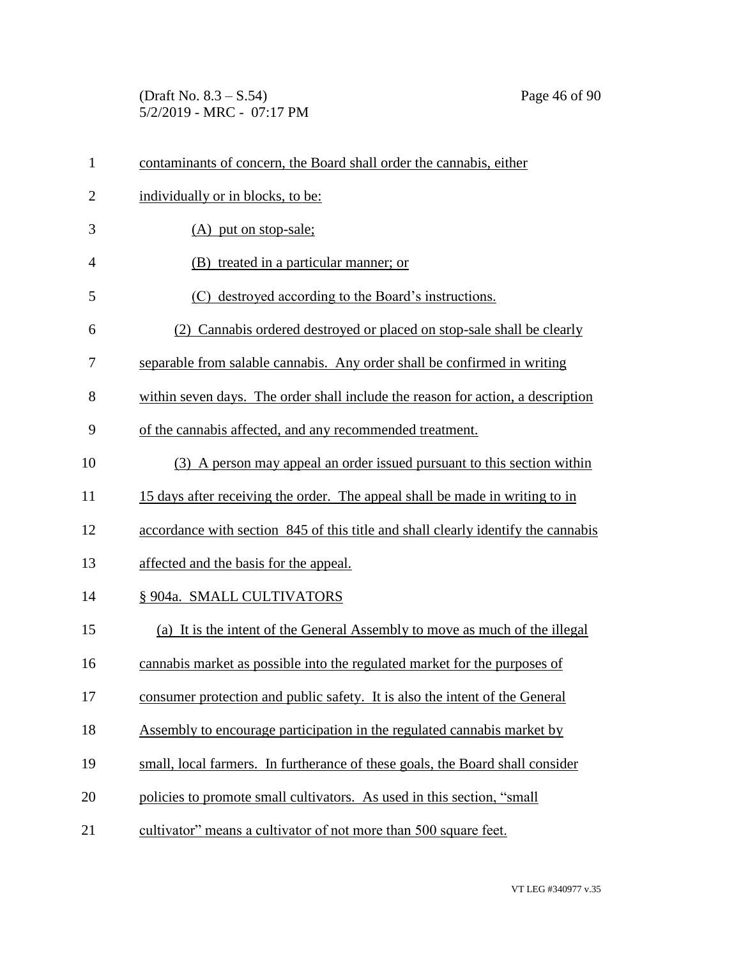(Draft No. 8.3 – S.54) Page 46 of 90 5/2/2019 - MRC - 07:17 PM

| $\mathbf{1}$   | contaminants of concern, the Board shall order the cannabis, either               |
|----------------|-----------------------------------------------------------------------------------|
| $\overline{2}$ | individually or in blocks, to be:                                                 |
| 3              | (A) put on stop-sale;                                                             |
| $\overline{4}$ | (B) treated in a particular manner; or                                            |
| 5              | (C) destroyed according to the Board's instructions.                              |
| 6              | (2) Cannabis ordered destroyed or placed on stop-sale shall be clearly            |
| 7              | separable from salable cannabis. Any order shall be confirmed in writing          |
| 8              | within seven days. The order shall include the reason for action, a description   |
| 9              | of the cannabis affected, and any recommended treatment.                          |
| 10             | (3) A person may appeal an order issued pursuant to this section within           |
| 11             | 15 days after receiving the order. The appeal shall be made in writing to in      |
| 12             | accordance with section 845 of this title and shall clearly identify the cannabis |
| 13             | affected and the basis for the appeal.                                            |
| 14             | § 904a. SMALL CULTIVATORS                                                         |
| 15             | (a) It is the intent of the General Assembly to move as much of the illegal       |
| 16             | cannabis market as possible into the regulated market for the purposes of         |
| 17             | consumer protection and public safety. It is also the intent of the General       |
| 18             | Assembly to encourage participation in the regulated cannabis market by           |
| 19             | small, local farmers. In furtherance of these goals, the Board shall consider     |
| 20             | policies to promote small cultivators. As used in this section, "small            |
| 21             | cultivator" means a cultivator of not more than 500 square feet.                  |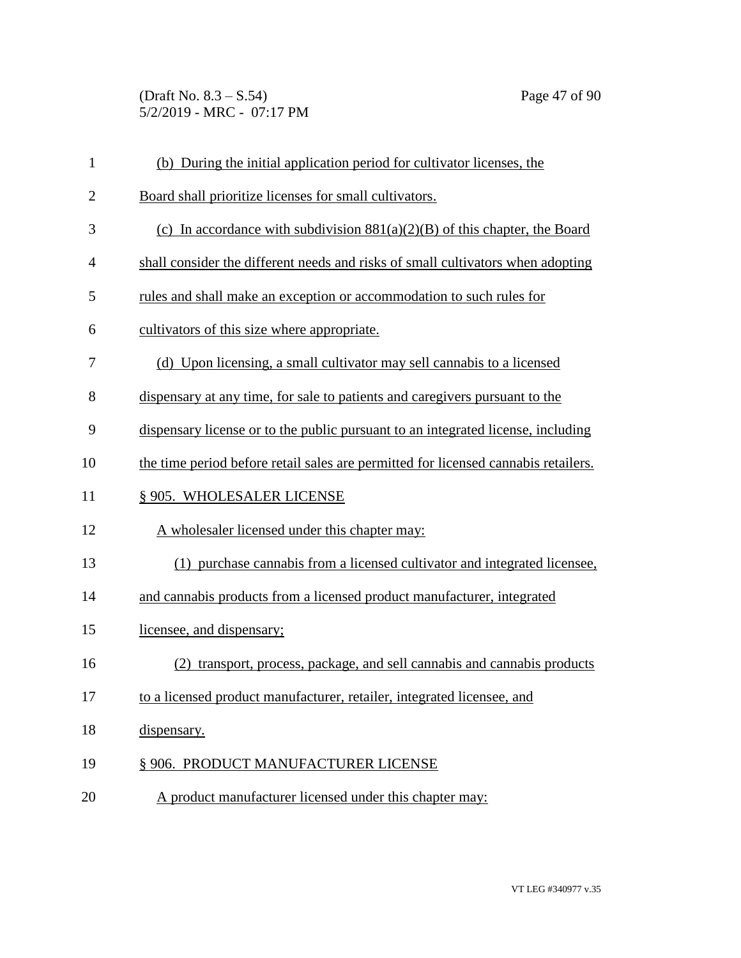(Draft No. 8.3 – S.54) Page 47 of 90 5/2/2019 - MRC - 07:17 PM

| $\mathbf{1}$   | (b) During the initial application period for cultivator licenses, the             |
|----------------|------------------------------------------------------------------------------------|
| $\overline{2}$ | Board shall prioritize licenses for small cultivators.                             |
| 3              | (c) In accordance with subdivision $881(a)(2)(B)$ of this chapter, the Board       |
| $\overline{4}$ | shall consider the different needs and risks of small cultivators when adopting    |
| 5              | rules and shall make an exception or accommodation to such rules for               |
| 6              | cultivators of this size where appropriate.                                        |
| 7              | (d) Upon licensing, a small cultivator may sell cannabis to a licensed             |
| 8              | dispensary at any time, for sale to patients and caregivers pursuant to the        |
| 9              | dispensary license or to the public pursuant to an integrated license, including   |
| 10             | the time period before retail sales are permitted for licensed cannabis retailers. |
| 11             | § 905. WHOLESALER LICENSE                                                          |
| 12             | A wholesaler licensed under this chapter may:                                      |
| 13             | (1) purchase cannabis from a licensed cultivator and integrated licensee,          |
| 14             | and cannabis products from a licensed product manufacturer, integrated             |
| 15             | licensee, and dispensary;                                                          |
| 16             | (2) transport, process, package, and sell cannabis and cannabis products           |
| 17             | to a licensed product manufacturer, retailer, integrated licensee, and             |
| 18             | dispensary.                                                                        |
| 19             | § 906. PRODUCT MANUFACTURER LICENSE                                                |
| 20             | A product manufacturer licensed under this chapter may:                            |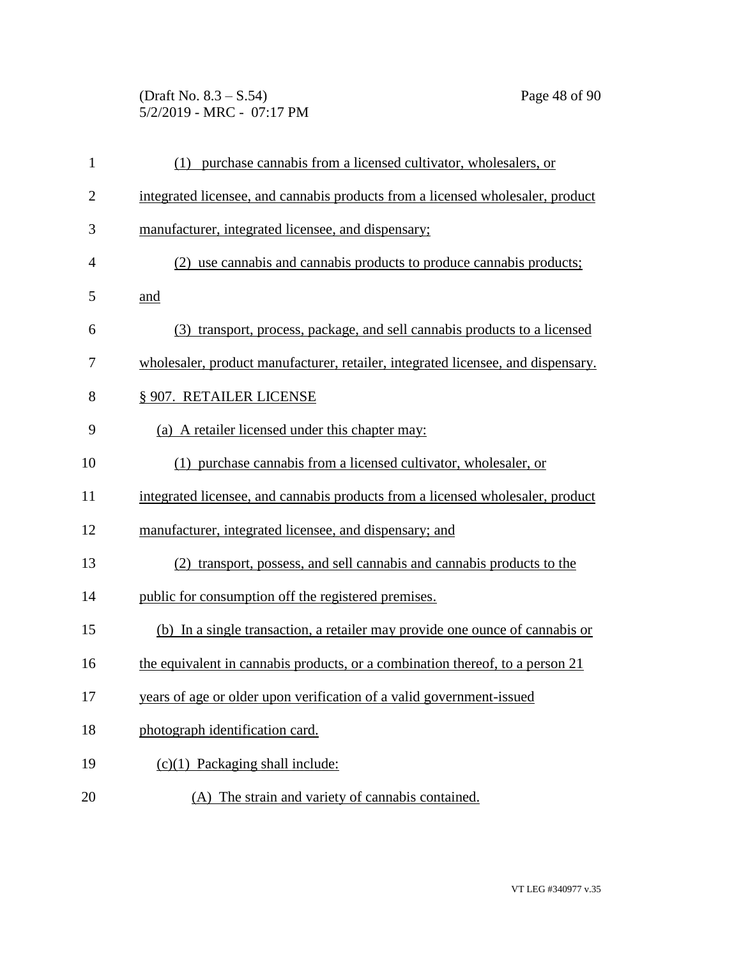(Draft No. 8.3 – S.54) Page 48 of 90 5/2/2019 - MRC - 07:17 PM

| $\mathbf{1}$   | (1) purchase cannabis from a licensed cultivator, wholesalers, or                |
|----------------|----------------------------------------------------------------------------------|
| $\overline{2}$ | integrated licensee, and cannabis products from a licensed wholesaler, product   |
| 3              | manufacturer, integrated licensee, and dispensary;                               |
| $\overline{4}$ | (2) use cannabis and cannabis products to produce cannabis products;             |
| 5              | and                                                                              |
| 6              | (3) transport, process, package, and sell cannabis products to a licensed        |
| 7              | wholesaler, product manufacturer, retailer, integrated licensee, and dispensary. |
| 8              | § 907. RETAILER LICENSE                                                          |
| 9              | (a) A retailer licensed under this chapter may:                                  |
| 10             | (1) purchase cannabis from a licensed cultivator, wholesaler, or                 |
| 11             | integrated licensee, and cannabis products from a licensed wholesaler, product   |
| 12             | manufacturer, integrated licensee, and dispensary; and                           |
| 13             | (2) transport, possess, and sell cannabis and cannabis products to the           |
| 14             | public for consumption off the registered premises.                              |
| 15             | (b) In a single transaction, a retailer may provide one ounce of cannabis or     |
| 16             | the equivalent in cannabis products, or a combination thereof, to a person 21    |
| 17             | years of age or older upon verification of a valid government-issued             |
| 18             | photograph identification card.                                                  |
| 19             | $(c)(1)$ Packaging shall include:                                                |
| 20             | (A) The strain and variety of cannabis contained.                                |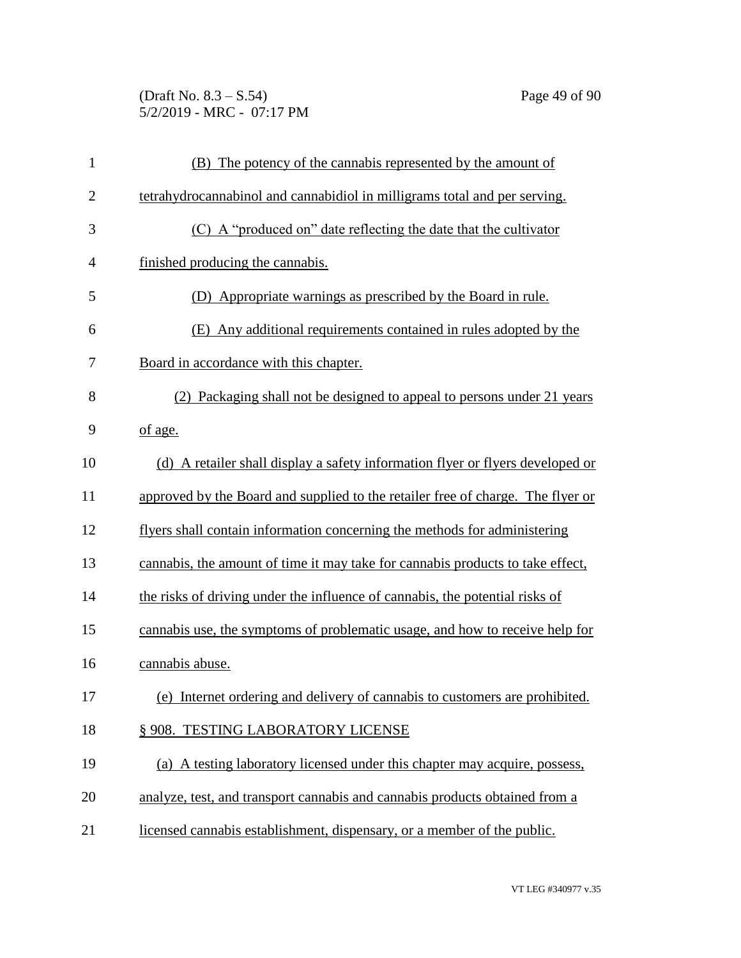(Draft No. 8.3 – S.54) Page 49 of 90 5/2/2019 - MRC - 07:17 PM

| $\mathbf{1}$   | (B) The potency of the cannabis represented by the amount of                    |
|----------------|---------------------------------------------------------------------------------|
| $\overline{2}$ | tetrahydrocannabinol and cannabidiol in milligrams total and per serving.       |
| 3              | (C) A "produced on" date reflecting the date that the cultivator                |
| $\overline{4}$ | finished producing the cannabis.                                                |
| 5              | (D) Appropriate warnings as prescribed by the Board in rule.                    |
| 6              | Any additional requirements contained in rules adopted by the<br>(E)            |
| 7              | Board in accordance with this chapter.                                          |
| 8              | Packaging shall not be designed to appeal to persons under 21 years<br>(2)      |
| 9              | of age.                                                                         |
| 10             | (d) A retailer shall display a safety information flyer or flyers developed or  |
| 11             | approved by the Board and supplied to the retailer free of charge. The flyer or |
| 12             | flyers shall contain information concerning the methods for administering       |
| 13             | cannabis, the amount of time it may take for cannabis products to take effect,  |
| 14             | the risks of driving under the influence of cannabis, the potential risks of    |
| 15             | cannabis use, the symptoms of problematic usage, and how to receive help for    |
| 16             | cannabis abuse.                                                                 |
| 17             | (e) Internet ordering and delivery of cannabis to customers are prohibited.     |
| 18             | § 908. TESTING LABORATORY LICENSE                                               |
| 19             | (a) A testing laboratory licensed under this chapter may acquire, possess,      |
| 20             | analyze, test, and transport cannabis and cannabis products obtained from a     |
| 21             | licensed cannabis establishment, dispensary, or a member of the public.         |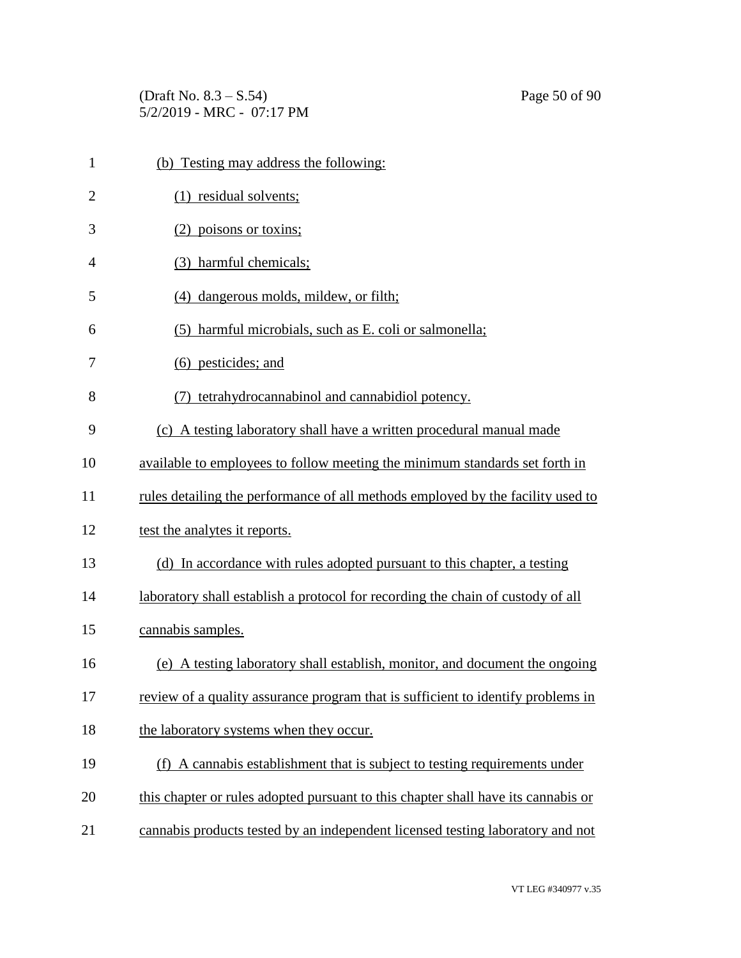(Draft No.  $8.3 - S.54$ ) Page 50 of 90 5/2/2019 - MRC - 07:17 PM

| $\mathbf{1}$ | (b) Testing may address the following:                                            |
|--------------|-----------------------------------------------------------------------------------|
| 2            | (1) residual solvents;                                                            |
| 3            | (2) poisons or toxins;                                                            |
| 4            | (3) harmful chemicals;                                                            |
| 5            | (4) dangerous molds, mildew, or filth;                                            |
| 6            | harmful microbials, such as E. coli or salmonella;<br>(5)                         |
| 7            | (6) pesticides; and                                                               |
| 8            | tetrahydrocannabinol and cannabidiol potency.                                     |
| 9            | (c) A testing laboratory shall have a written procedural manual made              |
| 10           | available to employees to follow meeting the minimum standards set forth in       |
| 11           | rules detailing the performance of all methods employed by the facility used to   |
| 12           | test the analytes it reports.                                                     |
| 13           | (d) In accordance with rules adopted pursuant to this chapter, a testing          |
| 14           | laboratory shall establish a protocol for recording the chain of custody of all   |
| 15           | cannabis samples.                                                                 |
| 16           | (e) A testing laboratory shall establish, monitor, and document the ongoing       |
| 17           | review of a quality assurance program that is sufficient to identify problems in  |
| 18           | the laboratory systems when they occur.                                           |
| 19           | (f) A cannabis establishment that is subject to testing requirements under        |
| 20           | this chapter or rules adopted pursuant to this chapter shall have its cannabis or |
| 21           | cannabis products tested by an independent licensed testing laboratory and not    |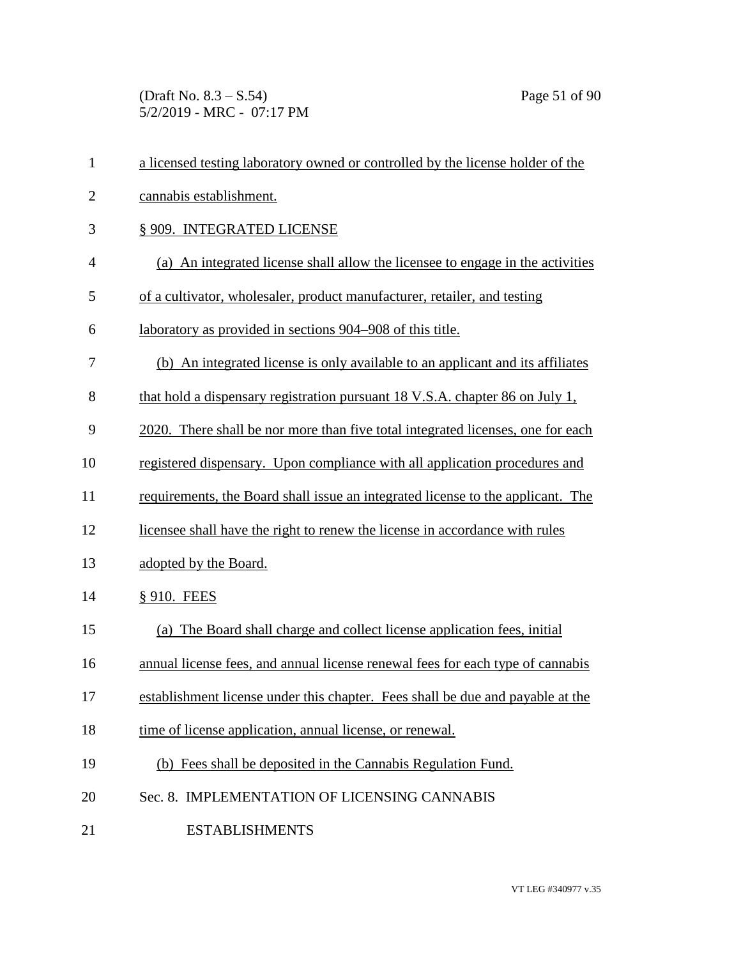(Draft No. 8.3 – S.54) Page 51 of 90 5/2/2019 - MRC - 07:17 PM

| $\mathbf{1}$   | a licensed testing laboratory owned or controlled by the license holder of the  |
|----------------|---------------------------------------------------------------------------------|
| $\mathbf{2}$   | cannabis establishment.                                                         |
| 3              | § 909. INTEGRATED LICENSE                                                       |
| $\overline{4}$ | (a) An integrated license shall allow the licensee to engage in the activities  |
| 5              | of a cultivator, wholesaler, product manufacturer, retailer, and testing        |
| 6              | laboratory as provided in sections 904–908 of this title.                       |
| 7              | (b) An integrated license is only available to an applicant and its affiliates  |
| 8              | that hold a dispensary registration pursuant 18 V.S.A. chapter 86 on July 1,    |
| 9              | 2020. There shall be nor more than five total integrated licenses, one for each |
| 10             | registered dispensary. Upon compliance with all application procedures and      |
| 11             | requirements, the Board shall issue an integrated license to the applicant. The |
| 12             | licensee shall have the right to renew the license in accordance with rules     |
| 13             | adopted by the Board.                                                           |
| 14             | § 910. FEES                                                                     |
| 15             | (a) The Board shall charge and collect license application fees, initial        |
| 16             | annual license fees, and annual license renewal fees for each type of cannabis  |
| 17             | establishment license under this chapter. Fees shall be due and payable at the  |
| 18             | time of license application, annual license, or renewal.                        |
| 19             | (b) Fees shall be deposited in the Cannabis Regulation Fund.                    |
| 20             | Sec. 8. IMPLEMENTATION OF LICENSING CANNABIS                                    |
| 21             | <b>ESTABLISHMENTS</b>                                                           |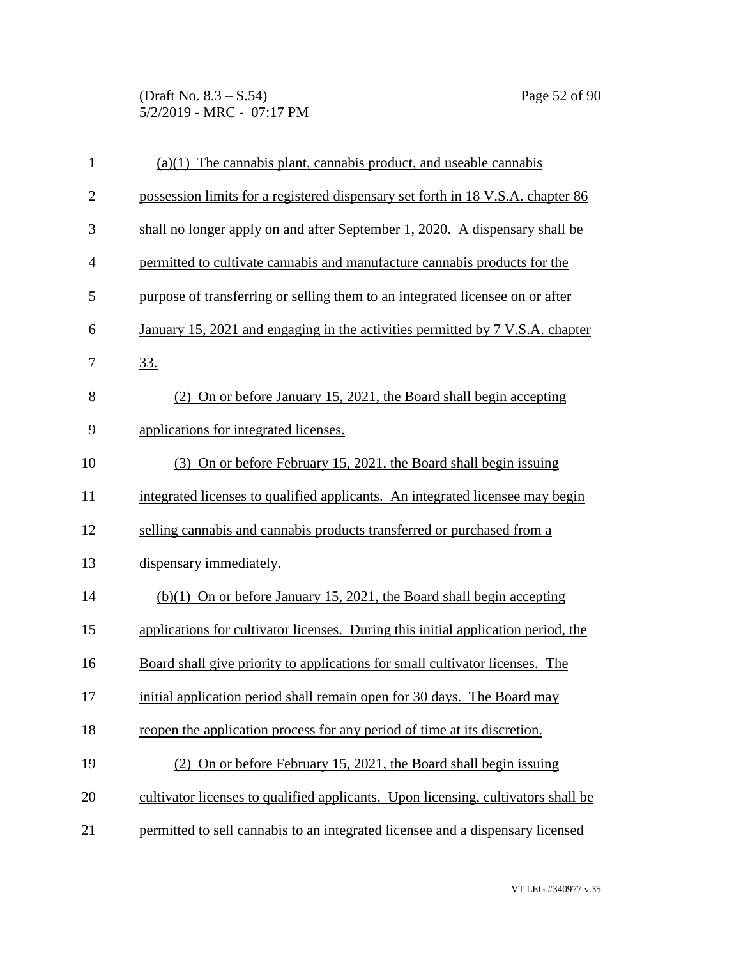(Draft No. 8.3 – S.54) Page 52 of 90 5/2/2019 - MRC - 07:17 PM

| $\mathbf{1}$   | $(a)(1)$ The cannabis plant, cannabis product, and useable cannabis               |
|----------------|-----------------------------------------------------------------------------------|
| $\overline{2}$ | possession limits for a registered dispensary set forth in 18 V.S.A. chapter 86   |
| 3              | shall no longer apply on and after September 1, 2020. A dispensary shall be       |
| $\overline{4}$ | permitted to cultivate cannabis and manufacture cannabis products for the         |
| 5              | purpose of transferring or selling them to an integrated licensee on or after     |
| 6              | January 15, 2021 and engaging in the activities permitted by 7 V.S.A. chapter     |
| 7              | <u>33.</u>                                                                        |
| 8              | (2) On or before January 15, 2021, the Board shall begin accepting                |
| 9              | applications for integrated licenses.                                             |
| 10             | (3) On or before February 15, 2021, the Board shall begin is suing                |
| 11             | integrated licenses to qualified applicants. An integrated licensee may begin     |
| 12             | selling cannabis and cannabis products transferred or purchased from a            |
| 13             | dispensary immediately.                                                           |
| 14             | $(b)(1)$ On or before January 15, 2021, the Board shall begin accepting           |
| 15             | applications for cultivator licenses. During this initial application period, the |
| 16             | Board shall give priority to applications for small cultivator licenses. The      |
| 17             | initial application period shall remain open for 30 days. The Board may           |
| 18             | reopen the application process for any period of time at its discretion.          |
| 19             | (2) On or before February 15, 2021, the Board shall begin issuing                 |
| 20             | cultivator licenses to qualified applicants. Upon licensing, cultivators shall be |
| 21             | permitted to sell cannabis to an integrated licensee and a dispensary licensed    |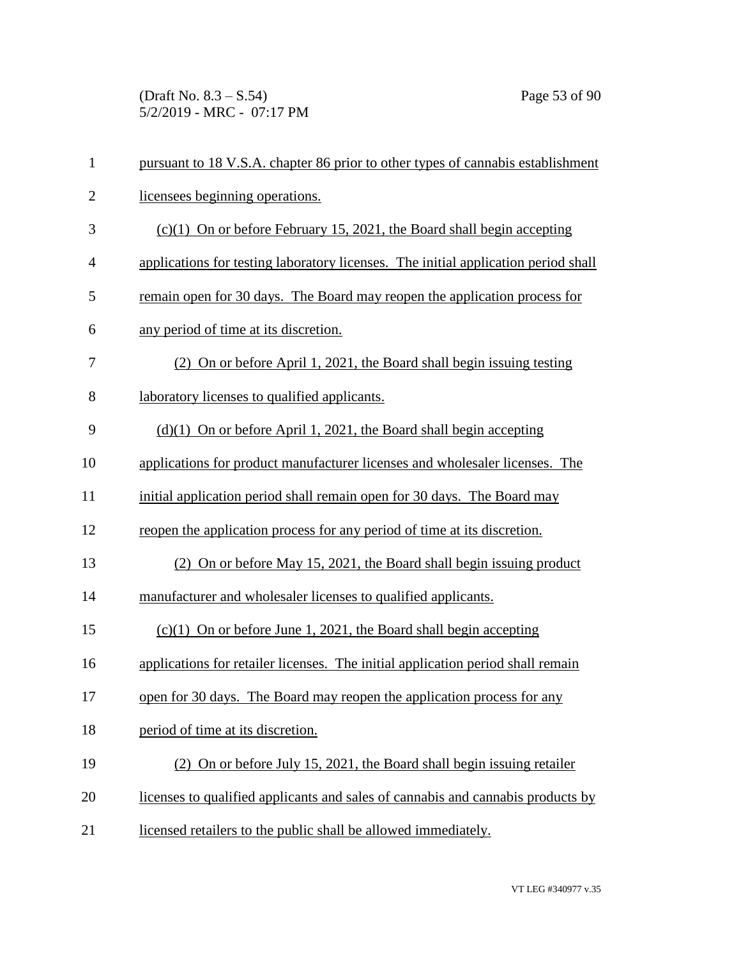(Draft No. 8.3 – S.54) Page 53 of 90 5/2/2019 - MRC - 07:17 PM

| $\mathbf{1}$   | pursuant to 18 V.S.A. chapter 86 prior to other types of cannabis establishment    |
|----------------|------------------------------------------------------------------------------------|
| $\mathbf{2}$   | licensees beginning operations.                                                    |
| 3              | $(c)(1)$ On or before February 15, 2021, the Board shall begin accepting           |
| $\overline{4}$ | applications for testing laboratory licenses. The initial application period shall |
| 5              | remain open for 30 days. The Board may reopen the application process for          |
| 6              | any period of time at its discretion.                                              |
| 7              | (2) On or before April 1, 2021, the Board shall begin issuing testing              |
| 8              | laboratory licenses to qualified applicants.                                       |
| 9              | $(d)(1)$ On or before April 1, 2021, the Board shall begin accepting               |
| 10             | applications for product manufacturer licenses and wholesaler licenses. The        |
| 11             | initial application period shall remain open for 30 days. The Board may            |
| 12             | reopen the application process for any period of time at its discretion.           |
| 13             | (2) On or before May 15, 2021, the Board shall begin issuing product               |
| 14             | manufacturer and wholesaler licenses to qualified applicants.                      |
| 15             | $(c)(1)$ On or before June 1, 2021, the Board shall begin accepting                |
| 16             | applications for retailer licenses. The initial application period shall remain    |
| 17             | open for 30 days. The Board may reopen the application process for any             |
| 18             | period of time at its discretion.                                                  |
| 19             | (2) On or before July 15, 2021, the Board shall begin issuing retailer             |
| 20             | licenses to qualified applicants and sales of cannabis and cannabis products by    |
| 21             | licensed retailers to the public shall be allowed immediately.                     |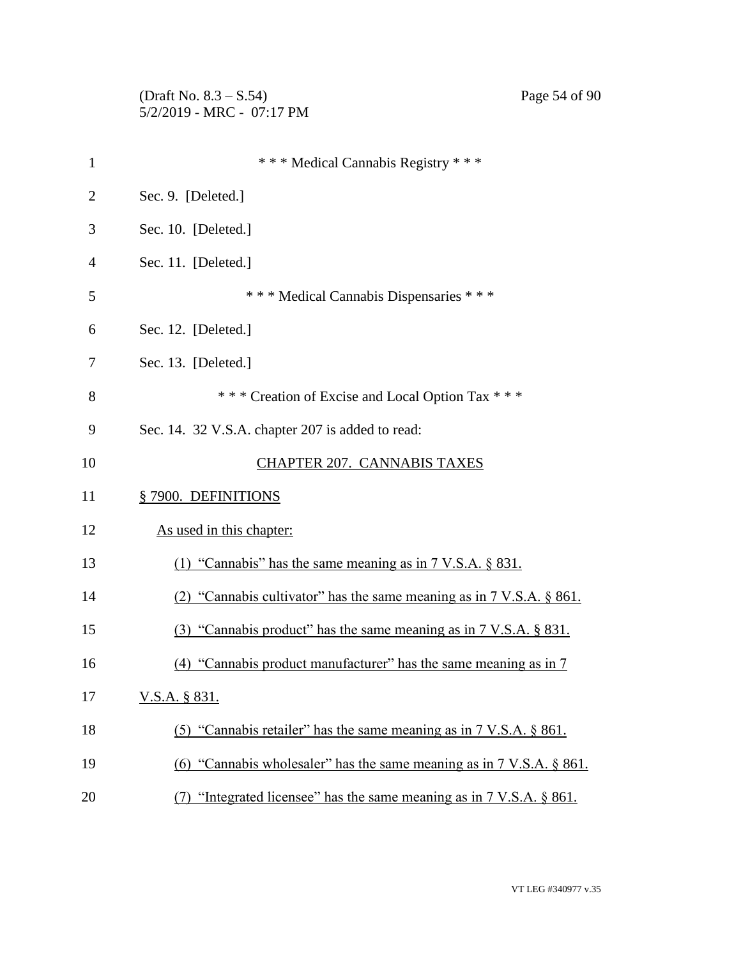(Draft No. 8.3 – S.54) Page 54 of 90 5/2/2019 - MRC - 07:17 PM

| $\mathbf{1}$ | *** Medical Cannabis Registry ***                                                  |
|--------------|------------------------------------------------------------------------------------|
| 2            | Sec. 9. [Deleted.]                                                                 |
| 3            | Sec. 10. [Deleted.]                                                                |
| 4            | Sec. 11. [Deleted.]                                                                |
| 5            | *** Medical Cannabis Dispensaries ***                                              |
| 6            | Sec. 12. [Deleted.]                                                                |
| 7            | Sec. 13. [Deleted.]                                                                |
| 8            | *** Creation of Excise and Local Option Tax ***                                    |
| 9            | Sec. 14. 32 V.S.A. chapter 207 is added to read:                                   |
| 10           | <b>CHAPTER 207. CANNABIS TAXES</b>                                                 |
| 11           | §7900. DEFINITIONS                                                                 |
| 12           | As used in this chapter:                                                           |
| 13           | (1) "Cannabis" has the same meaning as in $7 \text{ V.S.A. }$ \$ 831.              |
| 14           | (2) "Cannabis cultivator" has the same meaning as in 7 V.S.A. § 861.               |
| 15           | (3) "Cannabis product" has the same meaning as in 7 V.S.A. § 831.                  |
| 16           | "Cannabis product manufacturer" has the same meaning as in 7                       |
| 17           | <u>V.S.A. § 831.</u>                                                               |
| 18           | (5) "Cannabis retailer" has the same meaning as in $7 \text{ V.S.A. }$ \$861.      |
| 19           | (6) "Cannabis wholesaler" has the same meaning as in 7 V.S.A. § 861.               |
| 20           | "Integrated licensee" has the same meaning as in $7 \text{ V.S.A. }$ \$861.<br>(7) |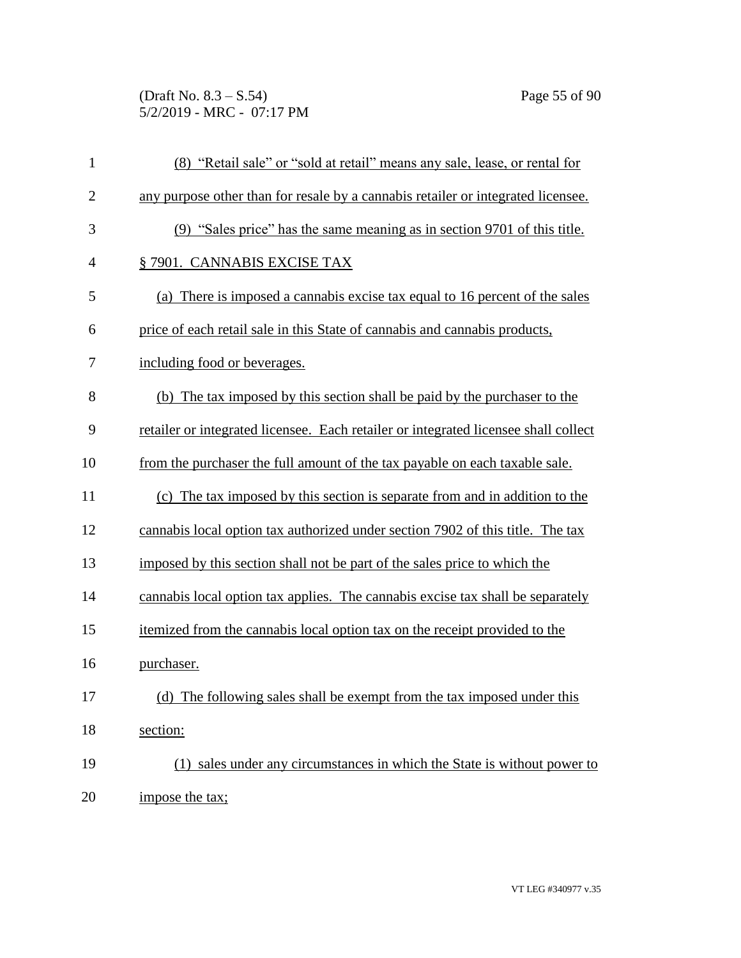(Draft No. 8.3 – S.54) Page 55 of 90 5/2/2019 - MRC - 07:17 PM

| $\mathbf{1}$   | (8) "Retail sale" or "sold at retail" means any sale, lease, or rental for          |
|----------------|-------------------------------------------------------------------------------------|
| $\overline{2}$ | any purpose other than for resale by a cannabis retailer or integrated licensee.    |
| 3              | (9) "Sales price" has the same meaning as in section 9701 of this title.            |
| $\overline{4}$ | §7901. CANNABIS EXCISE TAX                                                          |
| 5              | (a) There is imposed a cannabis excise tax equal to 16 percent of the sales         |
| 6              | price of each retail sale in this State of cannabis and cannabis products,          |
| 7              | including food or beverages.                                                        |
| 8              | (b) The tax imposed by this section shall be paid by the purchaser to the           |
| 9              | retailer or integrated licensee. Each retailer or integrated licensee shall collect |
| 10             | from the purchaser the full amount of the tax payable on each taxable sale.         |
| 11             | (c) The tax imposed by this section is separate from and in addition to the         |
| 12             | cannabis local option tax authorized under section 7902 of this title. The tax      |
| 13             | imposed by this section shall not be part of the sales price to which the           |
| 14             | cannabis local option tax applies. The cannabis excise tax shall be separately      |
| 15             | itemized from the cannabis local option tax on the receipt provided to the          |
| 16             | purchaser.                                                                          |
| 17             | (d) The following sales shall be exempt from the tax imposed under this             |
| 18             | section:                                                                            |
| 19             | (1) sales under any circumstances in which the State is without power to            |
| 20             | impose the tax;                                                                     |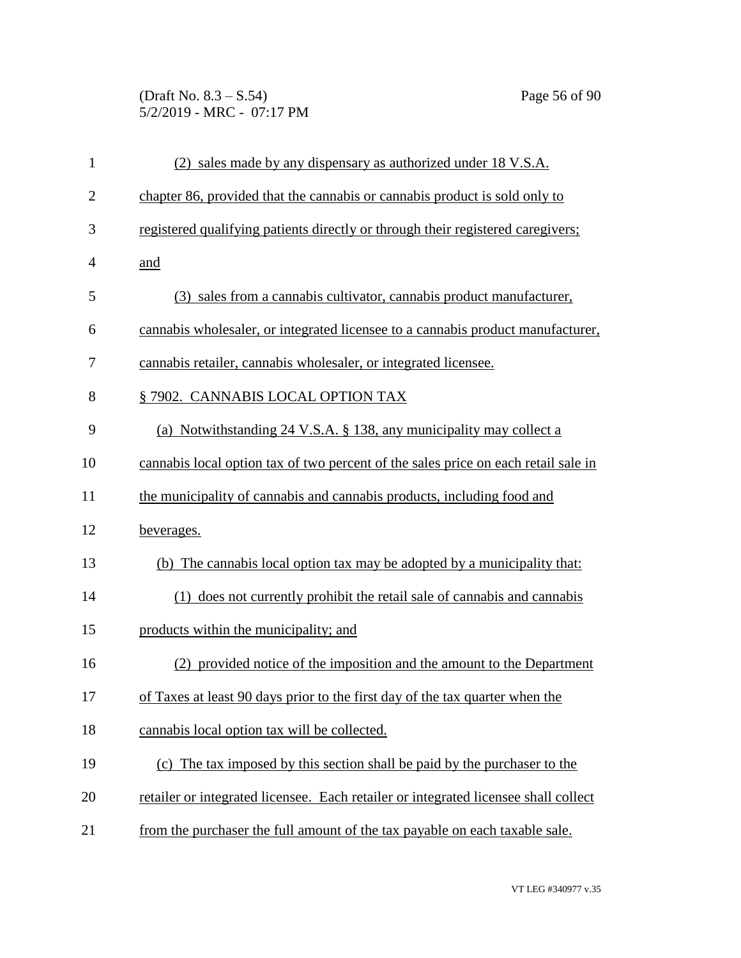(Draft No. 8.3 – S.54) Page 56 of 90 5/2/2019 - MRC - 07:17 PM

| $\mathbf{1}$   | (2) sales made by any dispensary as authorized under 18 V.S.A.                      |
|----------------|-------------------------------------------------------------------------------------|
| $\overline{2}$ | chapter 86, provided that the cannabis or cannabis product is sold only to          |
| 3              | registered qualifying patients directly or through their registered caregivers;     |
| $\overline{4}$ | and                                                                                 |
| 5              | (3) sales from a cannabis cultivator, cannabis product manufacturer,                |
| 6              | cannabis wholesaler, or integrated licensee to a cannabis product manufacturer,     |
| 7              | cannabis retailer, cannabis wholesaler, or integrated licensee.                     |
| 8              | § 7902. CANNABIS LOCAL OPTION TAX                                                   |
| 9              | (a) Notwithstanding 24 V.S.A. § 138, any municipality may collect a                 |
| 10             | cannabis local option tax of two percent of the sales price on each retail sale in  |
| 11             | the municipality of cannabis and cannabis products, including food and              |
| 12             | beverages.                                                                          |
| 13             | (b) The cannabis local option tax may be adopted by a municipality that:            |
| 14             | (1) does not currently prohibit the retail sale of cannabis and cannabis            |
| 15             | products within the municipality; and                                               |
| 16             | (2) provided notice of the imposition and the amount to the Department              |
| 17             | of Taxes at least 90 days prior to the first day of the tax quarter when the        |
| 18             | cannabis local option tax will be collected.                                        |
| 19             | (c) The tax imposed by this section shall be paid by the purchaser to the           |
| 20             | retailer or integrated licensee. Each retailer or integrated licensee shall collect |
| 21             | from the purchaser the full amount of the tax payable on each taxable sale.         |
|                |                                                                                     |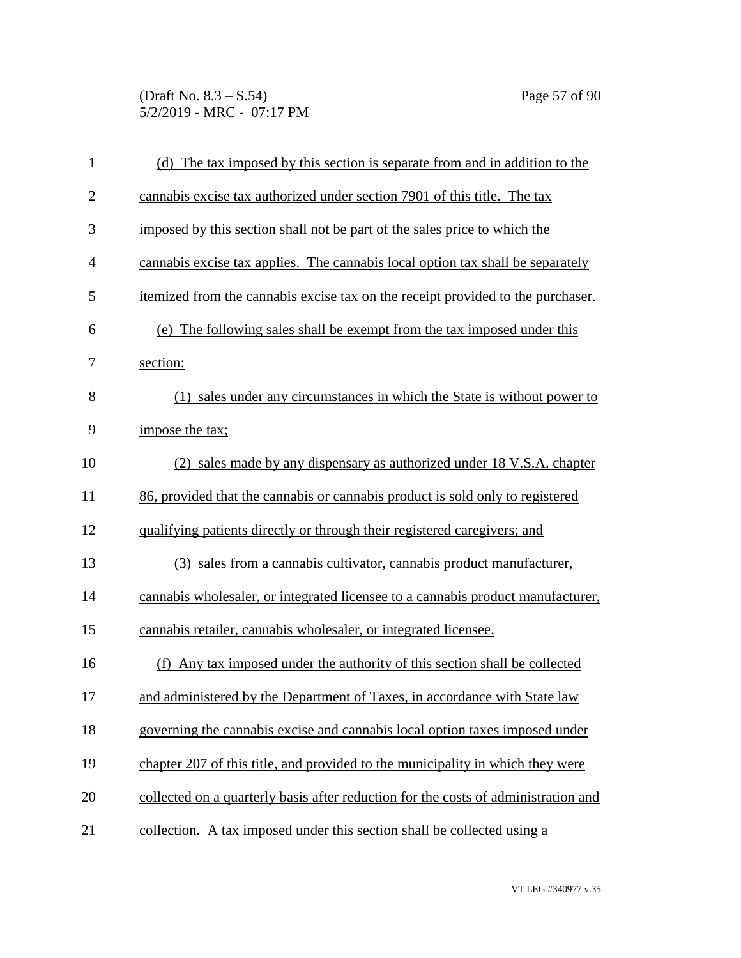(Draft No. 8.3 – S.54) Page 57 of 90 5/2/2019 - MRC - 07:17 PM

| $\mathbf{1}$   | (d) The tax imposed by this section is separate from and in addition to the        |
|----------------|------------------------------------------------------------------------------------|
| $\overline{2}$ | cannabis excise tax authorized under section 7901 of this title. The tax           |
| 3              | imposed by this section shall not be part of the sales price to which the          |
| $\overline{4}$ | cannabis excise tax applies. The cannabis local option tax shall be separately     |
| 5              | itemized from the cannabis excise tax on the receipt provided to the purchaser.    |
| 6              | (e) The following sales shall be exempt from the tax imposed under this            |
| 7              | section:                                                                           |
| 8              | (1) sales under any circumstances in which the State is without power to           |
| 9              | impose the tax;                                                                    |
| 10             | (2) sales made by any dispensary as authorized under 18 V.S.A. chapter             |
| 11             | 86, provided that the cannabis or cannabis product is sold only to registered      |
| 12             | qualifying patients directly or through their registered caregivers; and           |
| 13             | (3) sales from a cannabis cultivator, cannabis product manufacturer,               |
| 14             | cannabis wholesaler, or integrated licensee to a cannabis product manufacturer,    |
| 15             | cannabis retailer, cannabis wholesaler, or integrated licensee.                    |
| 16             | (f) Any tax imposed under the authority of this section shall be collected         |
| 17             | and administered by the Department of Taxes, in accordance with State law          |
| 18             | governing the cannabis excise and cannabis local option taxes imposed under        |
| 19             | chapter 207 of this title, and provided to the municipality in which they were     |
| 20             | collected on a quarterly basis after reduction for the costs of administration and |
| 21             | collection. A tax imposed under this section shall be collected using a            |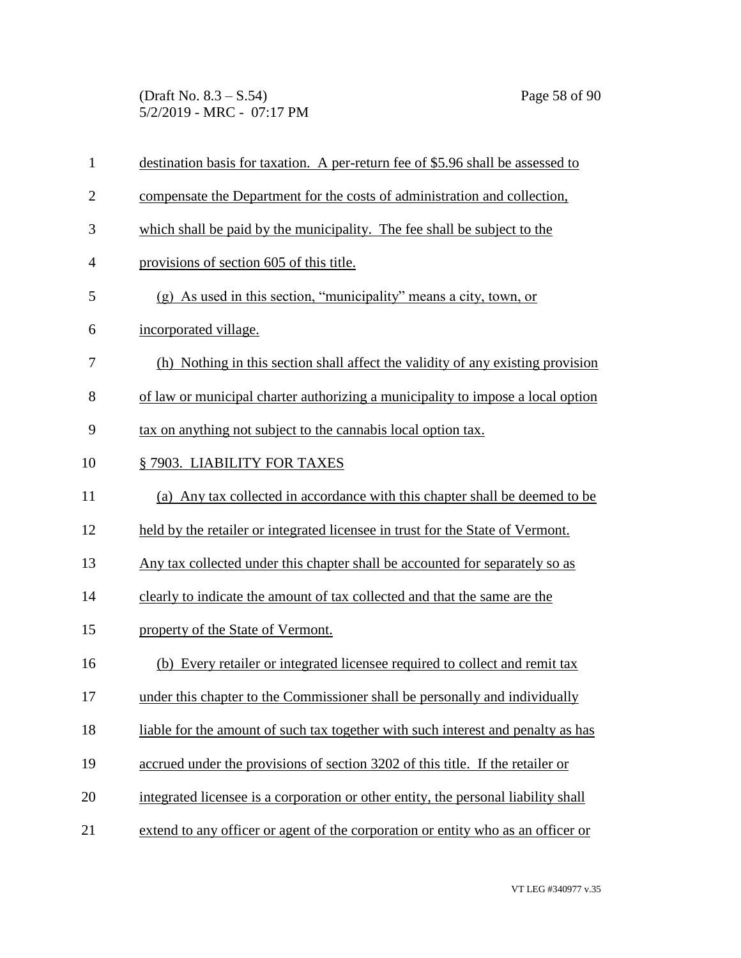(Draft No. 8.3 – S.54) Page 58 of 90 5/2/2019 - MRC - 07:17 PM

| $\mathbf{1}$   | destination basis for taxation. A per-return fee of \$5.96 shall be assessed to    |
|----------------|------------------------------------------------------------------------------------|
| $\overline{2}$ | compensate the Department for the costs of administration and collection,          |
| 3              | which shall be paid by the municipality. The fee shall be subject to the           |
| $\overline{4}$ | provisions of section 605 of this title.                                           |
| 5              | $(g)$ As used in this section, "municipality" means a city, town, or               |
| 6              | incorporated village.                                                              |
| 7              | (h) Nothing in this section shall affect the validity of any existing provision    |
| 8              | of law or municipal charter authorizing a municipality to impose a local option    |
| 9              | tax on anything not subject to the cannabis local option tax.                      |
| 10             | §7903. LIABILITY FOR TAXES                                                         |
| 11             | (a) Any tax collected in accordance with this chapter shall be deemed to be        |
| 12             | held by the retailer or integrated licensee in trust for the State of Vermont.     |
| 13             | Any tax collected under this chapter shall be accounted for separately so as       |
| 14             | clearly to indicate the amount of tax collected and that the same are the          |
| 15             | property of the State of Vermont.                                                  |
| 16             | (b) Every retailer or integrated licensee required to collect and remit tax        |
| 17             | under this chapter to the Commissioner shall be personally and individually        |
| 18             | liable for the amount of such tax together with such interest and penalty as has   |
| 19             | accrued under the provisions of section 3202 of this title. If the retailer or     |
| 20             | integrated licensee is a corporation or other entity, the personal liability shall |
| 21             | extend to any officer or agent of the corporation or entity who as an officer or   |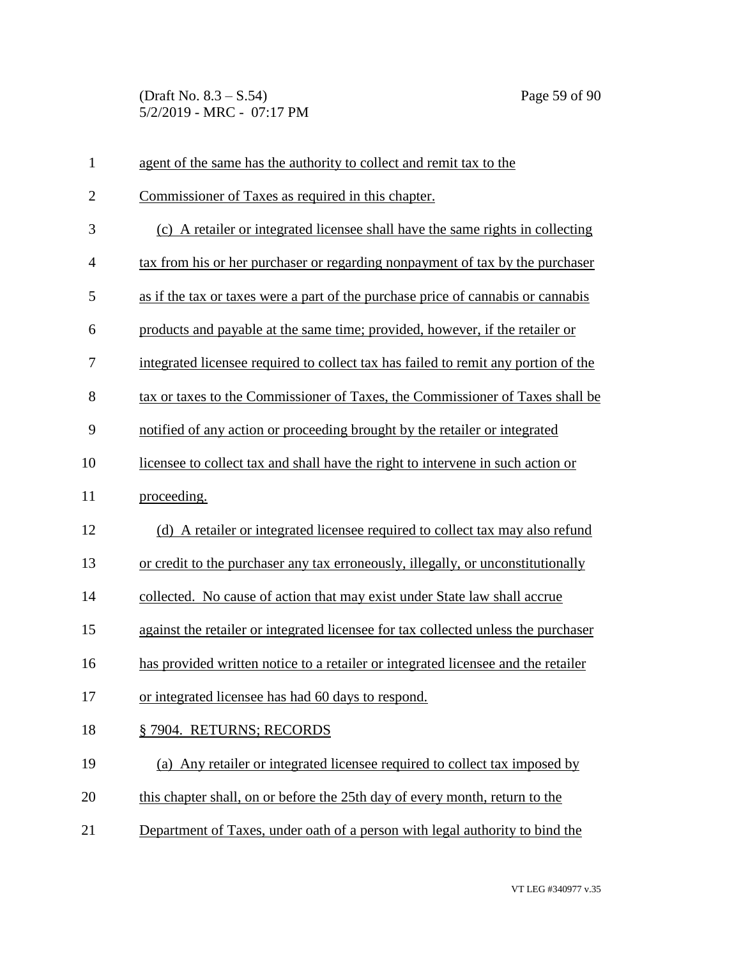(Draft No. 8.3 – S.54) Page 59 of 90 5/2/2019 - MRC - 07:17 PM

| $\mathbf{1}$   | agent of the same has the authority to collect and remit tax to the                |
|----------------|------------------------------------------------------------------------------------|
| $\overline{2}$ | Commissioner of Taxes as required in this chapter.                                 |
| 3              | (c) A retailer or integrated licensee shall have the same rights in collecting     |
| $\overline{4}$ | tax from his or her purchaser or regarding nonpayment of tax by the purchaser      |
| 5              | as if the tax or taxes were a part of the purchase price of cannabis or cannabis   |
| 6              | products and payable at the same time; provided, however, if the retailer or       |
| 7              | integrated licensee required to collect tax has failed to remit any portion of the |
| 8              | tax or taxes to the Commissioner of Taxes, the Commissioner of Taxes shall be      |
| 9              | notified of any action or proceeding brought by the retailer or integrated         |
| 10             | licensee to collect tax and shall have the right to intervene in such action or    |
| 11             | proceeding.                                                                        |
| 12             | (d) A retailer or integrated licensee required to collect tax may also refund      |
| 13             | or credit to the purchaser any tax erroneously, illegally, or unconstitutionally   |
| 14             | collected. No cause of action that may exist under State law shall accrue          |
| 15             | against the retailer or integrated licensee for tax collected unless the purchaser |
| 16             | has provided written notice to a retailer or integrated licensee and the retailer  |
| 17             | or integrated licensee has had 60 days to respond.                                 |
| 18             | § 7904. RETURNS; RECORDS                                                           |
| 19             | (a) Any retailer or integrated licensee required to collect tax imposed by         |
| 20             | this chapter shall, on or before the 25th day of every month, return to the        |
| 21             | Department of Taxes, under oath of a person with legal authority to bind the       |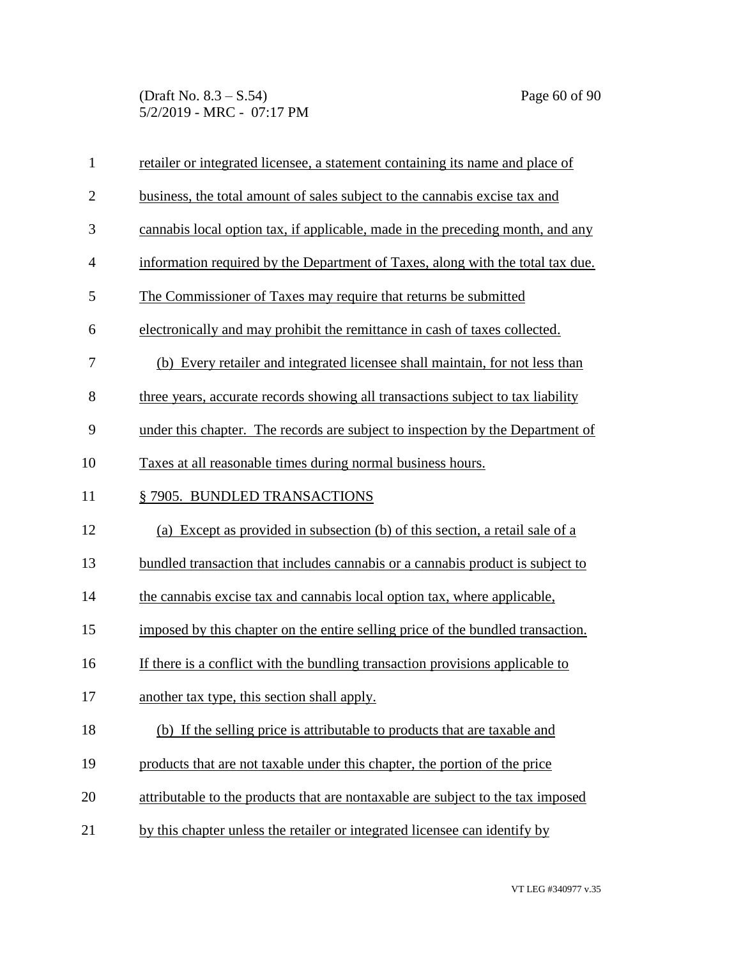(Draft No.  $8.3 - S.54$ ) Page 60 of 90 5/2/2019 - MRC - 07:17 PM

| $\mathbf{1}$   | retailer or integrated licensee, a statement containing its name and place of   |
|----------------|---------------------------------------------------------------------------------|
| $\overline{2}$ | business, the total amount of sales subject to the cannabis excise tax and      |
| 3              | cannabis local option tax, if applicable, made in the preceding month, and any  |
| $\overline{4}$ | information required by the Department of Taxes, along with the total tax due.  |
| 5              | The Commissioner of Taxes may require that returns be submitted                 |
| 6              | electronically and may prohibit the remittance in cash of taxes collected.      |
| 7              | (b) Every retailer and integrated licensee shall maintain, for not less than    |
| 8              | three years, accurate records showing all transactions subject to tax liability |
| 9              | under this chapter. The records are subject to inspection by the Department of  |
| 10             | Taxes at all reasonable times during normal business hours.                     |
| 11             | §7905. BUNDLED TRANSACTIONS                                                     |
| 12             | (a) Except as provided in subsection (b) of this section, a retail sale of a    |
| 13             | bundled transaction that includes cannabis or a cannabis product is subject to  |
| 14             | the cannabis excise tax and cannabis local option tax, where applicable,        |
| 15             | imposed by this chapter on the entire selling price of the bundled transaction. |
| 16             | If there is a conflict with the bundling transaction provisions applicable to   |
| 17             | another tax type, this section shall apply.                                     |
| 18             | (b) If the selling price is attributable to products that are taxable and       |
| 19             | products that are not taxable under this chapter, the portion of the price      |
| 20             | attributable to the products that are nontaxable are subject to the tax imposed |
| 21             | by this chapter unless the retailer or integrated licensee can identify by      |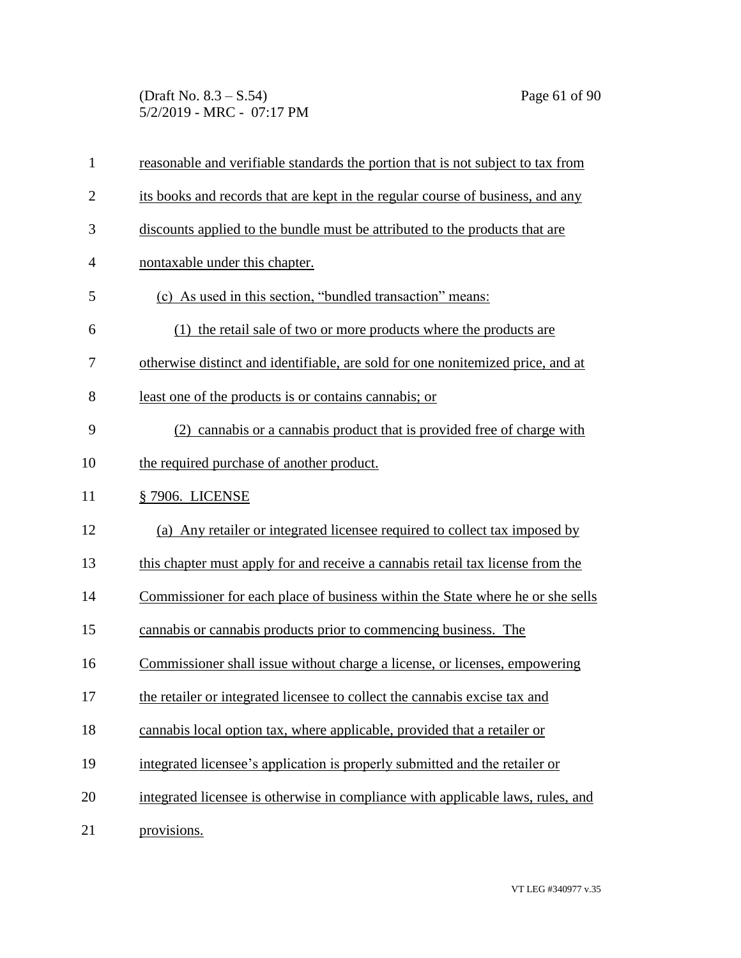(Draft No. 8.3 – S.54) Page 61 of 90 5/2/2019 - MRC - 07:17 PM

| $\mathbf{1}$   | reasonable and verifiable standards the portion that is not subject to tax from |
|----------------|---------------------------------------------------------------------------------|
| $\overline{2}$ | its books and records that are kept in the regular course of business, and any  |
| 3              | discounts applied to the bundle must be attributed to the products that are     |
| $\overline{4}$ | nontaxable under this chapter.                                                  |
| 5              | (c) As used in this section, "bundled transaction" means:                       |
| 6              | (1) the retail sale of two or more products where the products are              |
| 7              | otherwise distinct and identifiable, are sold for one nonitemized price, and at |
| 8              | least one of the products is or contains cannabis; or                           |
| 9              | (2) cannabis or a cannabis product that is provided free of charge with         |
| 10             | the required purchase of another product.                                       |
| 11             | § 7906. LICENSE                                                                 |
| 12             | (a) Any retailer or integrated licensee required to collect tax imposed by      |
| 13             | this chapter must apply for and receive a cannabis retail tax license from the  |
| 14             | Commissioner for each place of business within the State where he or she sells  |
| 15             | cannabis or cannabis products prior to commencing business. The                 |
| 16             | Commissioner shall issue without charge a license, or licenses, empowering      |
| 17             | the retailer or integrated licensee to collect the cannabis excise tax and      |
| 18             | cannabis local option tax, where applicable, provided that a retailer or        |
| 19             | integrated licensee's application is properly submitted and the retailer or     |
| 20             | integrated licensee is otherwise in compliance with applicable laws, rules, and |
| 21             | provisions.                                                                     |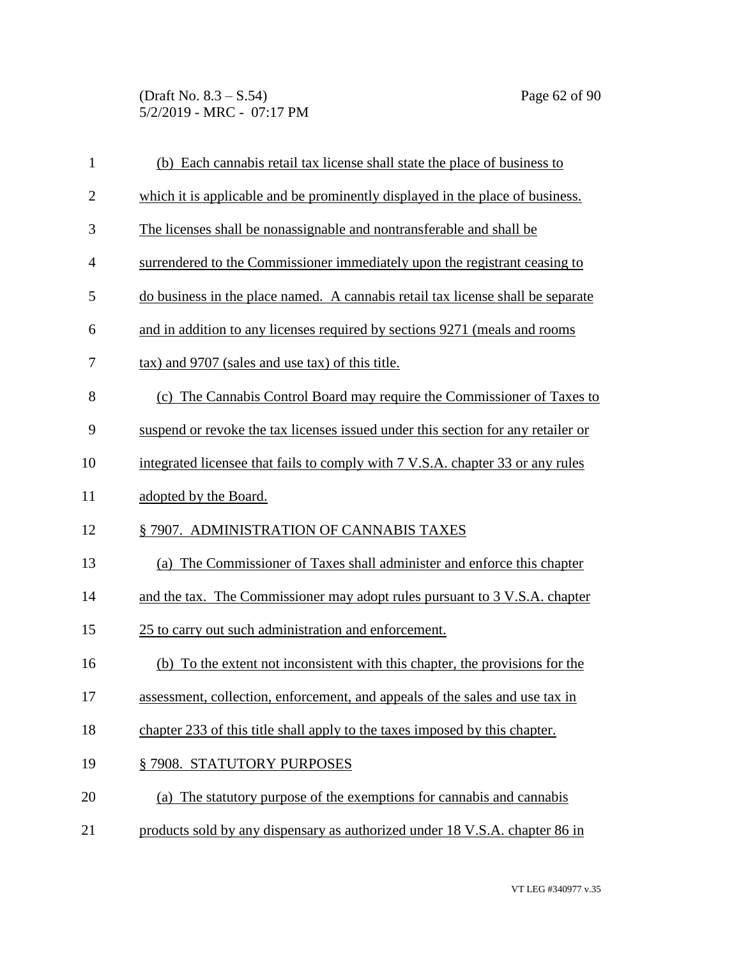(Draft No. 8.3 – S.54) Page 62 of 90 5/2/2019 - MRC - 07:17 PM

| $\mathbf{1}$   | (b) Each cannabis retail tax license shall state the place of business to        |
|----------------|----------------------------------------------------------------------------------|
| $\overline{2}$ | which it is applicable and be prominently displayed in the place of business.    |
| 3              | The licenses shall be nonassignable and nontransferable and shall be             |
| $\overline{4}$ | surrendered to the Commissioner immediately upon the registrant ceasing to       |
| 5              | do business in the place named. A cannabis retail tax license shall be separate  |
| 6              | and in addition to any licenses required by sections 9271 (meals and rooms       |
| 7              | tax) and 9707 (sales and use tax) of this title.                                 |
| 8              | (c) The Cannabis Control Board may require the Commissioner of Taxes to          |
| 9              | suspend or revoke the tax licenses issued under this section for any retailer or |
| 10             | integrated licensee that fails to comply with 7 V.S.A. chapter 33 or any rules   |
| 11             | adopted by the Board.                                                            |
| 12             | §7907. ADMINISTRATION OF CANNABIS TAXES                                          |
| 13             | (a) The Commissioner of Taxes shall administer and enforce this chapter          |
| 14             | and the tax. The Commissioner may adopt rules pursuant to 3 V.S.A. chapter       |
| 15             | 25 to carry out such administration and enforcement.                             |
| 16             | (b) To the extent not inconsistent with this chapter, the provisions for the     |
| 17             | assessment, collection, enforcement, and appeals of the sales and use tax in     |
| 18             | chapter 233 of this title shall apply to the taxes imposed by this chapter.      |
| 19             | §7908. STATUTORY PURPOSES                                                        |
| 20             | (a) The statutory purpose of the exemptions for cannabis and cannabis            |
| 21             | products sold by any dispensary as authorized under 18 V.S.A. chapter 86 in      |
|                |                                                                                  |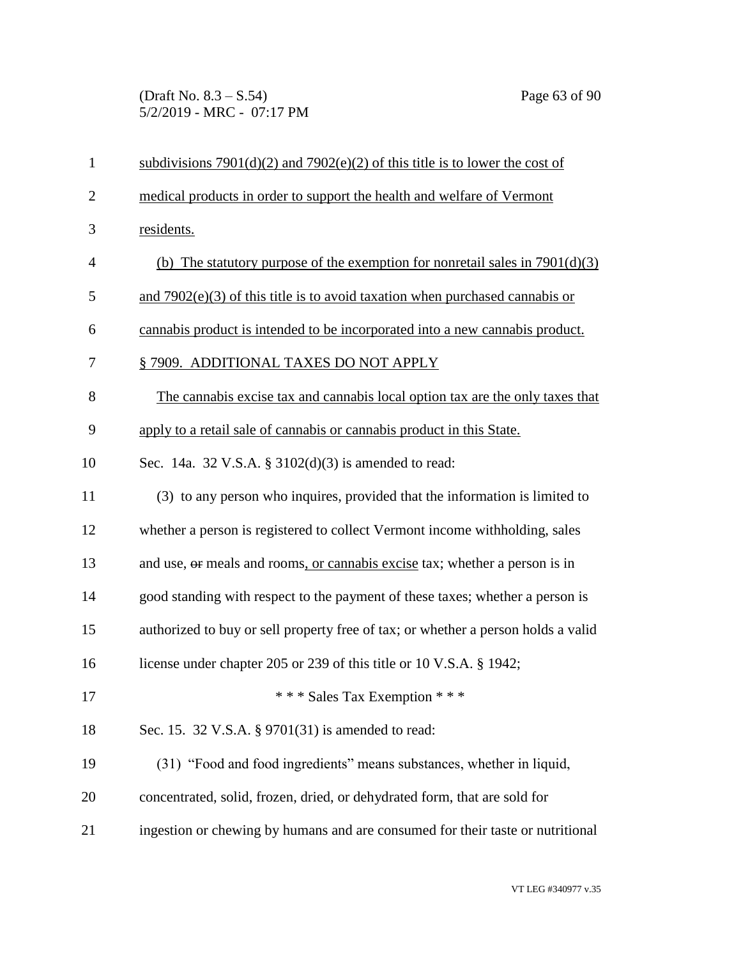(Draft No. 8.3 – S.54) Page 63 of 90 5/2/2019 - MRC - 07:17 PM

| $\mathbf{1}$   | subdivisions $7901(d)(2)$ and $7902(e)(2)$ of this title is to lower the cost of  |
|----------------|-----------------------------------------------------------------------------------|
| $\overline{2}$ | medical products in order to support the health and welfare of Vermont            |
| 3              | residents.                                                                        |
| $\overline{4}$ | (b) The statutory purpose of the exemption for nonretail sales in $7901(d)(3)$    |
| 5              | and $7902(e)(3)$ of this title is to avoid taxation when purchased cannabis or    |
| 6              | cannabis product is intended to be incorporated into a new cannabis product.      |
| $\tau$         | § 7909. ADDITIONAL TAXES DO NOT APPLY                                             |
| 8              | The cannabis excise tax and cannabis local option tax are the only taxes that     |
| 9              | apply to a retail sale of cannabis or cannabis product in this State.             |
| 10             | Sec. 14a. 32 V.S.A. § 3102(d)(3) is amended to read:                              |
| 11             | (3) to any person who inquires, provided that the information is limited to       |
| 12             | whether a person is registered to collect Vermont income withholding, sales       |
| 13             | and use, or meals and rooms, or cannabis excise tax; whether a person is in       |
| 14             | good standing with respect to the payment of these taxes; whether a person is     |
| 15             | authorized to buy or sell property free of tax; or whether a person holds a valid |
| 16             | license under chapter 205 or 239 of this title or 10 V.S.A. § 1942;               |
| 17             | *** Sales Tax Exemption ***                                                       |
| 18             | Sec. 15. 32 V.S.A. § 9701(31) is amended to read:                                 |
| 19             | (31) "Food and food ingredients" means substances, whether in liquid,             |
| 20             | concentrated, solid, frozen, dried, or dehydrated form, that are sold for         |
| 21             | ingestion or chewing by humans and are consumed for their taste or nutritional    |
|                |                                                                                   |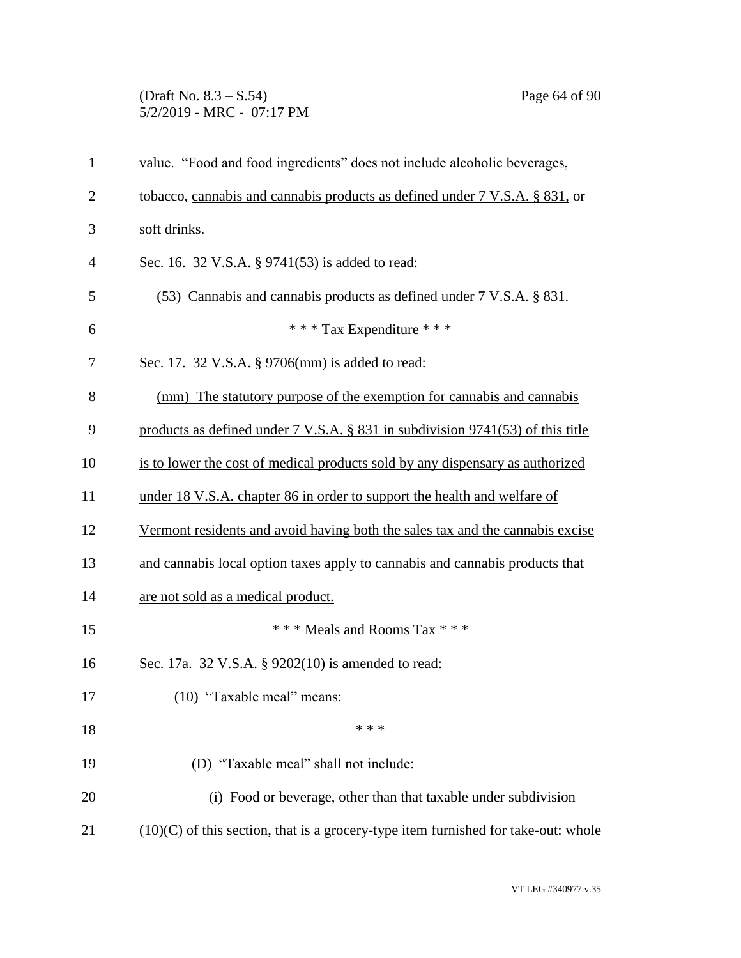## (Draft No. 8.3 – S.54) Page 64 of 90 5/2/2019 - MRC - 07:17 PM

| $\mathbf{1}$   | value. "Food and food ingredients" does not include alcoholic beverages,             |
|----------------|--------------------------------------------------------------------------------------|
| $\overline{2}$ | tobacco, cannabis and cannabis products as defined under 7 V.S.A. § 831, or          |
| 3              | soft drinks.                                                                         |
| 4              | Sec. 16. 32 V.S.A. § 9741(53) is added to read:                                      |
| 5              | (53) Cannabis and cannabis products as defined under 7 V.S.A. § 831.                 |
| 6              | *** Tax Expenditure ***                                                              |
| 7              | Sec. 17. 32 V.S.A. § 9706(mm) is added to read:                                      |
| 8              | (mm) The statutory purpose of the exemption for cannabis and cannabis                |
| 9              | products as defined under 7 V.S.A. § 831 in subdivision 9741(53) of this title       |
| 10             | is to lower the cost of medical products sold by any dispensary as authorized        |
| 11             | under 18 V.S.A. chapter 86 in order to support the health and welfare of             |
| 12             | Vermont residents and avoid having both the sales tax and the cannabis excise        |
| 13             | and cannabis local option taxes apply to cannabis and cannabis products that         |
| 14             | are not sold as a medical product.                                                   |
| 15             | *** Meals and Rooms Tax ***                                                          |
| 16             | Sec. 17a. 32 V.S.A. § 9202(10) is amended to read:                                   |
| 17             | (10) "Taxable meal" means:                                                           |
| 18             | * * *                                                                                |
| 19             | (D) "Taxable meal" shall not include:                                                |
| 20             | (i) Food or beverage, other than that taxable under subdivision                      |
| 21             | $(10)(C)$ of this section, that is a grocery-type item furnished for take-out: whole |
|                |                                                                                      |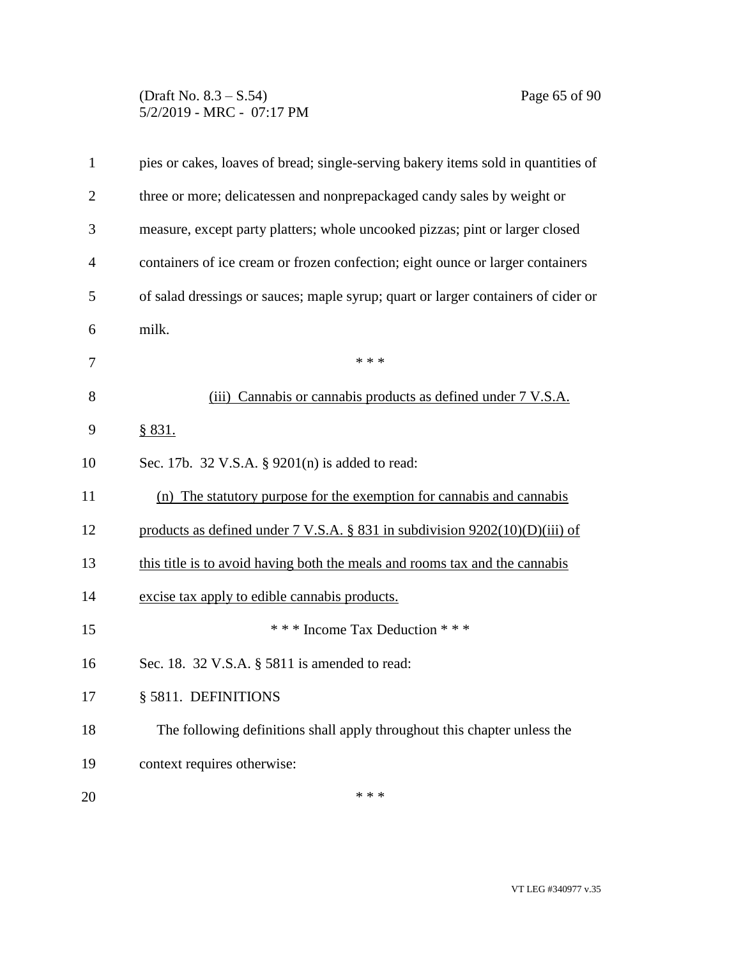## (Draft No. 8.3 – S.54) Page 65 of 90 5/2/2019 - MRC - 07:17 PM

| $\mathbf{1}$   | pies or cakes, loaves of bread; single-serving bakery items sold in quantities of       |
|----------------|-----------------------------------------------------------------------------------------|
| $\overline{2}$ | three or more; delicatessen and nonprepackaged candy sales by weight or                 |
| 3              | measure, except party platters; whole uncooked pizzas; pint or larger closed            |
| $\overline{4}$ | containers of ice cream or frozen confection; eight ounce or larger containers          |
| 5              | of salad dressings or sauces; maple syrup; quart or larger containers of cider or       |
| 6              | milk.                                                                                   |
| 7              | * * *                                                                                   |
| 8              | (iii) Cannabis or cannabis products as defined under 7 V.S.A.                           |
| 9              | \$831.                                                                                  |
| 10             | Sec. 17b. 32 V.S.A. § 9201(n) is added to read:                                         |
| 11             | (n) The statutory purpose for the exemption for cannabis and cannabis                   |
| 12             | products as defined under $7 \text{ V.S.A.}$ § 831 in subdivision $9202(10)(D)(iii)$ of |
| 13             | this title is to avoid having both the meals and rooms tax and the cannabis             |
| 14             | excise tax apply to edible cannabis products.                                           |
| 15             | *** Income Tax Deduction ***                                                            |
| 16             | Sec. 18. 32 V.S.A. § 5811 is amended to read:                                           |
| 17             | § 5811. DEFINITIONS                                                                     |
| 18             | The following definitions shall apply throughout this chapter unless the                |
| 19             | context requires otherwise:                                                             |
| 20             | * * *                                                                                   |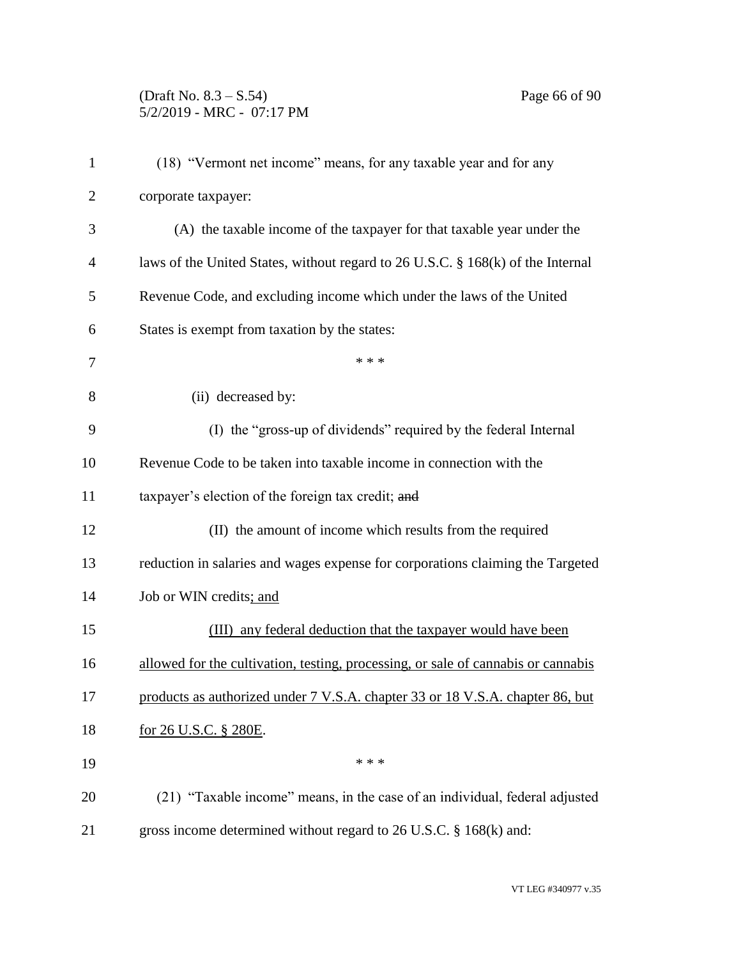# (Draft No. 8.3 – S.54) Page 66 of 90 5/2/2019 - MRC - 07:17 PM

| $\mathbf{1}$   | (18) "Vermont net income" means, for any taxable year and for any                 |
|----------------|-----------------------------------------------------------------------------------|
| $\overline{2}$ | corporate taxpayer:                                                               |
| 3              | (A) the taxable income of the taxpayer for that taxable year under the            |
| 4              | laws of the United States, without regard to 26 U.S.C. § 168(k) of the Internal   |
| 5              | Revenue Code, and excluding income which under the laws of the United             |
| 6              | States is exempt from taxation by the states:                                     |
| 7              | * * *                                                                             |
| 8              | (ii) decreased by:                                                                |
| 9              | (I) the "gross-up of dividends" required by the federal Internal                  |
| 10             | Revenue Code to be taken into taxable income in connection with the               |
| 11             | taxpayer's election of the foreign tax credit; and                                |
| 12             | (II) the amount of income which results from the required                         |
| 13             | reduction in salaries and wages expense for corporations claiming the Targeted    |
| 14             | Job or WIN credits; and                                                           |
| 15             | (III) any federal deduction that the taxpayer would have been                     |
| 16             | allowed for the cultivation, testing, processing, or sale of cannabis or cannabis |
| 17             | products as authorized under 7 V.S.A. chapter 33 or 18 V.S.A. chapter 86, but     |
| 18             | <u>for 26 U.S.C. § 280E.</u>                                                      |
| 19             | * * *                                                                             |
| 20             | (21) "Taxable income" means, in the case of an individual, federal adjusted       |
| 21             | gross income determined without regard to 26 U.S.C. § 168(k) and:                 |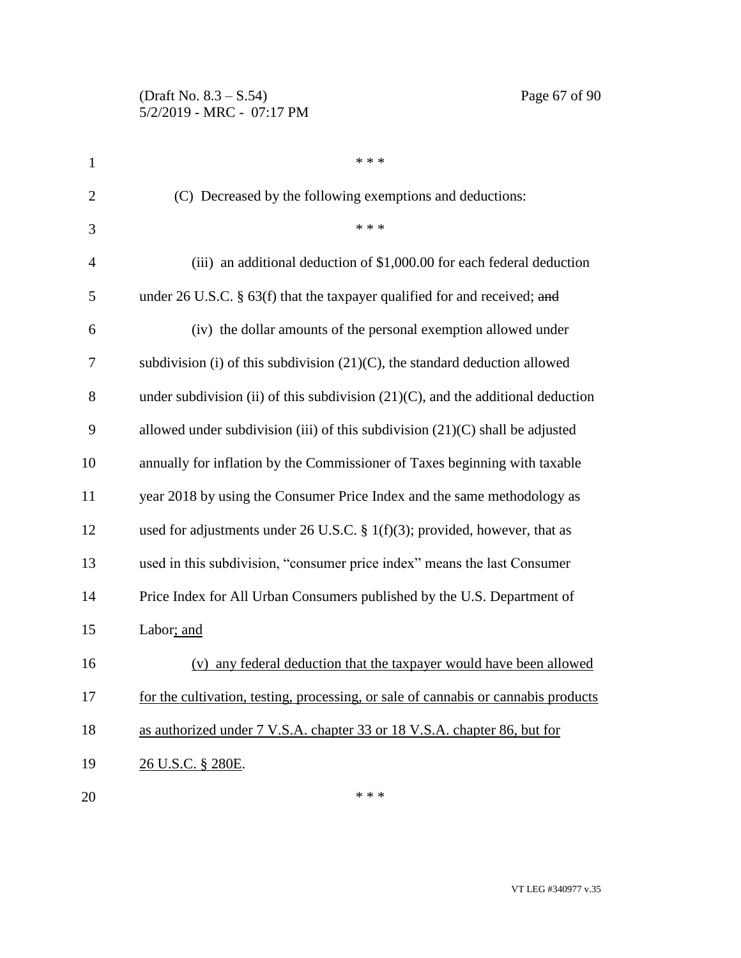# (Draft No. 8.3 – S.54) Page 67 of 90 5/2/2019 - MRC - 07:17 PM

| $\mathbf{1}$   | * * *                                                                               |
|----------------|-------------------------------------------------------------------------------------|
| $\overline{c}$ | (C) Decreased by the following exemptions and deductions:                           |
| 3              | * * *                                                                               |
| 4              | (iii) an additional deduction of \$1,000.00 for each federal deduction              |
| 5              | under 26 U.S.C. § 63(f) that the taxpayer qualified for and received; and           |
| 6              | (iv) the dollar amounts of the personal exemption allowed under                     |
| 7              | subdivision (i) of this subdivision $(21)(C)$ , the standard deduction allowed      |
| 8              | under subdivision (ii) of this subdivision $(21)(C)$ , and the additional deduction |
| 9              | allowed under subdivision (iii) of this subdivision $(21)(C)$ shall be adjusted     |
| 10             | annually for inflation by the Commissioner of Taxes beginning with taxable          |
| 11             | year 2018 by using the Consumer Price Index and the same methodology as             |
| 12             | used for adjustments under 26 U.S.C. $\S$ 1(f)(3); provided, however, that as       |
| 13             | used in this subdivision, "consumer price index" means the last Consumer            |
| 14             | Price Index for All Urban Consumers published by the U.S. Department of             |
| 15             | Labor; and                                                                          |
| 16             | (v) any federal deduction that the taxpayer would have been allowed                 |
| 17             | for the cultivation, testing, processing, or sale of cannabis or cannabis products  |
| 18             | as authorized under 7 V.S.A. chapter 33 or 18 V.S.A. chapter 86, but for            |
| 19             | 26 U.S.C. § 280E.                                                                   |
| 20             | * * *                                                                               |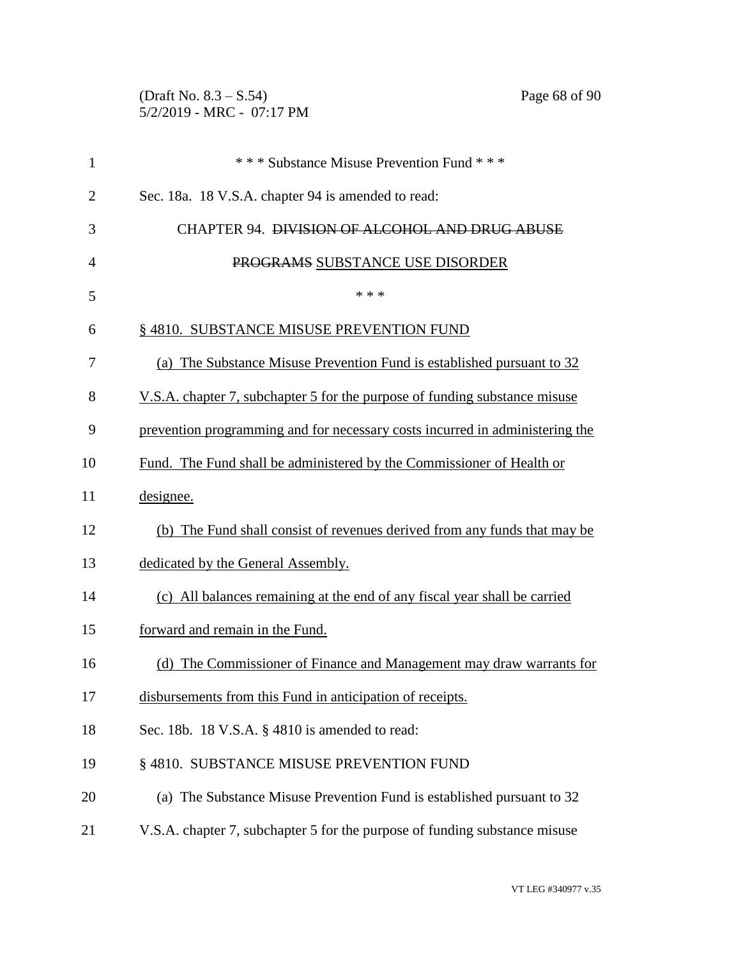(Draft No. 8.3 – S.54) Page 68 of 90 5/2/2019 - MRC - 07:17 PM

| $\mathbf{1}$   | *** Substance Misuse Prevention Fund ***                                     |
|----------------|------------------------------------------------------------------------------|
| $\overline{2}$ | Sec. 18a. 18 V.S.A. chapter 94 is amended to read:                           |
| 3              | <b>CHAPTER 94. DIVISION OF ALCOHOL AND DRUG ABUSE</b>                        |
| $\overline{4}$ | PROGRAMS SUBSTANCE USE DISORDER                                              |
| 5              | * * *                                                                        |
| 6              | §4810. SUBSTANCE MISUSE PREVENTION FUND                                      |
| 7              | (a) The Substance Misuse Prevention Fund is established pursuant to 32       |
| 8              | V.S.A. chapter 7, subchapter 5 for the purpose of funding substance misuse   |
| 9              | prevention programming and for necessary costs incurred in administering the |
| 10             | Fund. The Fund shall be administered by the Commissioner of Health or        |
| 11             | designee.                                                                    |
| 12             | (b) The Fund shall consist of revenues derived from any funds that may be    |
| 13             | dedicated by the General Assembly.                                           |
| 14             | (c) All balances remaining at the end of any fiscal year shall be carried    |
| 15             | forward and remain in the Fund.                                              |
| 16             | (d) The Commissioner of Finance and Management may draw warrants for         |
| 17             | disbursements from this Fund in anticipation of receipts.                    |
| 18             | Sec. 18b. 18 V.S.A. § 4810 is amended to read:                               |
| 19             | § 4810. SUBSTANCE MISUSE PREVENTION FUND                                     |
| 20             | (a) The Substance Misuse Prevention Fund is established pursuant to 32       |
| 21             | V.S.A. chapter 7, subchapter 5 for the purpose of funding substance misuse   |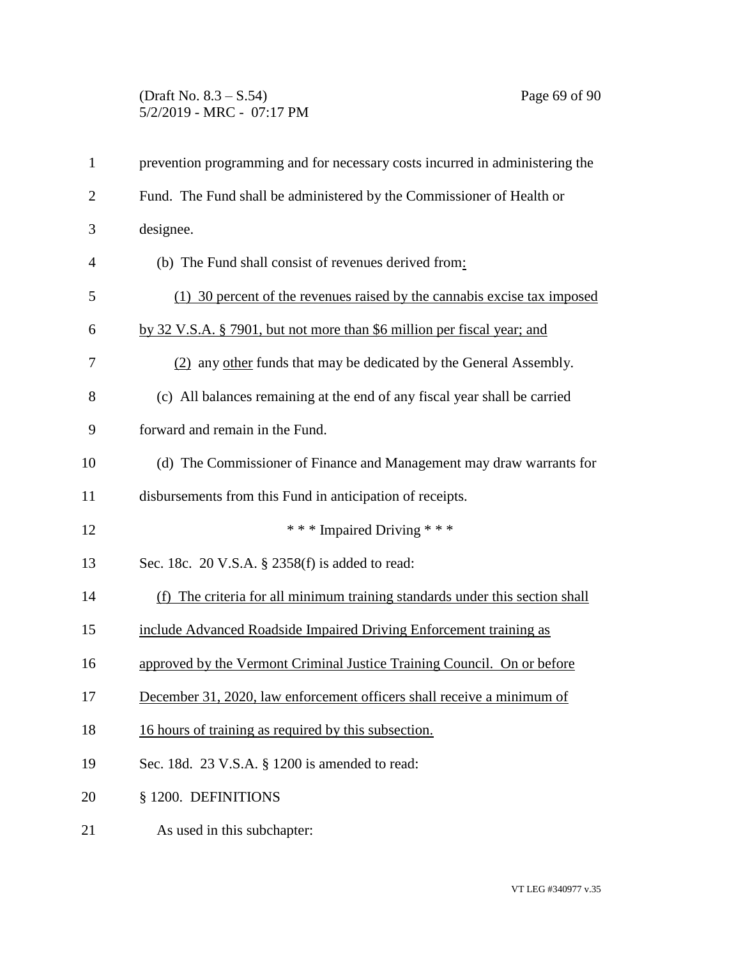## (Draft No. 8.3 – S.54) Page 69 of 90 5/2/2019 - MRC - 07:17 PM

| $\mathbf{1}$   | prevention programming and for necessary costs incurred in administering the |
|----------------|------------------------------------------------------------------------------|
| $\mathbf{2}$   | Fund. The Fund shall be administered by the Commissioner of Health or        |
| 3              | designee.                                                                    |
| $\overline{4}$ | (b) The Fund shall consist of revenues derived from:                         |
| 5              | (1) 30 percent of the revenues raised by the cannabis excise tax imposed     |
| 6              | by 32 V.S.A. § 7901, but not more than \$6 million per fiscal year; and      |
| 7              | (2) any other funds that may be dedicated by the General Assembly.           |
| 8              | (c) All balances remaining at the end of any fiscal year shall be carried    |
| 9              | forward and remain in the Fund.                                              |
| 10             | (d) The Commissioner of Finance and Management may draw warrants for         |
| 11             | disbursements from this Fund in anticipation of receipts.                    |
| 12             | *** Impaired Driving ***                                                     |
| 13             | Sec. 18c. 20 V.S.A. § 2358(f) is added to read:                              |
| 14             | (f) The criteria for all minimum training standards under this section shall |
| 15             | include Advanced Roadside Impaired Driving Enforcement training as           |
| 16             | approved by the Vermont Criminal Justice Training Council. On or before      |
| 17             | December 31, 2020, law enforcement officers shall receive a minimum of       |
| 18             | 16 hours of training as required by this subsection.                         |
| 19             | Sec. 18d. 23 V.S.A. § 1200 is amended to read:                               |
| 20             | § 1200. DEFINITIONS                                                          |
| 21             | As used in this subchapter:                                                  |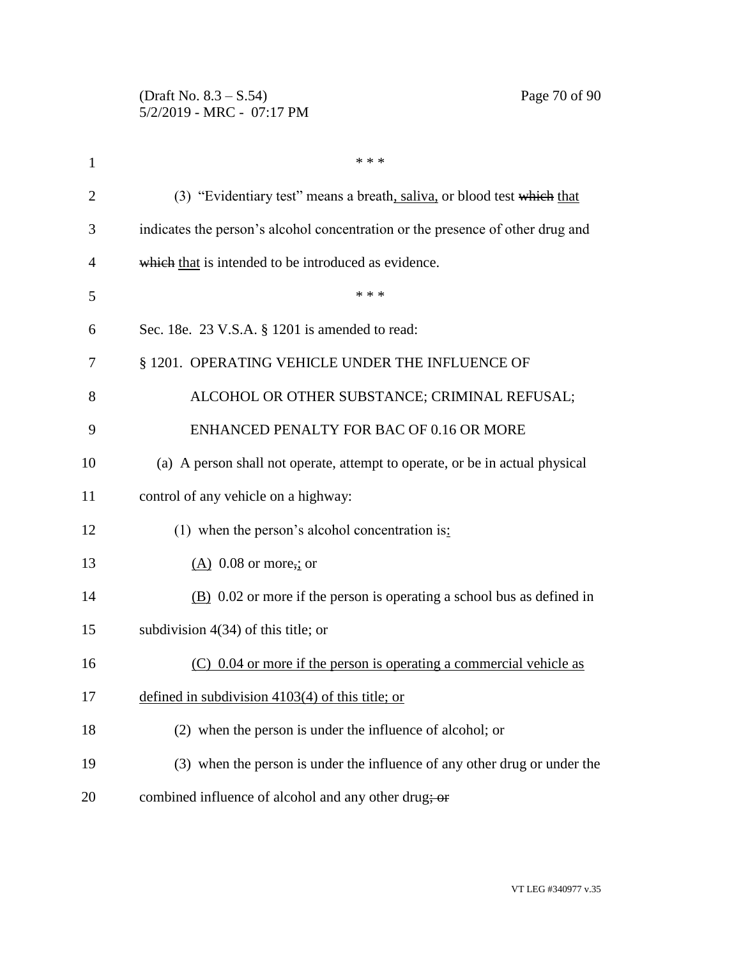| 1              | * * *                                                                          |
|----------------|--------------------------------------------------------------------------------|
| $\overline{2}$ | (3) "Evidentiary test" means a breath, saliva, or blood test which that        |
| 3              | indicates the person's alcohol concentration or the presence of other drug and |
| 4              | which that is intended to be introduced as evidence.                           |
| 5              | * * *                                                                          |
| 6              | Sec. 18e. 23 V.S.A. § 1201 is amended to read:                                 |
| 7              | § 1201. OPERATING VEHICLE UNDER THE INFLUENCE OF                               |
| 8              | ALCOHOL OR OTHER SUBSTANCE; CRIMINAL REFUSAL;                                  |
| 9              | ENHANCED PENALTY FOR BAC OF 0.16 OR MORE                                       |
| 10             | (a) A person shall not operate, attempt to operate, or be in actual physical   |
| 11             | control of any vehicle on a highway:                                           |
| 12             | (1) when the person's alcohol concentration is:                                |
| 13             | $(A)$ 0.08 or more, or                                                         |
| 14             | $(B)$ 0.02 or more if the person is operating a school bus as defined in       |
| 15             | subdivision $4(34)$ of this title; or                                          |
| 16             | $(C)$ 0.04 or more if the person is operating a commercial vehicle as          |
| 17             | defined in subdivision $4103(4)$ of this title; or                             |
| 18             | (2) when the person is under the influence of alcohol; or                      |
| 19             | (3) when the person is under the influence of any other drug or under the      |
| 20             | combined influence of alcohol and any other drug; or                           |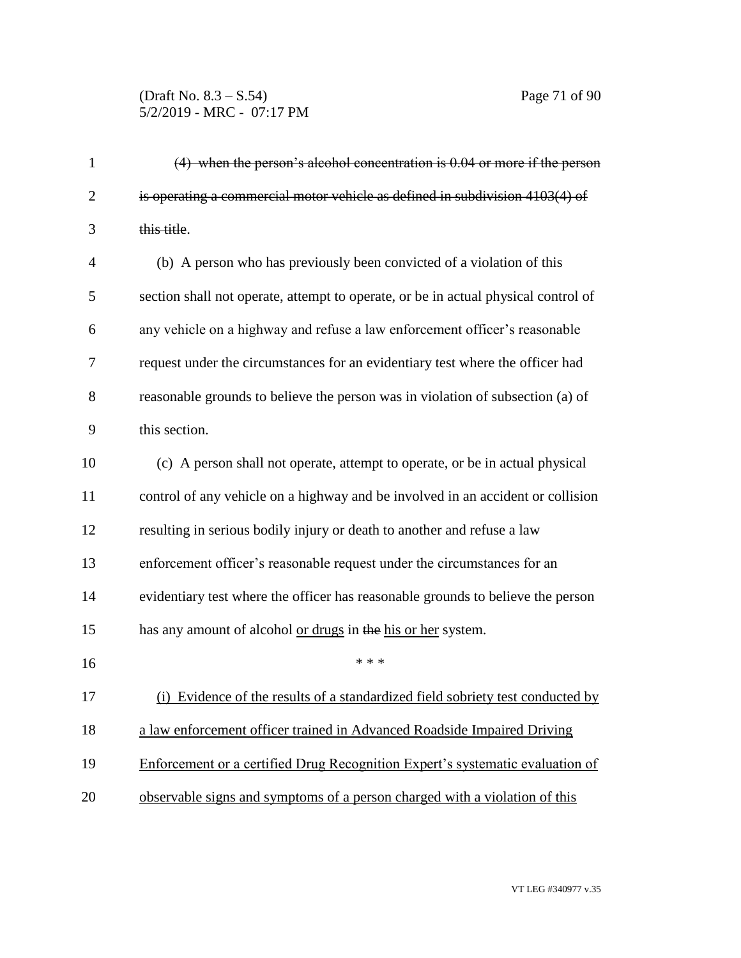## (Draft No. 8.3 – S.54) Page 71 of 90 5/2/2019 - MRC - 07:17 PM

| $\mathbf{1}$   | $(4)$ when the person's alcohol concentration is 0.04 or more if the person        |
|----------------|------------------------------------------------------------------------------------|
| $\overline{2}$ | is operating a commercial motor vehicle as defined in subdivision 4103(4) of       |
| 3              | this title.                                                                        |
| $\overline{4}$ | (b) A person who has previously been convicted of a violation of this              |
| 5              | section shall not operate, attempt to operate, or be in actual physical control of |
| 6              | any vehicle on a highway and refuse a law enforcement officer's reasonable         |
| 7              | request under the circumstances for an evidentiary test where the officer had      |
| 8              | reasonable grounds to believe the person was in violation of subsection (a) of     |
| 9              | this section.                                                                      |
| 10             | (c) A person shall not operate, attempt to operate, or be in actual physical       |
| 11             | control of any vehicle on a highway and be involved in an accident or collision    |
| 12             | resulting in serious bodily injury or death to another and refuse a law            |
| 13             | enforcement officer's reasonable request under the circumstances for an            |
| 14             | evidentiary test where the officer has reasonable grounds to believe the person    |
| 15             | has any amount of alcohol or drugs in the his or her system.                       |
| 16             | * * *                                                                              |
| 17             | (i) Evidence of the results of a standardized field sobriety test conducted by     |
| 18             | a law enforcement officer trained in Advanced Roadside Impaired Driving            |
| 19             | Enforcement or a certified Drug Recognition Expert's systematic evaluation of      |
| 20             | observable signs and symptoms of a person charged with a violation of this         |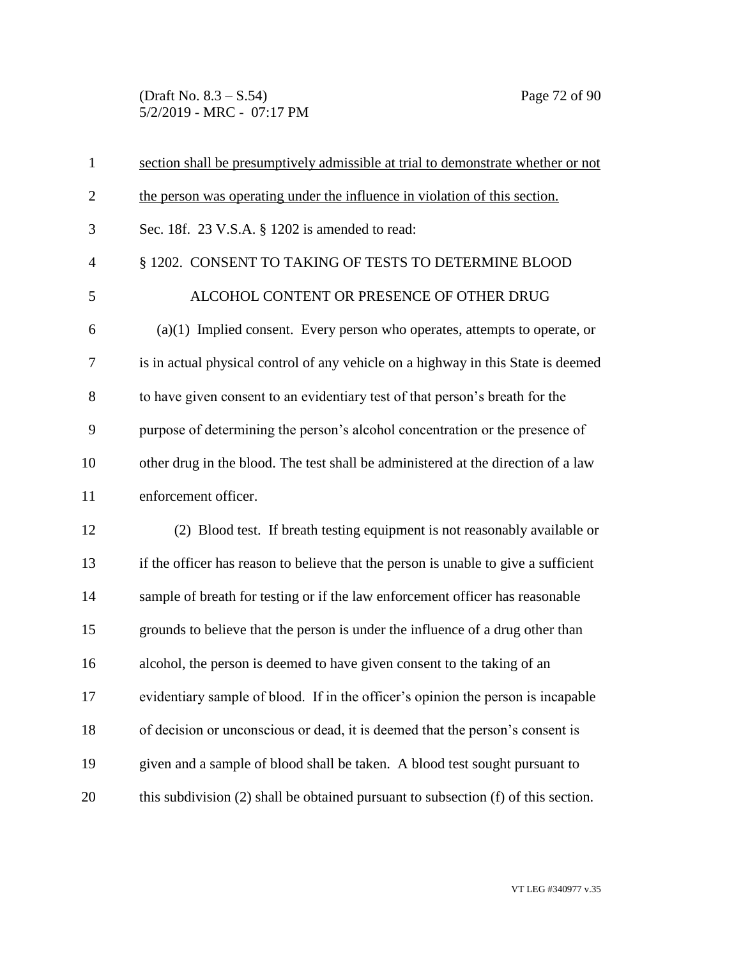(Draft No. 8.3 – S.54) Page 72 of 90 5/2/2019 - MRC - 07:17 PM

| $\mathbf{1}$   | section shall be presumptively admissible at trial to demonstrate whether or not    |
|----------------|-------------------------------------------------------------------------------------|
| $\overline{2}$ | the person was operating under the influence in violation of this section.          |
| 3              | Sec. 18f. 23 V.S.A. § 1202 is amended to read:                                      |
| $\overline{4}$ | § 1202. CONSENT TO TAKING OF TESTS TO DETERMINE BLOOD                               |
| 5              | ALCOHOL CONTENT OR PRESENCE OF OTHER DRUG                                           |
| 6              | $(a)(1)$ Implied consent. Every person who operates, attempts to operate, or        |
| 7              | is in actual physical control of any vehicle on a highway in this State is deemed   |
| 8              | to have given consent to an evidentiary test of that person's breath for the        |
| 9              | purpose of determining the person's alcohol concentration or the presence of        |
| 10             | other drug in the blood. The test shall be administered at the direction of a law   |
| 11             | enforcement officer.                                                                |
| 12             | (2) Blood test. If breath testing equipment is not reasonably available or          |
| 13             | if the officer has reason to believe that the person is unable to give a sufficient |
| 14             | sample of breath for testing or if the law enforcement officer has reasonable       |
| 15             | grounds to believe that the person is under the influence of a drug other than      |
| 16             | alcohol, the person is deemed to have given consent to the taking of an             |
| 17             | evidentiary sample of blood. If in the officer's opinion the person is incapable    |
| 18             | of decision or unconscious or dead, it is deemed that the person's consent is       |
| 19             | given and a sample of blood shall be taken. A blood test sought pursuant to         |
| 20             | this subdivision (2) shall be obtained pursuant to subsection (f) of this section.  |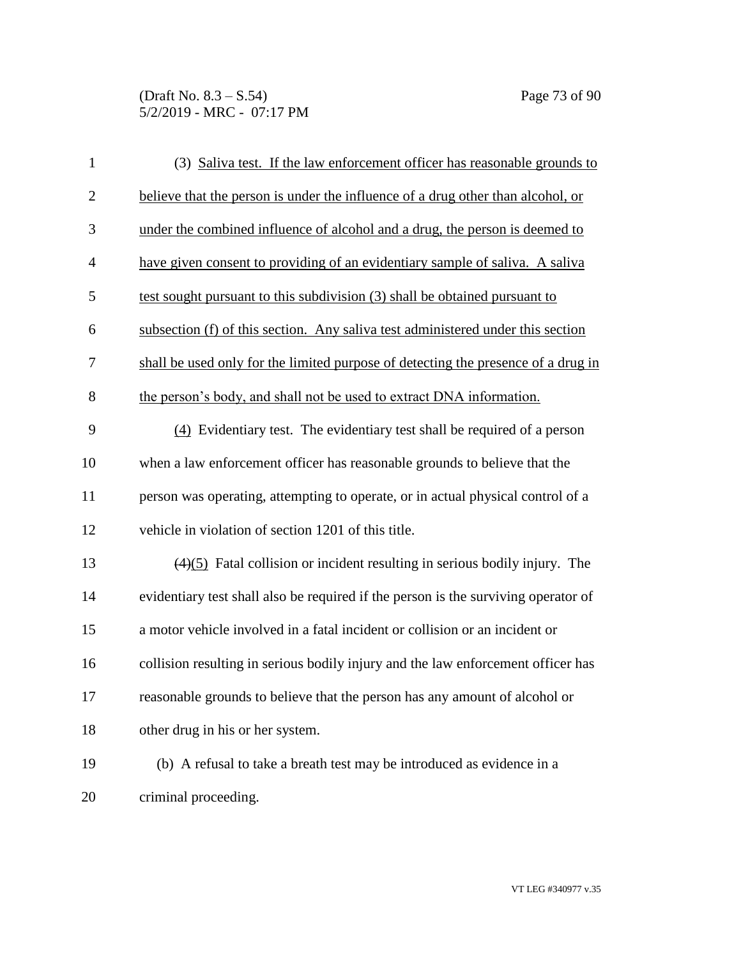(Draft No. 8.3 – S.54) Page 73 of 90 5/2/2019 - MRC - 07:17 PM

| $\mathbf{1}$   | (3) Saliva test. If the law enforcement officer has reasonable grounds to          |
|----------------|------------------------------------------------------------------------------------|
| $\overline{2}$ | believe that the person is under the influence of a drug other than alcohol, or    |
| 3              | under the combined influence of alcohol and a drug, the person is deemed to        |
| $\overline{4}$ | have given consent to providing of an evidentiary sample of saliva. A saliva       |
| 5              | test sought pursuant to this subdivision (3) shall be obtained pursuant to         |
| 6              | subsection (f) of this section. Any saliva test administered under this section    |
| 7              | shall be used only for the limited purpose of detecting the presence of a drug in  |
| $8\,$          | the person's body, and shall not be used to extract DNA information.               |
| 9              | (4) Evidentiary test. The evidentiary test shall be required of a person           |
| 10             | when a law enforcement officer has reasonable grounds to believe that the          |
| 11             | person was operating, attempting to operate, or in actual physical control of a    |
| 12             | vehicle in violation of section 1201 of this title.                                |
| 13             | $(4)(5)$ Fatal collision or incident resulting in serious bodily injury. The       |
| 14             | evidentiary test shall also be required if the person is the surviving operator of |
| 15             | a motor vehicle involved in a fatal incident or collision or an incident or        |
| 16             | collision resulting in serious bodily injury and the law enforcement officer has   |
| 17             | reasonable grounds to believe that the person has any amount of alcohol or         |
| 18             | other drug in his or her system.                                                   |
| 19             | (b) A refusal to take a breath test may be introduced as evidence in a             |
| 20             | criminal proceeding.                                                               |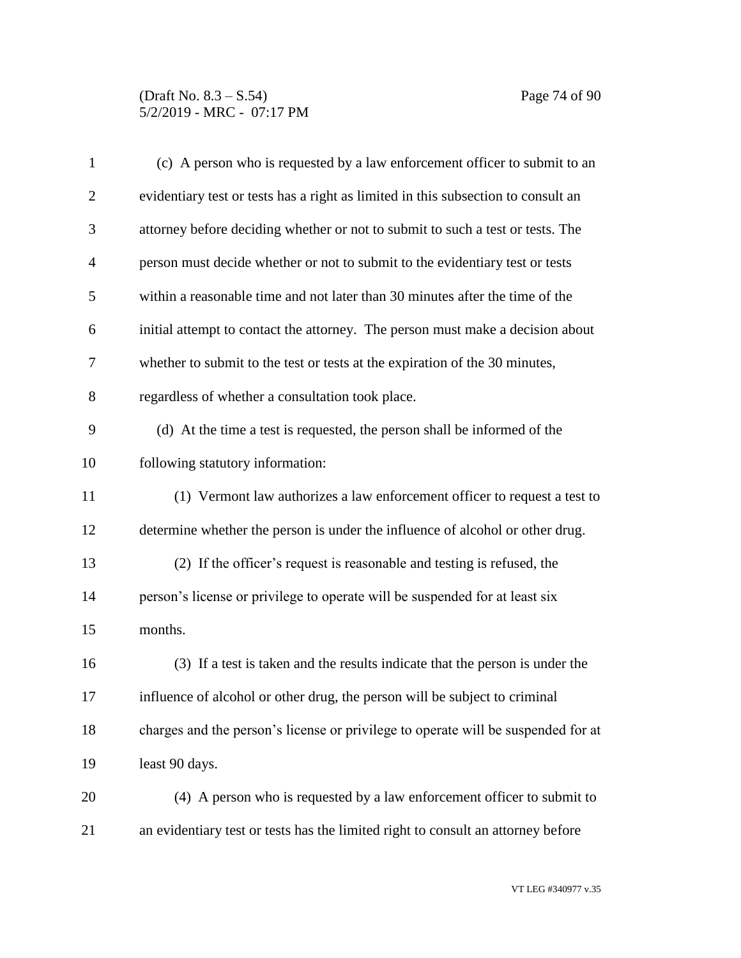### (Draft No. 8.3 – S.54) Page 74 of 90 5/2/2019 - MRC - 07:17 PM

| $\mathbf{1}$   | (c) A person who is requested by a law enforcement officer to submit to an        |
|----------------|-----------------------------------------------------------------------------------|
| $\overline{2}$ | evidentiary test or tests has a right as limited in this subsection to consult an |
| 3              | attorney before deciding whether or not to submit to such a test or tests. The    |
| $\overline{4}$ | person must decide whether or not to submit to the evidentiary test or tests      |
| 5              | within a reasonable time and not later than 30 minutes after the time of the      |
| 6              | initial attempt to contact the attorney. The person must make a decision about    |
| 7              | whether to submit to the test or tests at the expiration of the 30 minutes,       |
| 8              | regardless of whether a consultation took place.                                  |
| 9              | (d) At the time a test is requested, the person shall be informed of the          |
| 10             | following statutory information:                                                  |
| 11             | (1) Vermont law authorizes a law enforcement officer to request a test to         |
| 12             | determine whether the person is under the influence of alcohol or other drug.     |
| 13             | (2) If the officer's request is reasonable and testing is refused, the            |
| 14             | person's license or privilege to operate will be suspended for at least six       |
| 15             | months.                                                                           |
| 16             | (3) If a test is taken and the results indicate that the person is under the      |
| 17             | influence of alcohol or other drug, the person will be subject to criminal        |
| 18             | charges and the person's license or privilege to operate will be suspended for at |
| 19             | least 90 days.                                                                    |
| 20             | (4) A person who is requested by a law enforcement officer to submit to           |
| 21             | an evidentiary test or tests has the limited right to consult an attorney before  |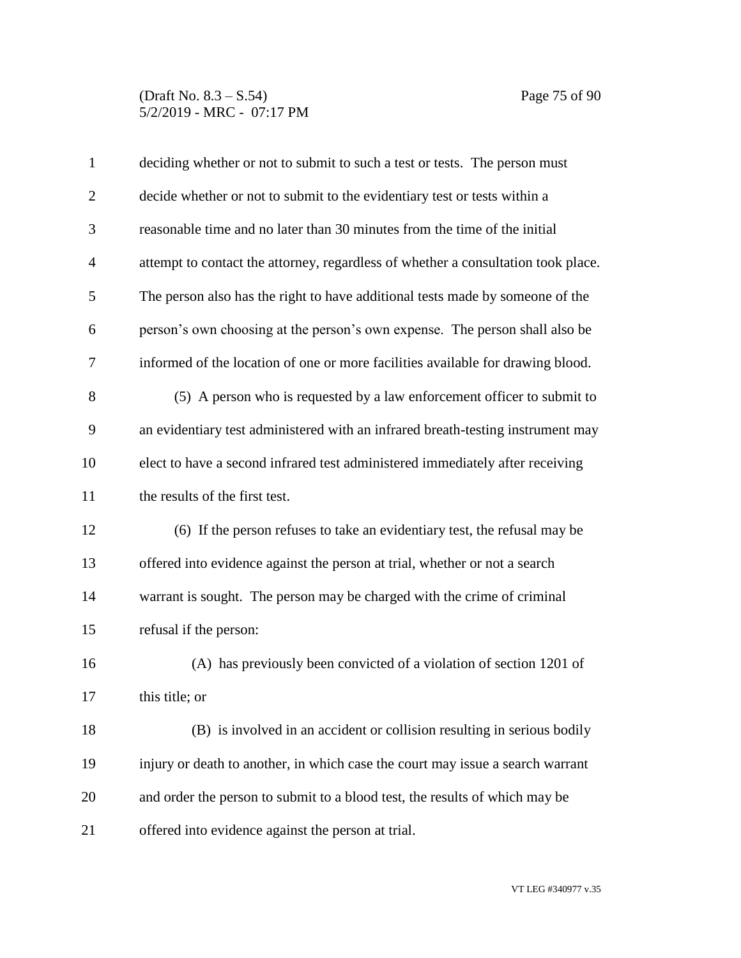### (Draft No. 8.3 – S.54) Page 75 of 90 5/2/2019 - MRC - 07:17 PM

| $\mathbf{1}$   | deciding whether or not to submit to such a test or tests. The person must        |
|----------------|-----------------------------------------------------------------------------------|
| $\overline{c}$ | decide whether or not to submit to the evidentiary test or tests within a         |
| 3              | reasonable time and no later than 30 minutes from the time of the initial         |
| $\overline{4}$ | attempt to contact the attorney, regardless of whether a consultation took place. |
| 5              | The person also has the right to have additional tests made by someone of the     |
| 6              | person's own choosing at the person's own expense. The person shall also be       |
| 7              | informed of the location of one or more facilities available for drawing blood.   |
| 8              | (5) A person who is requested by a law enforcement officer to submit to           |
| 9              | an evidentiary test administered with an infrared breath-testing instrument may   |
| 10             | elect to have a second infrared test administered immediately after receiving     |
| 11             | the results of the first test.                                                    |
| 12             | (6) If the person refuses to take an evidentiary test, the refusal may be         |
| 13             | offered into evidence against the person at trial, whether or not a search        |
| 14             | warrant is sought. The person may be charged with the crime of criminal           |
| 15             | refusal if the person:                                                            |
| 16             | (A) has previously been convicted of a violation of section 1201 of               |
| 17             | this title; or                                                                    |
| 18             | (B) is involved in an accident or collision resulting in serious bodily           |
| 19             | injury or death to another, in which case the court may issue a search warrant    |
| 20             | and order the person to submit to a blood test, the results of which may be       |
| 21             | offered into evidence against the person at trial.                                |

VT LEG #340977 v.35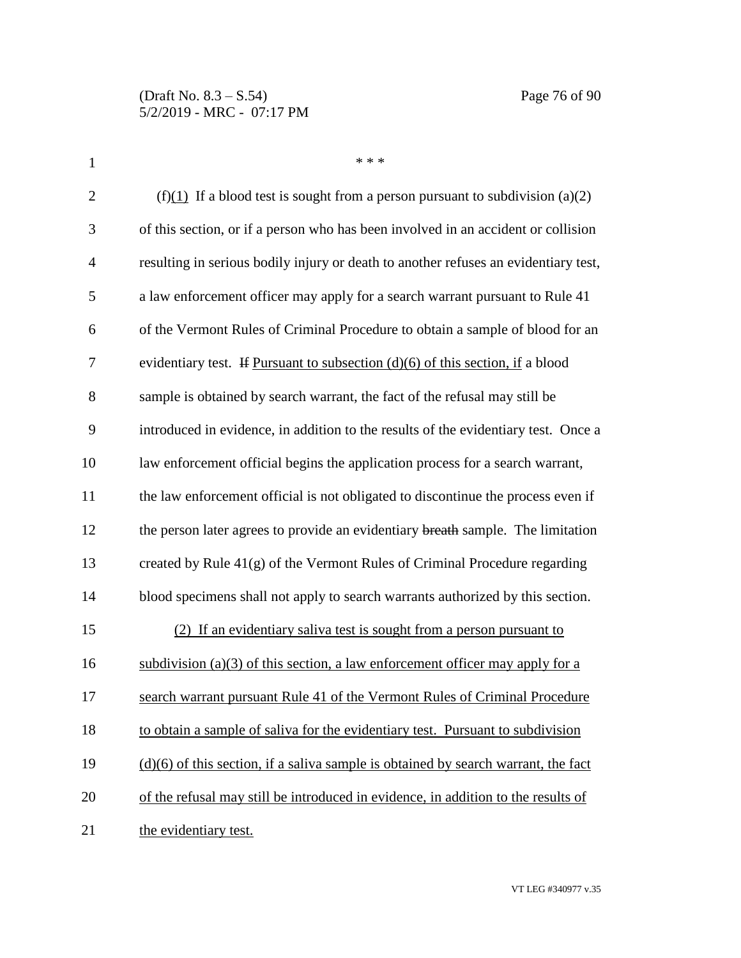| $\mathbf{1}$   | * * *                                                                                |
|----------------|--------------------------------------------------------------------------------------|
| $\overline{2}$ | (f)(1) If a blood test is sought from a person pursuant to subdivision (a)(2)        |
| 3              | of this section, or if a person who has been involved in an accident or collision    |
| $\overline{4}$ | resulting in serious bodily injury or death to another refuses an evidentiary test,  |
| 5              | a law enforcement officer may apply for a search warrant pursuant to Rule 41         |
| 6              | of the Vermont Rules of Criminal Procedure to obtain a sample of blood for an        |
| 7              | evidentiary test. If Pursuant to subsection $(d)(6)$ of this section, if a blood     |
| 8              | sample is obtained by search warrant, the fact of the refusal may still be           |
| 9              | introduced in evidence, in addition to the results of the evidentiary test. Once a   |
| 10             | law enforcement official begins the application process for a search warrant,        |
| 11             | the law enforcement official is not obligated to discontinue the process even if     |
| 12             | the person later agrees to provide an evidentiary breath sample. The limitation      |
| 13             | created by Rule 41(g) of the Vermont Rules of Criminal Procedure regarding           |
| 14             | blood specimens shall not apply to search warrants authorized by this section.       |
| 15             | (2) If an evidentiary saliva test is sought from a person pursuant to                |
| 16             | subdivision (a)(3) of this section, a law enforcement officer may apply for a        |
| 17             | search warrant pursuant Rule 41 of the Vermont Rules of Criminal Procedure           |
| 18             | to obtain a sample of saliva for the evidentiary test. Pursuant to subdivision       |
| 19             | $(d)(6)$ of this section, if a saliva sample is obtained by search warrant, the fact |
| 20             | of the refusal may still be introduced in evidence, in addition to the results of    |
| 21             | the evidentiary test.                                                                |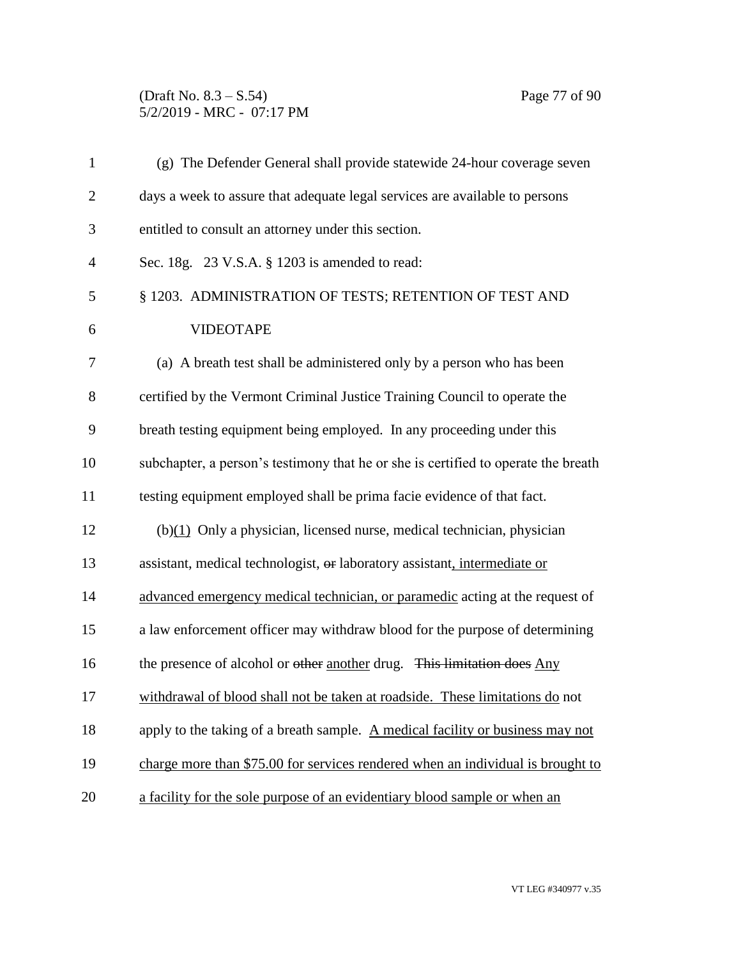### (Draft No. 8.3 – S.54) Page 77 of 90 5/2/2019 - MRC - 07:17 PM

| $\mathbf{1}$   | (g) The Defender General shall provide statewide 24-hour coverage seven            |
|----------------|------------------------------------------------------------------------------------|
| $\overline{2}$ | days a week to assure that adequate legal services are available to persons        |
| 3              | entitled to consult an attorney under this section.                                |
| $\overline{4}$ | Sec. 18g. 23 V.S.A. § 1203 is amended to read:                                     |
| 5              | § 1203. ADMINISTRATION OF TESTS; RETENTION OF TEST AND                             |
| 6              | <b>VIDEOTAPE</b>                                                                   |
| 7              | (a) A breath test shall be administered only by a person who has been              |
| 8              | certified by the Vermont Criminal Justice Training Council to operate the          |
| 9              | breath testing equipment being employed. In any proceeding under this              |
| 10             | subchapter, a person's testimony that he or she is certified to operate the breath |
| 11             | testing equipment employed shall be prima facie evidence of that fact.             |
| 12             | $(b)(1)$ Only a physician, licensed nurse, medical technician, physician           |
| 13             | assistant, medical technologist, or laboratory assistant, intermediate or          |
| 14             | advanced emergency medical technician, or paramedic acting at the request of       |
| 15             | a law enforcement officer may withdraw blood for the purpose of determining        |
| 16             | the presence of alcohol or other another drug. This limitation does Any            |
| 17             | withdrawal of blood shall not be taken at roadside. These limitations do not       |
| 18             | apply to the taking of a breath sample. A medical facility or business may not     |
| 19             | charge more than \$75.00 for services rendered when an individual is brought to    |
| 20             | a facility for the sole purpose of an evidentiary blood sample or when an          |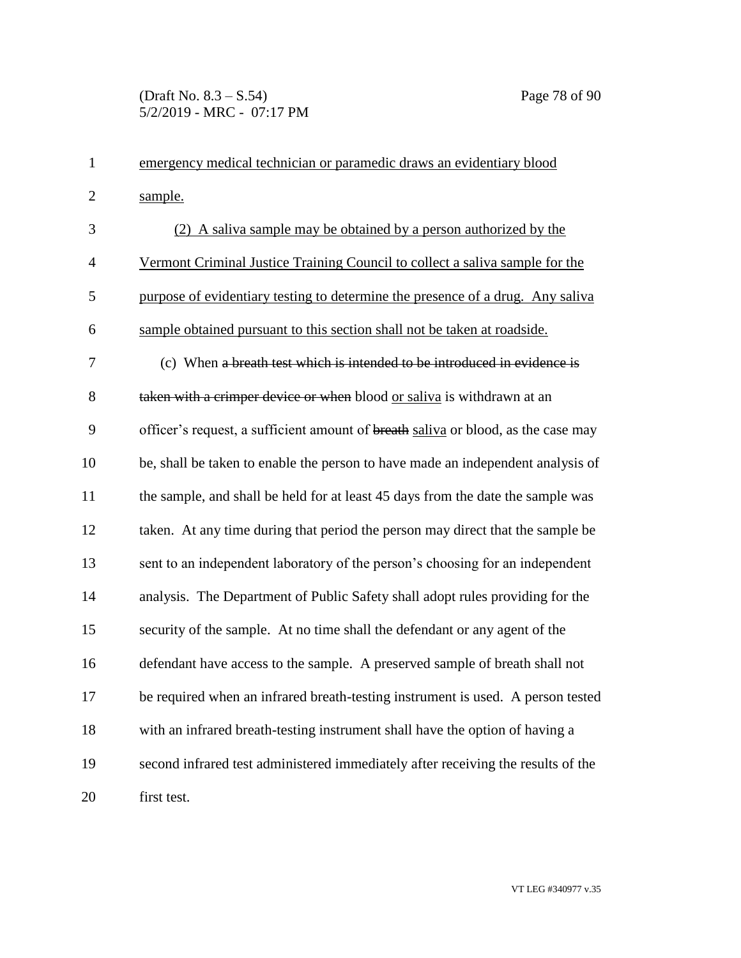| $\mathbf{1}$   | emergency medical technician or paramedic draws an evidentiary blood              |
|----------------|-----------------------------------------------------------------------------------|
| $\overline{2}$ | sample.                                                                           |
| 3              | (2) A saliva sample may be obtained by a person authorized by the                 |
| $\overline{4}$ | Vermont Criminal Justice Training Council to collect a saliva sample for the      |
| 5              | purpose of evidentiary testing to determine the presence of a drug. Any saliva    |
| 6              | sample obtained pursuant to this section shall not be taken at roadside.          |
| 7              | (c) When a breath test which is intended to be introduced in evidence is          |
| 8              | taken with a crimper device or when blood or saliva is withdrawn at an            |
| 9              | officer's request, a sufficient amount of breath saliva or blood, as the case may |
| 10             | be, shall be taken to enable the person to have made an independent analysis of   |
| 11             | the sample, and shall be held for at least 45 days from the date the sample was   |
| 12             | taken. At any time during that period the person may direct that the sample be    |
| 13             | sent to an independent laboratory of the person's choosing for an independent     |
| 14             | analysis. The Department of Public Safety shall adopt rules providing for the     |
| 15             | security of the sample. At no time shall the defendant or any agent of the        |
| 16             | defendant have access to the sample. A preserved sample of breath shall not       |
| 17             | be required when an infrared breath-testing instrument is used. A person tested   |
| 18             | with an infrared breath-testing instrument shall have the option of having a      |
| 19             | second infrared test administered immediately after receiving the results of the  |
| 20             | first test.                                                                       |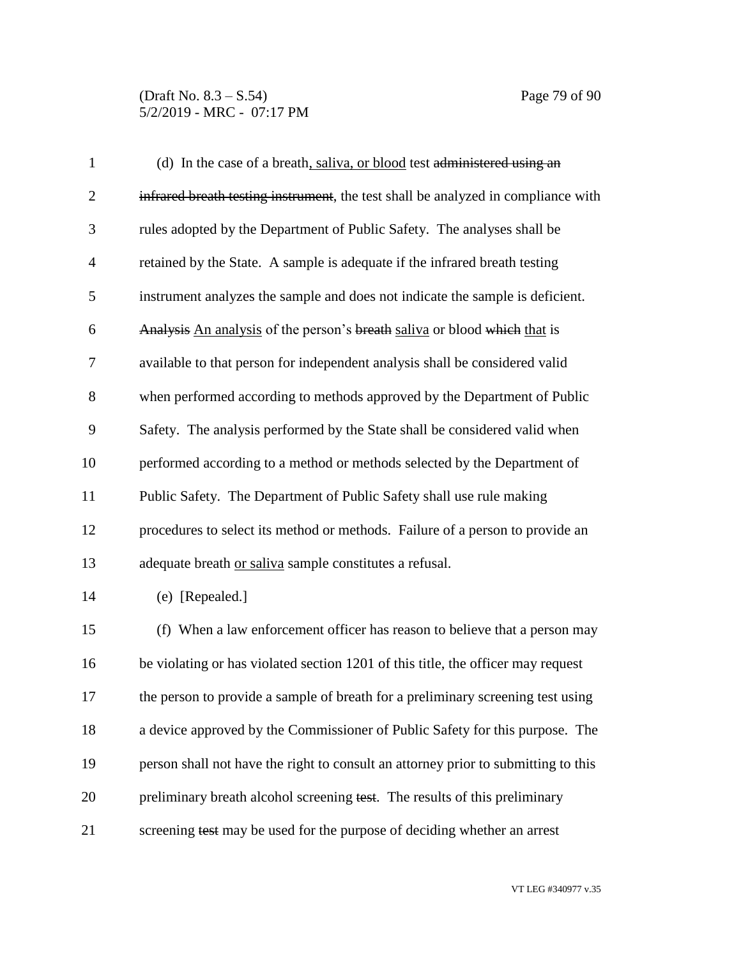| $\mathbf{1}$   | (d) In the case of a breath, saliva, or blood test administered using an           |
|----------------|------------------------------------------------------------------------------------|
| $\overline{2}$ | infrared breath testing instrument, the test shall be analyzed in compliance with  |
| 3              | rules adopted by the Department of Public Safety. The analyses shall be            |
| $\overline{4}$ | retained by the State. A sample is adequate if the infrared breath testing         |
| 5              | instrument analyzes the sample and does not indicate the sample is deficient.      |
| 6              | Analysis An analysis of the person's breath saliva or blood which that is          |
| 7              | available to that person for independent analysis shall be considered valid        |
| 8              | when performed according to methods approved by the Department of Public           |
| 9              | Safety. The analysis performed by the State shall be considered valid when         |
| 10             | performed according to a method or methods selected by the Department of           |
| 11             | Public Safety. The Department of Public Safety shall use rule making               |
| 12             | procedures to select its method or methods. Failure of a person to provide an      |
| 13             | adequate breath or saliva sample constitutes a refusal.                            |
| 14             | (e) [Repealed.]                                                                    |
| 15             | (f) When a law enforcement officer has reason to believe that a person may         |
| 16             | be violating or has violated section 1201 of this title, the officer may request   |
| 17             | the person to provide a sample of breath for a preliminary screening test using    |
| 18             | a device approved by the Commissioner of Public Safety for this purpose. The       |
| 19             | person shall not have the right to consult an attorney prior to submitting to this |
| 20             | preliminary breath alcohol screening test. The results of this preliminary         |
| 21             | screening test may be used for the purpose of deciding whether an arrest           |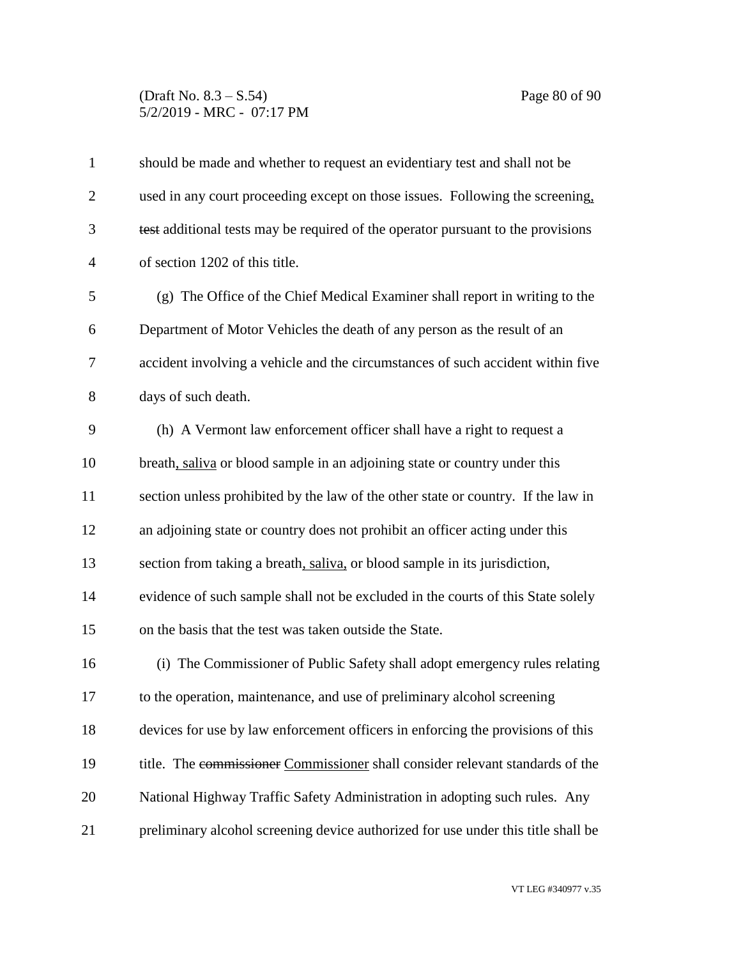### (Draft No. 8.3 – S.54) Page 80 of 90 5/2/2019 - MRC - 07:17 PM

| $\mathbf{1}$   | should be made and whether to request an evidentiary test and shall not be        |
|----------------|-----------------------------------------------------------------------------------|
| $\overline{2}$ | used in any court proceeding except on those issues. Following the screening,     |
| 3              | test additional tests may be required of the operator pursuant to the provisions  |
| $\overline{4}$ | of section 1202 of this title.                                                    |
| 5              | (g) The Office of the Chief Medical Examiner shall report in writing to the       |
| 6              | Department of Motor Vehicles the death of any person as the result of an          |
| 7              | accident involving a vehicle and the circumstances of such accident within five   |
| 8              | days of such death.                                                               |
| 9              | (h) A Vermont law enforcement officer shall have a right to request a             |
| 10             | breath, saliva or blood sample in an adjoining state or country under this        |
| 11             | section unless prohibited by the law of the other state or country. If the law in |
| 12             | an adjoining state or country does not prohibit an officer acting under this      |
| 13             | section from taking a breath, saliva, or blood sample in its jurisdiction,        |
| 14             | evidence of such sample shall not be excluded in the courts of this State solely  |
| 15             | on the basis that the test was taken outside the State.                           |
| 16             | (i) The Commissioner of Public Safety shall adopt emergency rules relating        |
| 17             | to the operation, maintenance, and use of preliminary alcohol screening           |
| 18             | devices for use by law enforcement officers in enforcing the provisions of this   |
| 19             | title. The commissioner Commissioner shall consider relevant standards of the     |
| 20             | National Highway Traffic Safety Administration in adopting such rules. Any        |
| 21             | preliminary alcohol screening device authorized for use under this title shall be |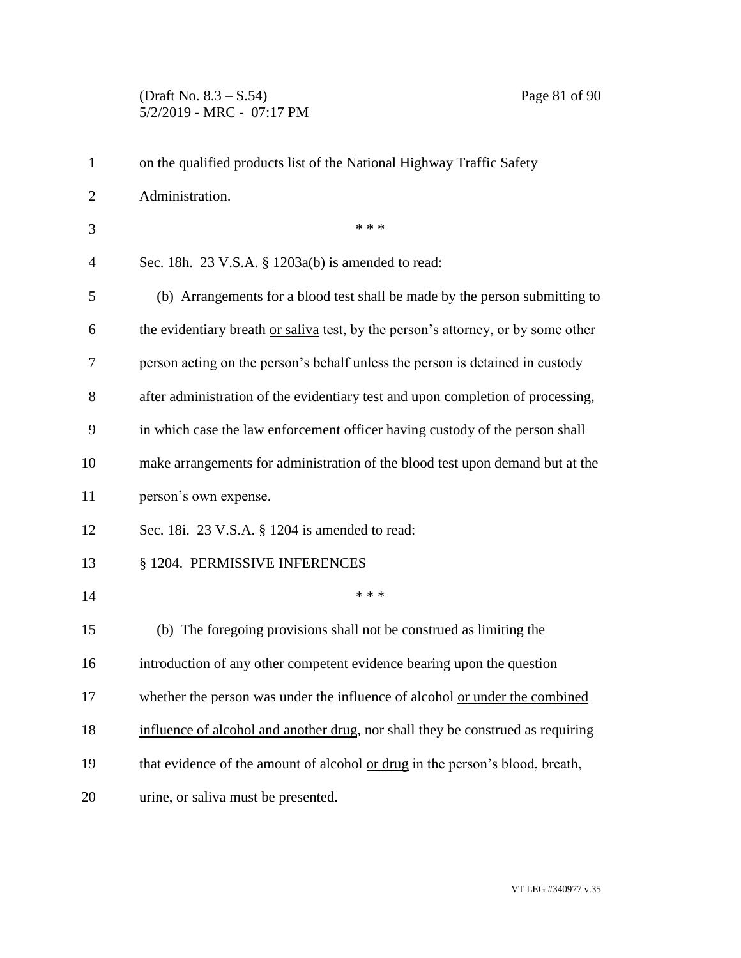# (Draft No. 8.3 – S.54) Page 81 of 90 5/2/2019 - MRC - 07:17 PM

| $\mathbf{1}$   | on the qualified products list of the National Highway Traffic Safety             |
|----------------|-----------------------------------------------------------------------------------|
| $\overline{2}$ | Administration.                                                                   |
| 3              | * * *                                                                             |
| 4              | Sec. 18h. $23$ V.S.A. § 1203a(b) is amended to read:                              |
| 5              | (b) Arrangements for a blood test shall be made by the person submitting to       |
| 6              | the evidentiary breath or saliva test, by the person's attorney, or by some other |
| 7              | person acting on the person's behalf unless the person is detained in custody     |
| 8              | after administration of the evidentiary test and upon completion of processing,   |
| 9              | in which case the law enforcement officer having custody of the person shall      |
| 10             | make arrangements for administration of the blood test upon demand but at the     |
| 11             | person's own expense.                                                             |
| 12             | Sec. 18i. 23 V.S.A. § 1204 is amended to read:                                    |
| 13             | § 1204. PERMISSIVE INFERENCES                                                     |
| 14             | * * *                                                                             |
| 15             | (b) The foregoing provisions shall not be construed as limiting the               |
| 16             | introduction of any other competent evidence bearing upon the question            |
| 17             | whether the person was under the influence of alcohol or under the combined       |
| 18             | influence of alcohol and another drug, nor shall they be construed as requiring   |
| 19             | that evidence of the amount of alcohol or drug in the person's blood, breath,     |
| 20             | urine, or saliva must be presented.                                               |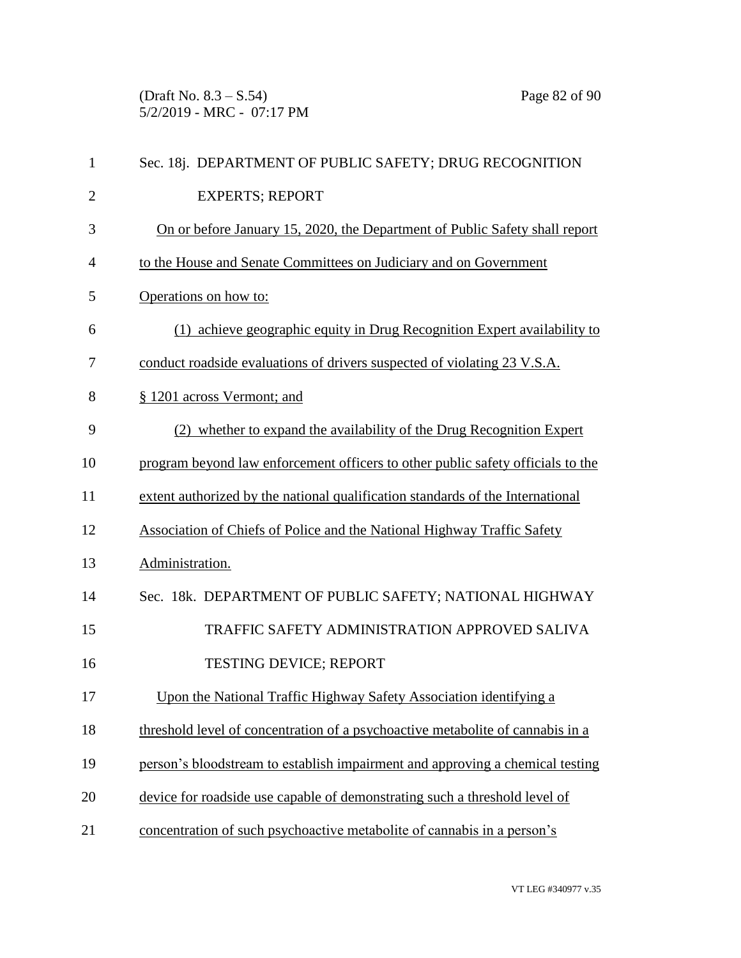(Draft No. 8.3 – S.54) Page 82 of 90 5/2/2019 - MRC - 07:17 PM

| 1              | Sec. 18j. DEPARTMENT OF PUBLIC SAFETY; DRUG RECOGNITION                         |
|----------------|---------------------------------------------------------------------------------|
| $\overline{2}$ | <b>EXPERTS; REPORT</b>                                                          |
| 3              | On or before January 15, 2020, the Department of Public Safety shall report     |
| $\overline{4}$ | to the House and Senate Committees on Judiciary and on Government               |
| 5              | Operations on how to:                                                           |
| 6              | (1) achieve geographic equity in Drug Recognition Expert availability to        |
| 7              | conduct roadside evaluations of drivers suspected of violating 23 V.S.A.        |
| 8              | § 1201 across Vermont; and                                                      |
| 9              | (2) whether to expand the availability of the Drug Recognition Expert           |
| 10             | program beyond law enforcement officers to other public safety officials to the |
| 11             | extent authorized by the national qualification standards of the International  |
| 12             | Association of Chiefs of Police and the National Highway Traffic Safety         |
| 13             | Administration.                                                                 |
| 14             | Sec. 18k. DEPARTMENT OF PUBLIC SAFETY; NATIONAL HIGHWAY                         |
| 15             | TRAFFIC SAFETY ADMINISTRATION APPROVED SALIVA                                   |
| 16             | <b>TESTING DEVICE; REPORT</b>                                                   |
| 17             | Upon the National Traffic Highway Safety Association identifying a              |
| 18             | threshold level of concentration of a psychoactive metabolite of cannabis in a  |
| 19             | person's bloodstream to establish impairment and approving a chemical testing   |
| 20             | device for roadside use capable of demonstrating such a threshold level of      |
| 21             | concentration of such psychoactive metabolite of cannabis in a person's         |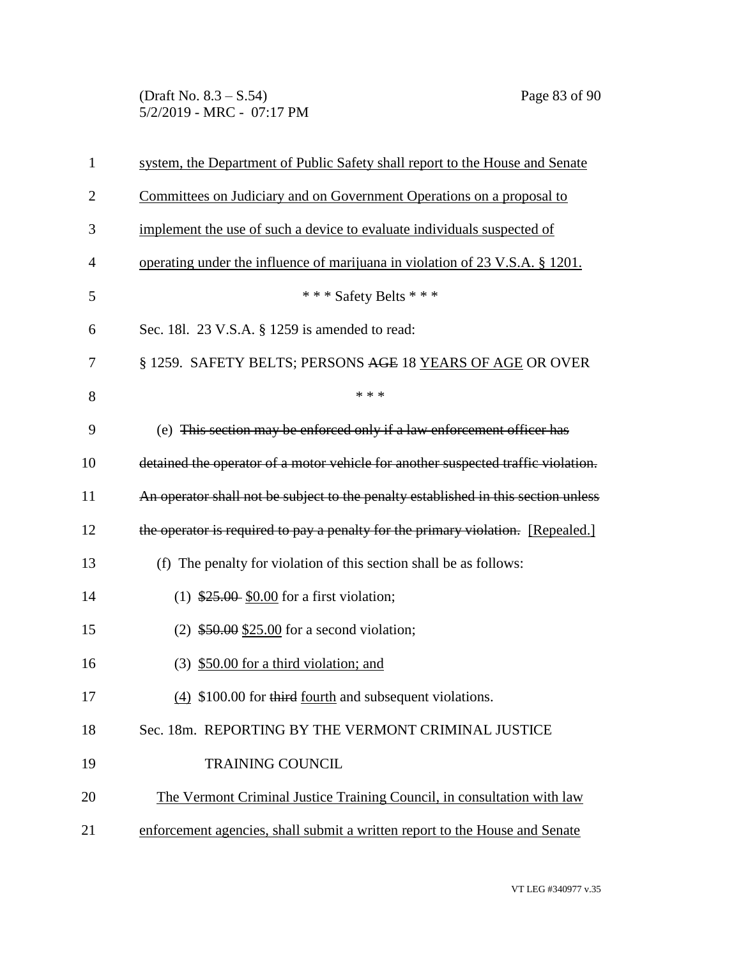(Draft No. 8.3 – S.54) Page 83 of 90 5/2/2019 - MRC - 07:17 PM

| 1              | system, the Department of Public Safety shall report to the House and Senate       |
|----------------|------------------------------------------------------------------------------------|
| $\overline{c}$ | Committees on Judiciary and on Government Operations on a proposal to              |
| 3              | implement the use of such a device to evaluate individuals suspected of            |
| 4              | operating under the influence of marijuana in violation of 23 V.S.A. § 1201.       |
| 5              | *** Safety Belts ***                                                               |
| 6              | Sec. 181. 23 V.S.A. § 1259 is amended to read:                                     |
| 7              | § 1259. SAFETY BELTS; PERSONS AGE 18 YEARS OF AGE OR OVER                          |
| 8              | * * *                                                                              |
| 9              | (e) This section may be enforced only if a law enforcement officer has             |
| 10             | detained the operator of a motor vehicle for another suspected traffic violation.  |
| 11             | An operator shall not be subject to the penalty established in this section unless |
| 12             | the operator is required to pay a penalty for the primary violation. [Repealed.]   |
| 13             | (f) The penalty for violation of this section shall be as follows:                 |
| 14             | $(1)$ \$25.00 \$0.00 for a first violation;                                        |
| 15             | $(2)$ \$50.00 \$25.00 for a second violation;                                      |
| 16             | $(3)$ \$50.00 for a third violation; and                                           |
| 17             | (4) \$100.00 for third fourth and subsequent violations.                           |
| 18             | Sec. 18m. REPORTING BY THE VERMONT CRIMINAL JUSTICE                                |
| 19             | <b>TRAINING COUNCIL</b>                                                            |
| 20             | The Vermont Criminal Justice Training Council, in consultation with law            |
| 21             | enforcement agencies, shall submit a written report to the House and Senate        |
|                |                                                                                    |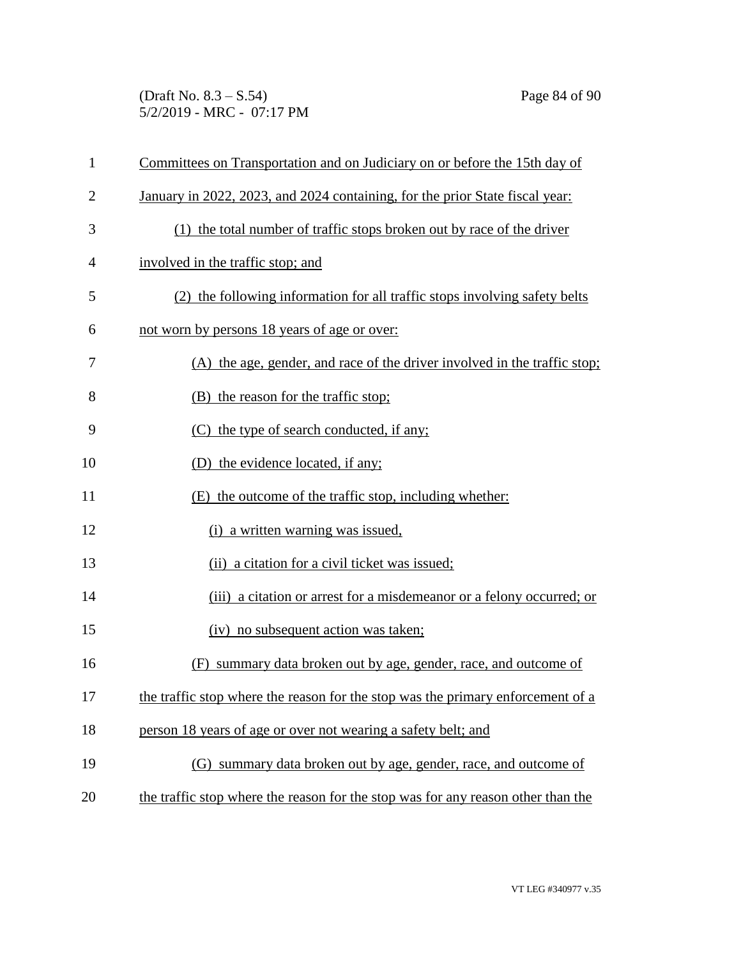(Draft No. 8.3 – S.54) Page 84 of 90 5/2/2019 - MRC - 07:17 PM

| $\mathbf{1}$   | Committees on Transportation and on Judiciary on or before the 15th day of       |
|----------------|----------------------------------------------------------------------------------|
| $\overline{2}$ | January in 2022, 2023, and 2024 containing, for the prior State fiscal year:     |
| 3              | (1) the total number of traffic stops broken out by race of the driver           |
| 4              | involved in the traffic stop; and                                                |
| 5              | (2) the following information for all traffic stops involving safety belts       |
| 6              | not worn by persons 18 years of age or over:                                     |
| 7              | (A) the age, gender, and race of the driver involved in the traffic stop;        |
| 8              | (B) the reason for the traffic stop;                                             |
| 9              | (C) the type of search conducted, if any;                                        |
| 10             | (D) the evidence located, if any;                                                |
| 11             | (E) the outcome of the traffic stop, including whether:                          |
| 12             | (i) a written warning was issued,                                                |
| 13             | (ii) a citation for a civil ticket was issued;                                   |
| 14             | (iii) a citation or arrest for a misdemeanor or a felony occurred; or            |
| 15             | (iv) no subsequent action was taken;                                             |
| 16             | (F) summary data broken out by age, gender, race, and outcome of                 |
| 17             | the traffic stop where the reason for the stop was the primary enforcement of a  |
| 18             | person 18 years of age or over not wearing a safety belt; and                    |
| 19             | (G) summary data broken out by age, gender, race, and outcome of                 |
| 20             | the traffic stop where the reason for the stop was for any reason other than the |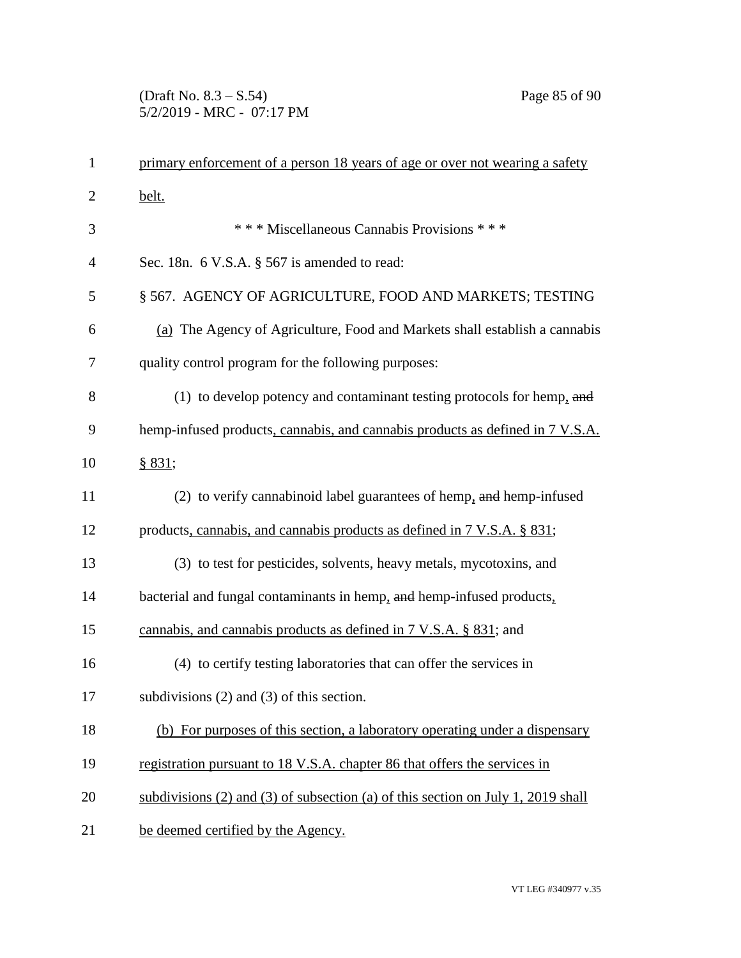# (Draft No. 8.3 – S.54) Page 85 of 90 5/2/2019 - MRC - 07:17 PM

| $\mathbf{1}$   | primary enforcement of a person 18 years of age or over not wearing a safety           |
|----------------|----------------------------------------------------------------------------------------|
| $\overline{2}$ | belt.                                                                                  |
| 3              | *** Miscellaneous Cannabis Provisions ***                                              |
| $\overline{4}$ | Sec. 18n. 6 V.S.A. § 567 is amended to read:                                           |
| 5              | § 567. AGENCY OF AGRICULTURE, FOOD AND MARKETS; TESTING                                |
| 6              | (a) The Agency of Agriculture, Food and Markets shall establish a cannabis             |
| 7              | quality control program for the following purposes:                                    |
| 8              | (1) to develop potency and contaminant testing protocols for hemp, and                 |
| 9              | hemp-infused products, cannabis, and cannabis products as defined in 7 V.S.A.          |
| 10             | § 831;                                                                                 |
| 11             | (2) to verify cannabinoid label guarantees of hemp, and hemp-infused                   |
| 12             | products, cannabis, and cannabis products as defined in 7 V.S.A. § 831;                |
| 13             | (3) to test for pesticides, solvents, heavy metals, mycotoxins, and                    |
| 14             | bacterial and fungal contaminants in hemp, and hemp-infused products,                  |
| 15             | cannabis, and cannabis products as defined in $7 \text{ V.S.A. }$ \$831; and           |
| 16             | (4) to certify testing laboratories that can offer the services in                     |
| 17             | subdivisions $(2)$ and $(3)$ of this section.                                          |
| 18             | (b) For purposes of this section, a laboratory operating under a dispensary            |
| 19             | registration pursuant to 18 V.S.A. chapter 86 that offers the services in              |
| 20             | subdivisions $(2)$ and $(3)$ of subsection $(a)$ of this section on July 1, 2019 shall |
| 21             | be deemed certified by the Agency.                                                     |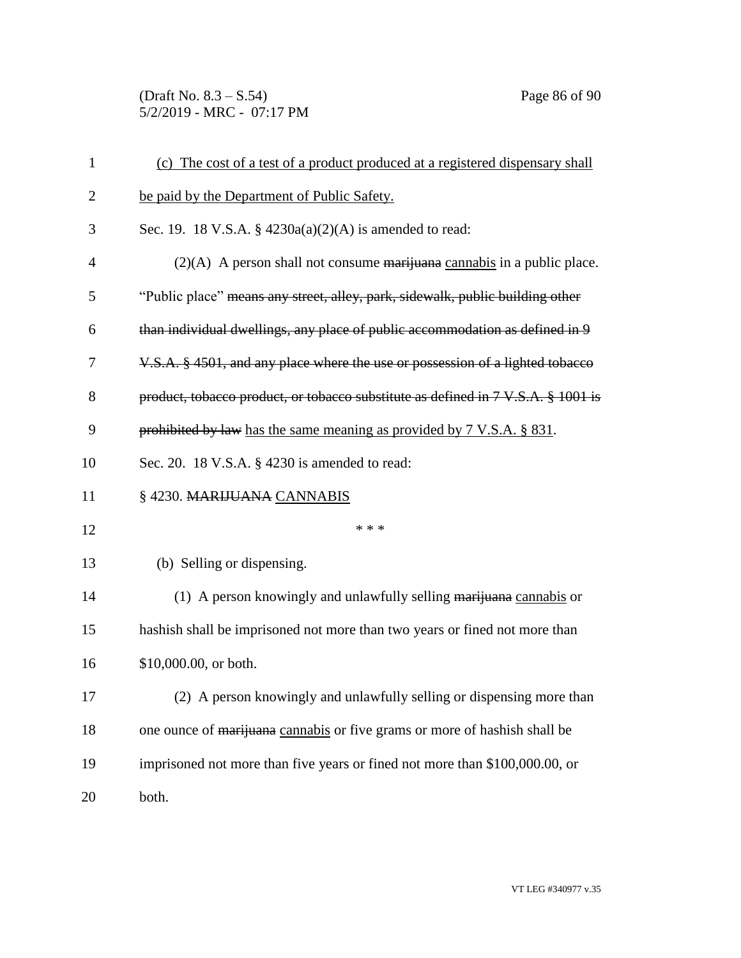(Draft No. 8.3 – S.54) Page 86 of 90 5/2/2019 - MRC - 07:17 PM

| $\mathbf{1}$   | (c) The cost of a test of a product produced at a registered dispensary shall        |
|----------------|--------------------------------------------------------------------------------------|
| $\overline{2}$ | be paid by the Department of Public Safety.                                          |
| 3              | Sec. 19. 18 V.S.A. § 4230a(a)(2)(A) is amended to read:                              |
| $\overline{4}$ | $(2)(A)$ A person shall not consume <del>marijuana</del> cannabis in a public place. |
| 5              | "Public place" means any street, alley, park, sidewalk, public building other        |
| 6              | than individual dwellings, any place of public accommodation as defined in 9         |
| 7              | V.S.A. § 4501, and any place where the use or possession of a lighted tobacco        |
| 8              | product, tobacco product, or tobacco substitute as defined in 7 V.S.A. § 1001 is     |
| 9              | prohibited by law has the same meaning as provided by 7 V.S.A. § 831.                |
| 10             | Sec. 20. 18 V.S.A. § 4230 is amended to read:                                        |
| 11             | §4230. MARIJUANA CANNABIS                                                            |
| 12             | * * *                                                                                |
| 13             | (b) Selling or dispensing.                                                           |
| 14             | (1) A person knowingly and unlawfully selling marijuana cannabis or                  |
| 15             | hashish shall be imprisoned not more than two years or fined not more than           |
| 16             | \$10,000.00, or both.                                                                |
| 17             | (2) A person knowingly and unlawfully selling or dispensing more than                |
| 18             | one ounce of marijuana cannabis or five grams or more of hashish shall be            |
| 19             | imprisoned not more than five years or fined not more than \$100,000.00, or          |
| 20             | both.                                                                                |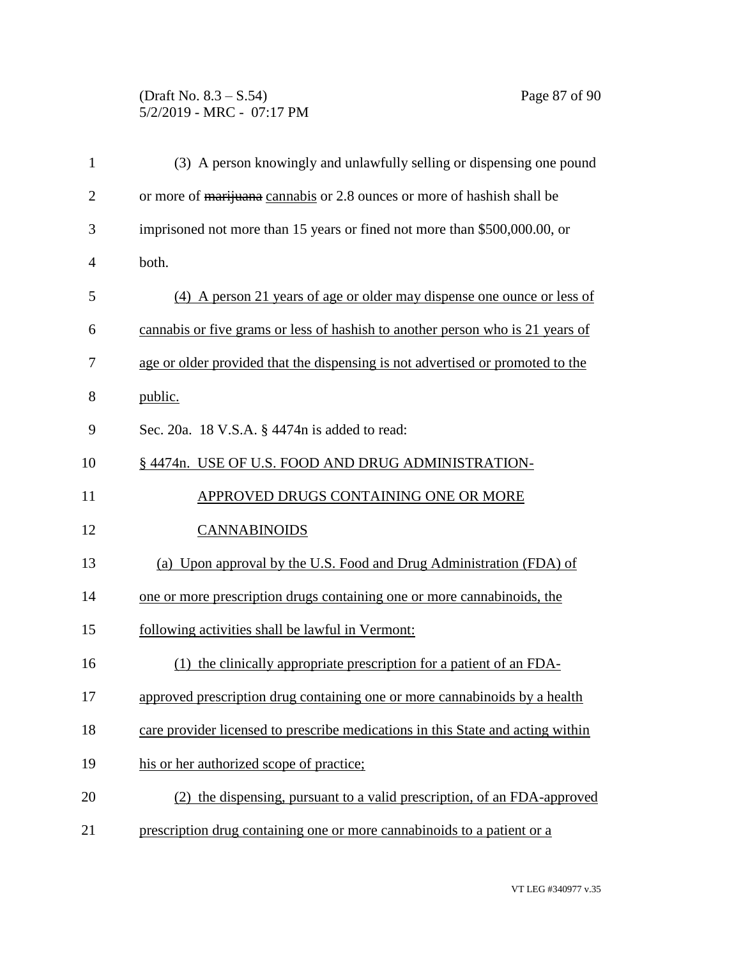### (Draft No. 8.3 – S.54) Page 87 of 90 5/2/2019 - MRC - 07:17 PM

| $\mathbf{1}$   | (3) A person knowingly and unlawfully selling or dispensing one pound           |
|----------------|---------------------------------------------------------------------------------|
| $\overline{2}$ | or more of marijuana cannabis or 2.8 ounces or more of hashish shall be         |
| 3              | imprisoned not more than 15 years or fined not more than \$500,000.00, or       |
| $\overline{4}$ | both.                                                                           |
| 5              | (4) A person 21 years of age or older may dispense one ounce or less of         |
| 6              | cannabis or five grams or less of hashish to another person who is 21 years of  |
| 7              | age or older provided that the dispensing is not advertised or promoted to the  |
| 8              | public.                                                                         |
| 9              | Sec. 20a. 18 V.S.A. § 4474n is added to read:                                   |
| 10             | § 4474n. USE OF U.S. FOOD AND DRUG ADMINISTRATION-                              |
| 11             | APPROVED DRUGS CONTAINING ONE OR MORE                                           |
| 12             | <b>CANNABINOIDS</b>                                                             |
| 13             | (a) Upon approval by the U.S. Food and Drug Administration (FDA) of             |
| 14             | one or more prescription drugs containing one or more cannabinoids, the         |
| 15             | following activities shall be lawful in Vermont:                                |
| 16             | (1) the clinically appropriate prescription for a patient of an FDA-            |
| 17             | approved prescription drug containing one or more cannabinoids by a health      |
| 18             | care provider licensed to prescribe medications in this State and acting within |
| 19             | his or her authorized scope of practice;                                        |
| 20             | (2) the dispensing, pursuant to a valid prescription, of an FDA-approved        |
| 21             | prescription drug containing one or more cannabinoids to a patient or a         |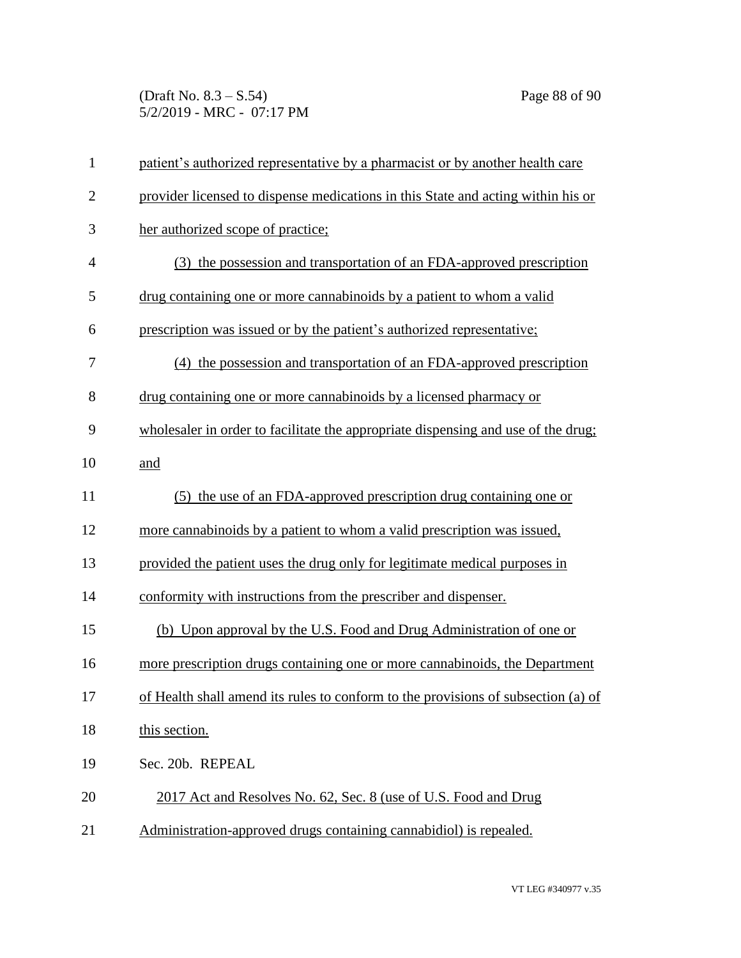(Draft No. 8.3 – S.54) Page 88 of 90 5/2/2019 - MRC - 07:17 PM

| $\mathbf{1}$   | patient's authorized representative by a pharmacist or by another health care     |
|----------------|-----------------------------------------------------------------------------------|
| $\overline{2}$ | provider licensed to dispense medications in this State and acting within his or  |
| 3              | her authorized scope of practice;                                                 |
| $\overline{4}$ | (3) the possession and transportation of an FDA-approved prescription             |
| 5              | drug containing one or more cannabinoids by a patient to whom a valid             |
| 6              | prescription was issued or by the patient's authorized representative;            |
| 7              | (4) the possession and transportation of an FDA-approved prescription             |
| 8              | drug containing one or more cannabinoids by a licensed pharmacy or                |
| 9              | wholesaler in order to facilitate the appropriate dispensing and use of the drug; |
| 10             | and                                                                               |
| 11             | (5) the use of an FDA-approved prescription drug containing one or                |
| 12             | more cannabinoids by a patient to whom a valid prescription was issued.           |
| 13             | provided the patient uses the drug only for legitimate medical purposes in        |
| 14             | conformity with instructions from the prescriber and dispenser.                   |
| 15             | (b) Upon approval by the U.S. Food and Drug Administration of one or              |
| 16             | more prescription drugs containing one or more cannabinoids, the Department       |
| 17             | of Health shall amend its rules to conform to the provisions of subsection (a) of |
| 18             | this section.                                                                     |
| 19             | Sec. 20b. REPEAL                                                                  |
| 20             | 2017 Act and Resolves No. 62, Sec. 8 (use of U.S. Food and Drug                   |
| 21             | Administration-approved drugs containing cannabidiol) is repealed.                |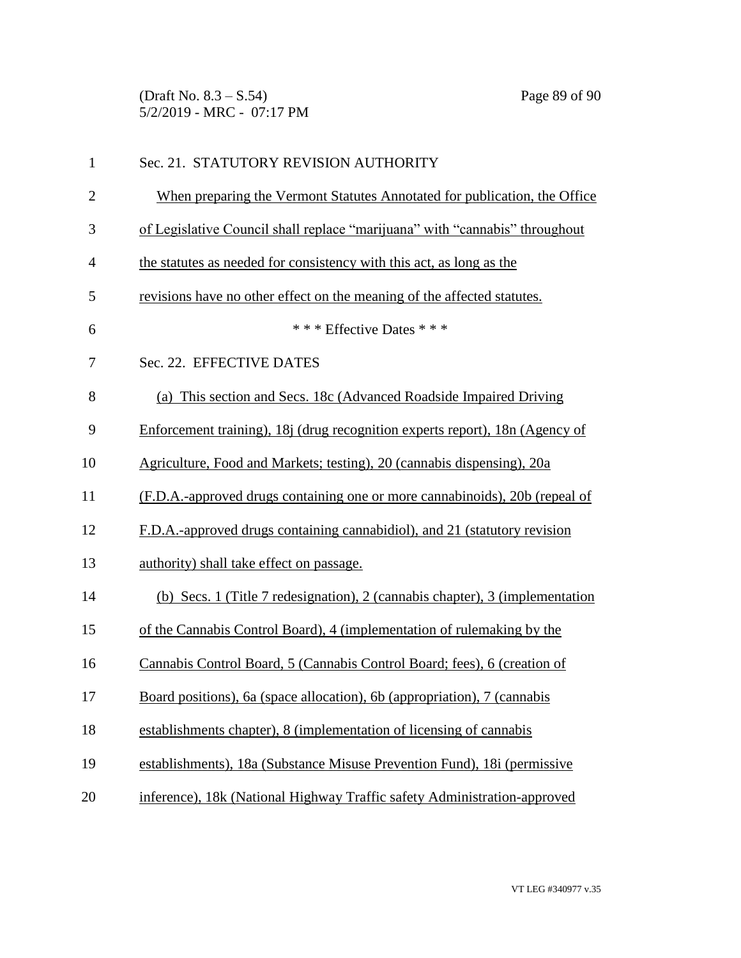(Draft No. 8.3 – S.54) Page 89 of 90 5/2/2019 - MRC - 07:17 PM

| $\mathbf{1}$   | Sec. 21. STATUTORY REVISION AUTHORITY                                        |
|----------------|------------------------------------------------------------------------------|
| $\overline{2}$ | When preparing the Vermont Statutes Annotated for publication, the Office    |
| 3              | of Legislative Council shall replace "marijuana" with "cannabis" throughout  |
| $\overline{4}$ | the statutes as needed for consistency with this act, as long as the         |
| 5              | revisions have no other effect on the meaning of the affected statutes.      |
| 6              | * * * Effective Dates * * *                                                  |
| 7              | Sec. 22. EFFECTIVE DATES                                                     |
| 8              | (a) This section and Secs. 18c (Advanced Roadside Impaired Driving           |
| 9              | Enforcement training), 18j (drug recognition experts report), 18n (Agency of |
| 10             | Agriculture, Food and Markets; testing), 20 (cannabis dispensing), 20a       |
| 11             | (F.D.A.-approved drugs containing one or more cannabinoids), 20b (repeal of  |
| 12             | F.D.A.-approved drugs containing cannabidiol), and 21 (statutory revision    |
| 13             | authority) shall take effect on passage.                                     |
| 14             | (b) Secs. 1 (Title 7 redesignation), 2 (cannabis chapter), 3 (implementation |
| 15             | of the Cannabis Control Board), 4 (implementation of rulemaking by the       |
| 16             | Cannabis Control Board, 5 (Cannabis Control Board; fees), 6 (creation of     |
| 17             | Board positions), 6a (space allocation), 6b (appropriation), 7 (cannabis     |
| 18             | establishments chapter), 8 (implementation of licensing of cannabis          |
| 19             | establishments), 18a (Substance Misuse Prevention Fund), 18i (permissive     |
| 20             | inference), 18k (National Highway Traffic safety Administration-approved     |